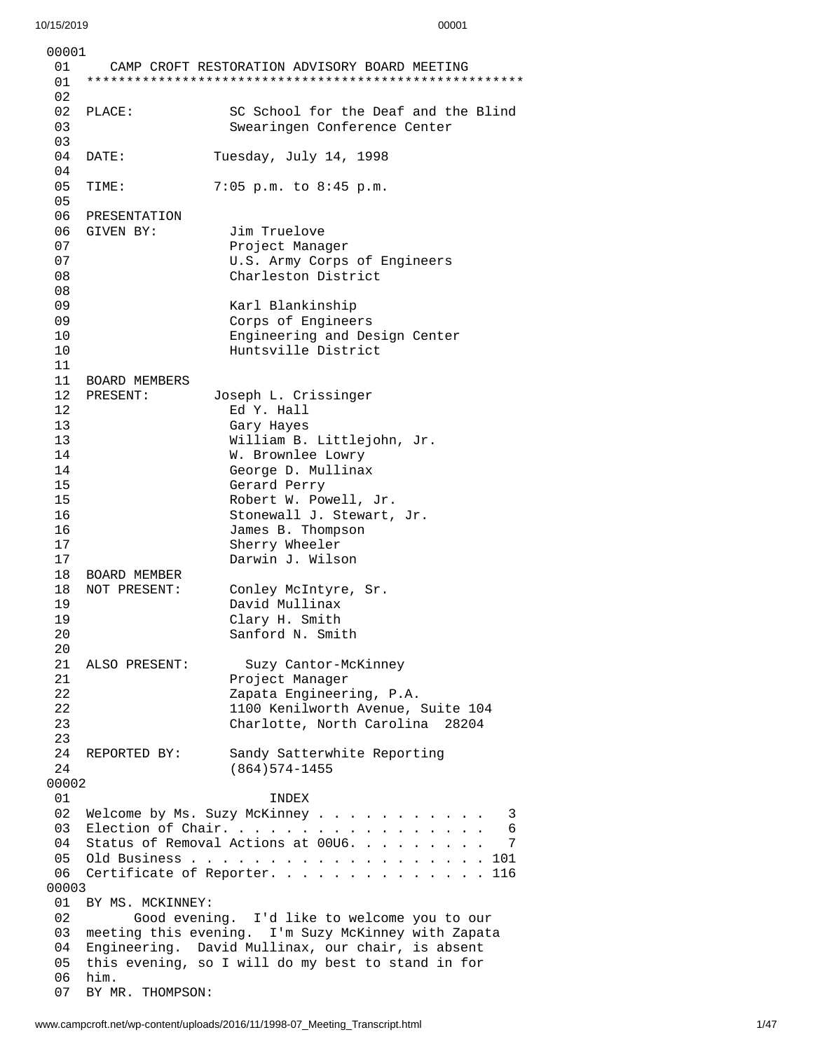| 00001                  |                                                      |                                                                         |
|------------------------|------------------------------------------------------|-------------------------------------------------------------------------|
| 01<br>01               |                                                      | CAMP CROFT RESTORATION ADVISORY BOARD MEETING                           |
| 02                     |                                                      |                                                                         |
| 02                     | PLACE:                                               | SC School for the Deaf and the Blind                                    |
| 03                     |                                                      | Swearingen Conference Center                                            |
| 03<br>04               |                                                      |                                                                         |
| 04                     | DATE:                                                | Tuesday, July 14, 1998                                                  |
| 05                     | TIME:                                                | 7:05 p.m. to 8:45 p.m.                                                  |
| 05                     |                                                      |                                                                         |
| 06                     | PRESENTATION                                         |                                                                         |
| 06                     | GIVEN BY:                                            | Jim Truelove                                                            |
| 07                     |                                                      | Project Manager                                                         |
| 07                     |                                                      | U.S. Army Corps of Engineers                                            |
| 08                     |                                                      | Charleston District                                                     |
| 08                     |                                                      |                                                                         |
| 09                     |                                                      | Karl Blankinship                                                        |
| 09                     |                                                      | Corps of Engineers                                                      |
| 10                     |                                                      | Engineering and Design Center                                           |
| 10<br>11               |                                                      | Huntsville District                                                     |
| 11                     | <b>BOARD MEMBERS</b>                                 |                                                                         |
| 12 <sup>7</sup>        | PRESENT:                                             | Joseph L. Crissinger                                                    |
| 12                     |                                                      | Ed Y. Hall                                                              |
| 13                     |                                                      | Gary Hayes                                                              |
| 13                     |                                                      | William B. Littlejohn, Jr.                                              |
| 14                     |                                                      | W. Brownlee Lowry                                                       |
| 14                     |                                                      | George D. Mullinax                                                      |
| 15                     |                                                      | Gerard Perry                                                            |
| 15                     |                                                      | Robert W. Powell, Jr.                                                   |
| 16                     |                                                      | Stonewall J. Stewart, Jr.                                               |
| 16                     |                                                      | James B. Thompson                                                       |
| 17<br>17               |                                                      | Sherry Wheeler<br>Darwin J. Wilson                                      |
| 18                     | <b>BOARD MEMBER</b>                                  |                                                                         |
| 18                     | NOT PRESENT:                                         | Conley McIntyre, Sr.                                                    |
| 19                     |                                                      | David Mullinax                                                          |
| 19                     |                                                      | Clary H. Smith                                                          |
| 20                     |                                                      | Sanford N. Smith                                                        |
| 20                     |                                                      |                                                                         |
| 21                     | ALSO PRESENT:                                        | Suzy Cantor-McKinney                                                    |
| 21                     |                                                      | Project Manager                                                         |
| 22                     |                                                      | Zapata Engineering, P.A.                                                |
| 22<br>23               |                                                      | 1100 Kenilworth Avenue, Suite 104<br>Charlotte, North Carolina<br>28204 |
| 23                     |                                                      |                                                                         |
| 24                     | REPORTED BY:                                         | Sandy Satterwhite Reporting                                             |
| 24                     |                                                      | $(864)574 - 1455$                                                       |
| 00002                  |                                                      |                                                                         |
| 01                     |                                                      | <b>INDEX</b>                                                            |
| 02                     |                                                      | Welcome by Ms. Suzy McKinney<br>3                                       |
| 03                     | Election of Chair.<br>6                              |                                                                         |
| 04                     | Status of Removal Actions at 00U6.<br>$\overline{7}$ |                                                                         |
| 05<br>06               | Certificate of Reporter. 116                         |                                                                         |
| 00003                  |                                                      |                                                                         |
| BY MS. MCKINNEY:<br>01 |                                                      |                                                                         |
| 02                     | Good evening. I'd like to welcome you to our         |                                                                         |
| 03                     | meeting this evening. I'm Suzy McKinney with Zapata  |                                                                         |
| 04                     | Engineering. David Mullinax, our chair, is absent    |                                                                         |
| 05                     | this evening, so I will do my best to stand in for   |                                                                         |
| 06                     | him.                                                 |                                                                         |
| 07                     | BY MR. THOMPSON:                                     |                                                                         |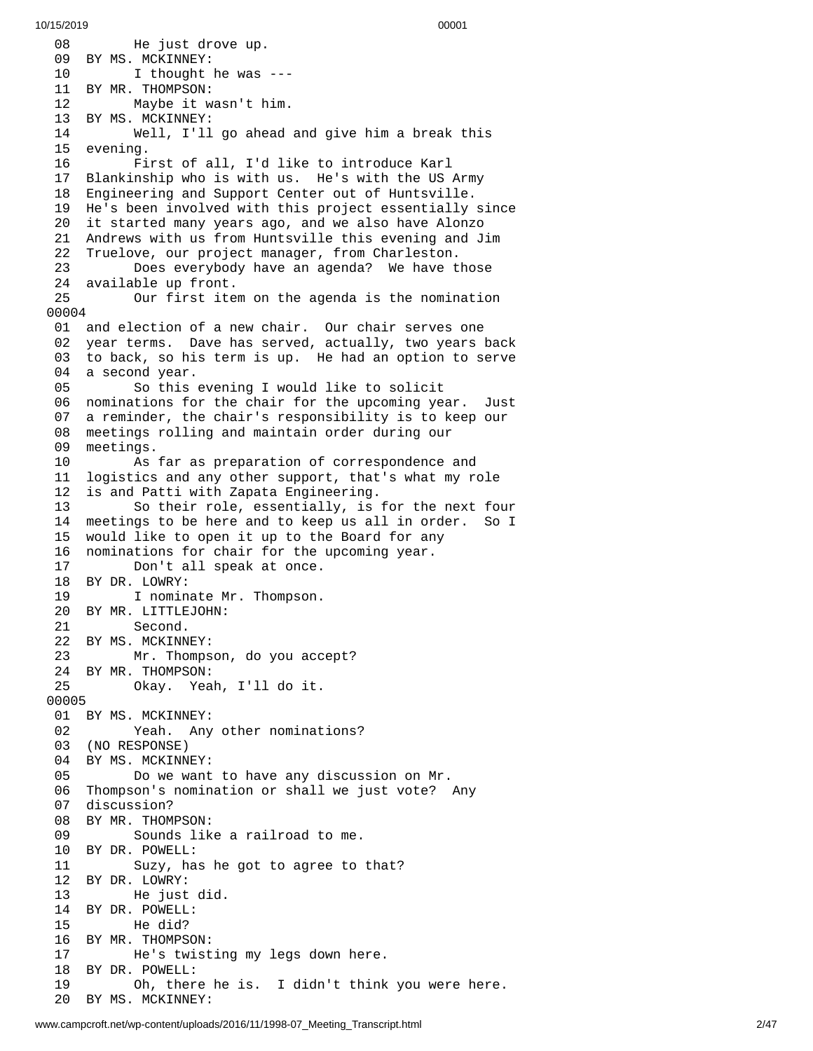0 8 He just drove up. 09 BY MS. MCKINNEY: 10 I thought he was - - - 11 BY MR. THOMPSON: 12 Maybe it w a s n't h i m. 13 BY MS. MCKINNEY: 14 Well, I'll go ahead a n d g i v e h i m a b r e a k t h i s 1 5 e v e n i n g. 16 First of all, I'd like to introduce Karl 17 Blankinship who is with us. He's with the US Army 18 Engineering and Support Center out of Huntsville. 19 He's been involved with this project essentially s i n c e 20 it started many years ago, and we also have Alonzo 21 Andrews with us from Huntsville this evening and Jim 22 Truelove, our project manager, from Charleston. 23 Does everybody have an agenda? We have t h o s e 24 available up front. 25 Our first item on the agenda is the nomination 0 0 0 0 4 01 and election of a new chair. Our chair serves one 0 2 year terms. Dave has served, actually, two years back 03 to back, so his term is up. He had an option to serve 04 a second year. 05 So this evening I would like to solicit 06 nominations for the chair for the upcoming year. J $\,$  J $\,$ u s t 0 7 a reminder, the chair's responsibility is to keep our 0 8 meetings rolling and maintain order during our 0 9 meetings. 10 As far as preparation of correspondence and 11 logistics and any other support, that's what my role 1 2 is and Patti with Zapata Engineering. 13 So their role, essentially, is for the next four 14 meetings to be here and to keep us all in order. So I 15 would like to open it up to the Board for any 16 nominations for chair for the upcoming year. 17 Don't all speak at once. 18 BY DR. LOWRY: 19 I nominate Mr. Thompson. 20 BY MR. LITTLEJOHN: 21 Second. 22 BY MS. MCKINNEY: 23 Mr. Thompson, do you accept? 24 BY MR. THOMPSON: 25 Okay. Yeah, I'll do it. 00005 01 BY MS. MCKINNEY: 02 Yeah. Any other nominations? 03 (NO RESPONSE) 04 BY MS. MCKINNEY: 05 Do we want to have any discussion on M r. 06 Thompson's nomination or shall we just vote? A n y 07 discussion? 08 BY MR. THOMPSON: 09 Sounds like a railroad to me. 10 BY DR. POWELL: 11 Suzy, has he got to agree to t h a t ? 1 2 B Y D R. L O W R Y: 13 He just d i d. 14 BY DR. POWELL: 15 He did? 16 BY MR. THOMPSON: 17 He's twisting my legs down here. 18 BY DR. POWELL: 19 Oh, there he is. I didn't think y o u w e r e h e r e. 20 BY MS. MCKINNEY: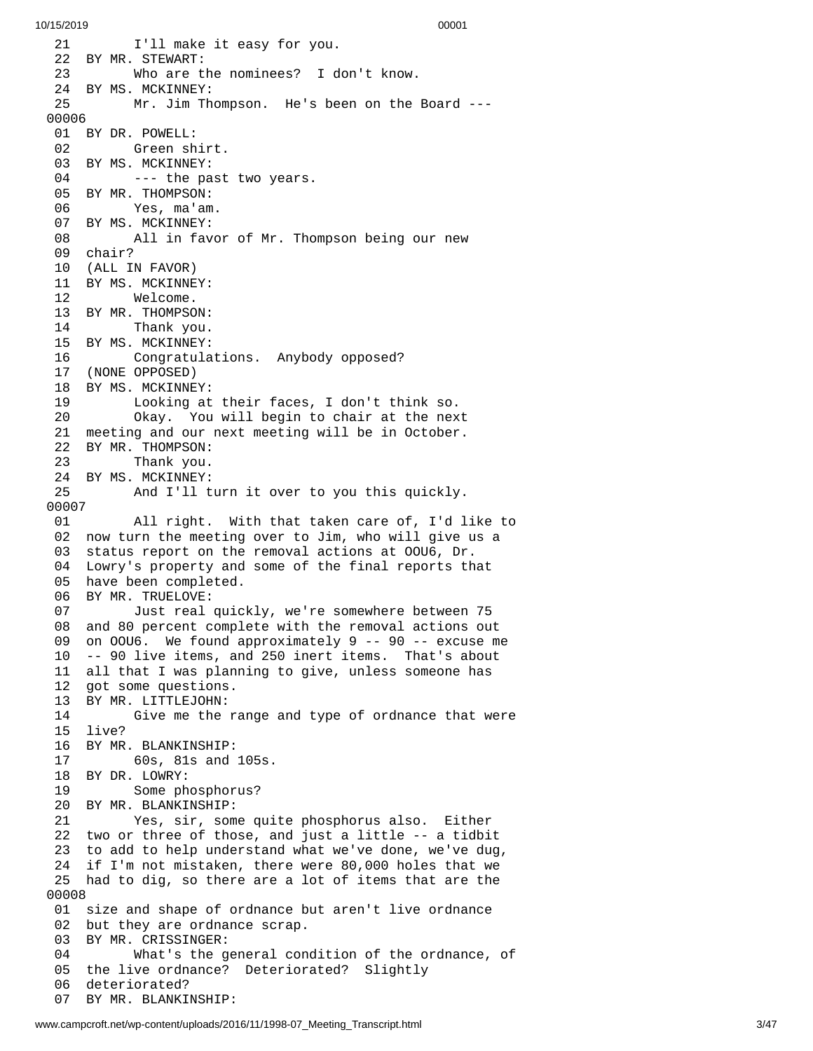2 1 I'll make it easy for you. 22 BY MR. STEWART: 23 Who are the nominees? I d o n't k n o w. 24 BY MS. MCKINNEY: 25 Mr. Jim Thompson. He's been on the Board ---0 0 0 0 6 01 BY DR. POWELL: 02 Green sh i r t. 03 BY MS. MCKINNEY: 04 --- the past two years. 05 BY MR. THOMPSON: 06 Yes, ma'am. 07 BY MS. MCKINNEY: 08 All in favor of Mr. Thompson being our new 09 chair? 10 (ALL IN FAVOR) 11 BY MS. MCKINNEY: 12 Welcome. 13 BY MR. THOMPSON: 14 Thank you. 15 BY MS. MCKINNEY: 16 Congratulations. Anybody opposed? 17 (NONE OPPOSED) 18 BY MS. MCKINNEY: 19 Looking at their faces, I don't think so. 20 Okay. You will begin to chair at the nex t 21 meeting and our next meeting will be in October. 22 BY MR. THOMPSON: 23 Thank you. 24 BY MS. MCKINNEY: 25 And I'll turn it over to you this quickly. 00007 01 All right. With that taken care of, I'd l i k e t o 02 now turn the meeting over to Jim, who will give us a 03 status report on the removal actions at OOU6, Dr. 04 Lowry's property and some of the final reports th a t 05 have been completed. 06 BY MR. TRUELOVE:<br>07 Just real 07 Just real quickly, we're somewhere between 75 08 and 80 percent complete with the removal actions out 0 9 on OOU6. We found approximately 9 -- 90 -- excuse me 10 -- 90 live items, and 250 inert items. That's about 11 all that I was planning to give, unless someone has 1 2 got some questions. 13 BY MR. LITTLEJOHN: 14 Give me the range and type of ordnance that were 1 5 l i v e ? 16 BY MR. BLANKINSHIP: 17 60s, 81s and 1 0 5 s. 18 BY DR. LOWRY: 19 Some phosphorus? 20 BY MR. BLANKINSHIP: 21 Yes, sir, some qui t e p h o s p h o r u s a l s o. E i t h e r 22 two or three of those, and just a little -- a tidbit 23 to add to help understand what we've done, we've dug, 24 if I'm not mistaken, there were 80,000 holes that we 25 had to dig, so there are a lot of items that are the 0 0 0 0 8 01 size and shape of ordnance but aren't live ordnance 02 but they are ordnance scrap. 03 BY MR. CRISSINGER: 04 What's the general con d i t i o n o f t h e o r d n a n c e , o f 05 the live ordnance? Deteriorated? Slightly 0 6 deteriorated? 0 7 BY MR. BLANKINSHIP: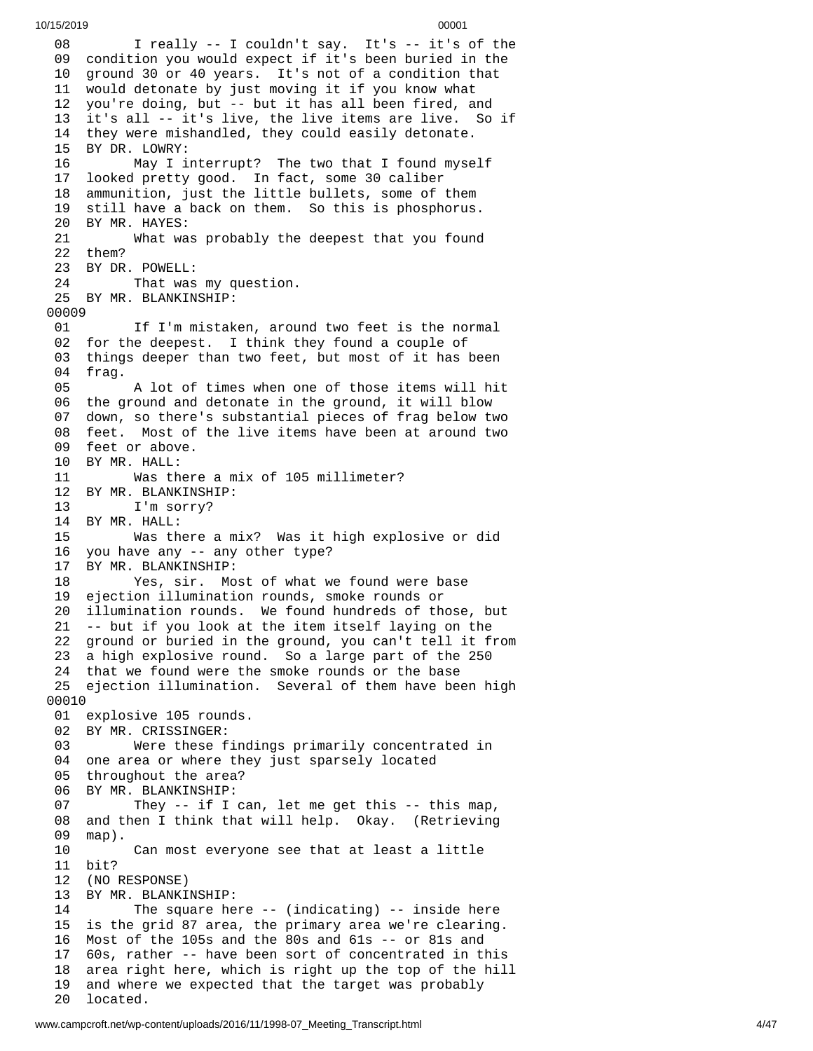```
10/15/2019 00001
```
0 8 I really -- I couldn't say. It's -- it's of the 09 condition you would expect if it's been buried in the 10 ground 30 or 40 years. It's not of a condition that 11 would detonate by just moving it if you know what 12 you're doing, but -- but it has all been fired, and 13 it's all -- it's live, the live items are live. So if 14 they were mishandled, they could easily detonate. 15 BY DR. LOWRY: 16 May I interrupt? The two that I found myse l f 1 7 looked pretty good. In fact, some 30 caliber 18 ammunition, just the little bullets, some of them 19 still have a back on them. So this is phosphorus. 20 BY MR. HAYES:<br>21 What wa What was probably the deepest that you found 22 them? 23 BY DR. POWELL: 24 That was my question. 25 BY MR. BLANKINSHIP: 00009 01 If I'm mistaken, around two feet is the normal 02 for the deepest. I think they found a couple of 0 3 things deeper than two feet, but most of it has been 0 4 f r a g. 05 A lot of times when one of those items will hit 06 the ground and detonate in the ground, it will blow 0 7 down, so there's substantial pieces of frag below two 08 feet. Most of the live items have been at around two 09 feet or above. 10 BY MR. HALL:<br>11 Was th 11 Was there a mix of 105 millimeter? 12 BY MR. BLANKINSHIP: 13 I'm sorry? 14 BY MR. HALL: 15 Was there a m i x ? W a s i t h i g h e x p l o s i v e o r d i d 16 you have any -- any other type? 17 BY MR. BLANKINSHIP: 18 Yes, sir. Most of what we found were base 19 ejection illumination rounds, smoke rounds or 20 illumination rounds. We found hundreds of those, but 21 -- but if you look at the item itself laying on the 22 ground or buried in the ground, you can't tell it from 23 a high explosive round. So a large part of the 250 24 that we found were the smoke rounds or the base 25 ejection illumination. Several of them have been high 00010 01 explosive 105 rounds. 02 BY MR. CRISSINGER: 03 Were these findings primarily concentrated in 04 one area or where they just sparsely located 05 throughout the area? 06 BY MR. BLANKINSHIP: 07 They -- if I can, let me get this -- this map, 0 8 and then I think that will help. Okay. (Retrieving 0 9 m a p ). 10 Can most everyone see that at least a little 11 bit? 12 (NO RESPONSE) 13 BY MR. BLANKINSHIP: 14 The square here -- (indicating) -- inside here 15 is the grid 87 area, the primary area we're clearing. 16 Most of the 105s and the 80s and 61s -- or 81s and 17 60s, rather -- have been sort of concentrated in this 18 area right here, which is right up the top of the hil l 1 9 and where we expected that the target was probably 20 located.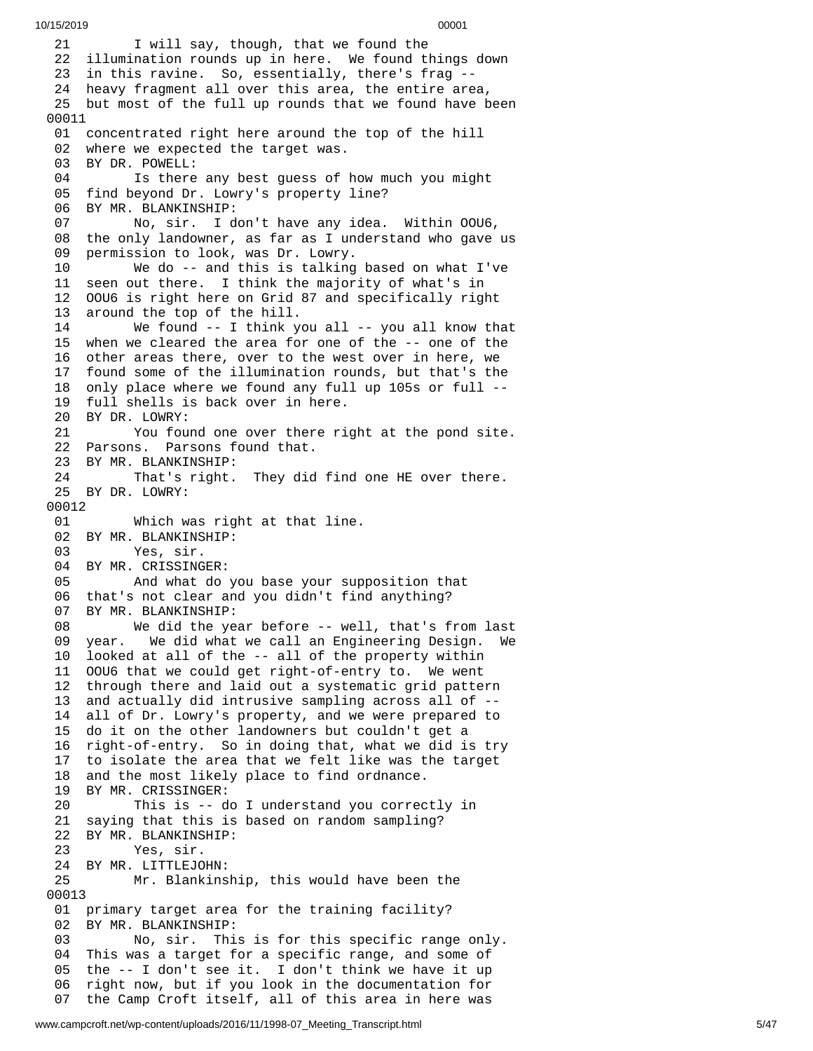1 I will say, though, that we found the 22 illumination rounds up in here. We found things down 23 in this ravine. So, essentially, there's frag --24 heavy fragment all over this area, the entire area, 25 but most of the full up rounds that we found have been 01 concentrated right here around the top of the hill 02 where we expected the target was. BY DR. POWELL: 04 Is there any best guess of how much you might 05 find beyond Dr. Lowry's property line? 06 BY MR. BLANKINSHIP: 07 No, sir. I don't have any idea. Within OOU6, 08 the only landowner, as far as I understand who gave us 9 permission to look, was Dr. Lowry. We do -- and this is talking b a s e d o n w h a t I'v e 11 seen out there. I think the majority of what's in 12 00U6 is right here on Grid 87 and specifically right 3 around the top of the hill. We found -- I think y o u a l l - - y o u a l l k n o w t h a t 15 when we cleared the area for one of the -- one of the 16 other areas there, over to the west over in here, we 7 found some of the illumination rounds, but that's the 18 only place where we found any full up 105s or full --19 full shells is back over in here. BY DR. LOWRY: 21 You found one over there right at the pond site. Parsons. Parsons found that. BY MR. BLANKINSHIP: That's right. They did find one HE over there. BY DR. LOWRY: Which was right at that line. BY MR. BLANKINSHIP: Yes, sir. BY MR. CRISSINGER: And what do you base your supposition that that's not clear and you didn't find anything? BY MR. BLANKINSHIP: We did the year before -- well, that's from last year. We did what we call an Engineering Design. We looked at all of the -- all of the property within OOU6 that we could get right-of-entry to. We went through there and laid out a systematic grid pattern and actually did intrusive sampling across all of -- all of Dr. Lowry's property, and we were prepared to do it on the other landowners but couldn't get a right-of-entry. So in doing that, what we did is try to isolate the area that we felt like was the target 18 and the most likely place to find ordnance.<br>19 BY MR. CRISSINGER: BY MR. CRISSINGER: This is -- do I understand you correctly in saying that this is based on random sampling? BY MR. BLANKINSHIP: Yes, sir. BY MR. LITTLEJOHN: Mr. Blankinship, this would have been the primary target area for the training facility? BY MR. BLANKINSHIP: No, sir. This is for this specific range only. This was a target for a specific range, and some of the -- I don't see it. I don't think we have it up right now, but if you look in the documentation for the Camp Croft itself, all of this area in here was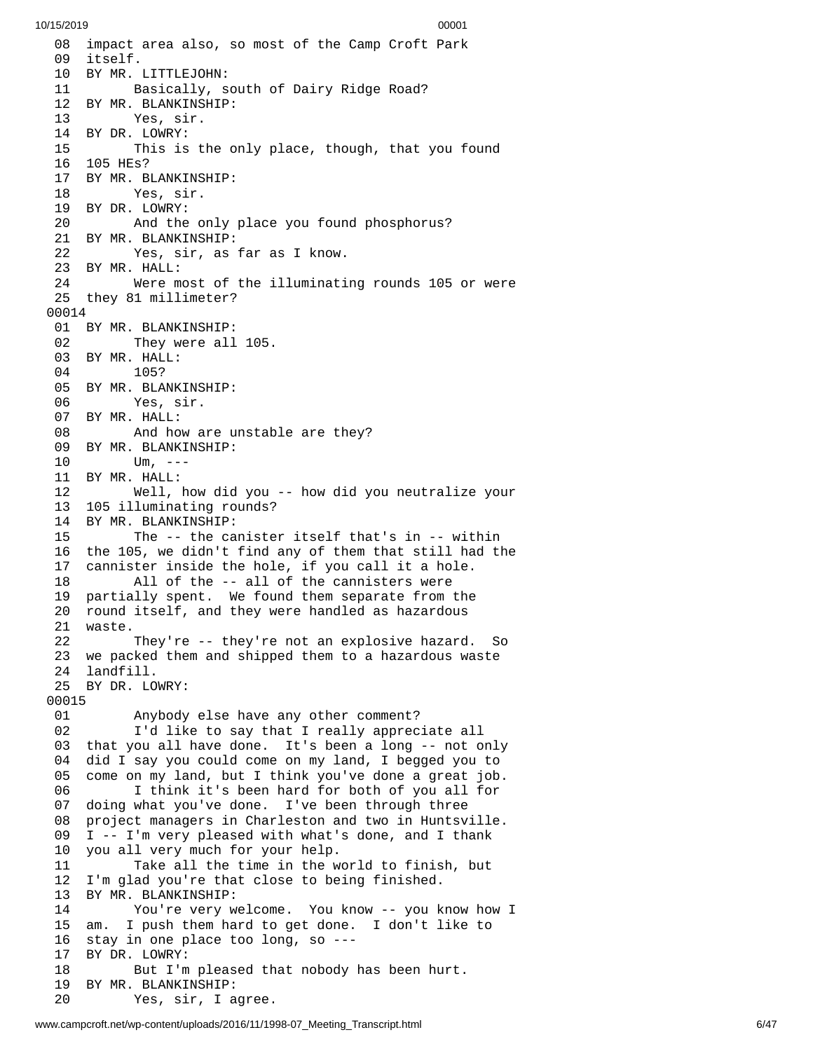10/15/2019 00001 08 impact area also, so most of the Camp Croft Park 09 itself. 10 BY MR. LITTLEJOHN: 11 Basically, south of Dairy Ridge Road? 12 BY MR. BLANKINSHIP: 13 Yes, sir. 14 BY DR. LOWRY: 15 This is the only place, though, that you found 1 6 1 0 5 H E s ? 17 BY MR. BLANKINSHIP: 18 Yes, sir. 19 BY DR. LOWRY: 20 And the only p l a c e y o u f o u n d p h o s p h o r u s ? 21 BY MR. BLANKINSHIP: 22 Yes, sir, as far as I know. 23 BY MR. HALL: 24 Were most of the illuminati n g r o u n d s 1 0 5 o r w e r e 25 they 81 millimeter? 0 0 0 1 4 01 BY MR. BLANKINSHIP: 02 They were all 1 0 5. 03 BY MR. HALL: 105? 05 BY MR. BLANKINSHIP: 06 Yes, sir. 07 BY MR. HALL: 08 And how are unstable are they? 09 BY MR. BLANKINSHIP: 10 Um, --- 11 BY MR. HALL: 12 Well, how did y o u - - h o w d i d y o u n e u t r a l i z e y o u r 13 105 illuminating rounds? 14 BY MR. BLANKINSHIP: 15 The -- the canister itself that's in -- within 16 the 105, we didn't find any of them that still had the 1 7 cannister inside the hole, if you call it a hole. 18 All of the -- all of the cannisters were 19 partially spent. We found them separate from the 20 round itself, and they were handled as hazardous 21 waste. 22 They're -- they're not an explosive hazard. -So 23 we packed them and shipped them to a hazardous waste 24 landfill. 25 BY DR. LO W R Y: 00015 01 Anybody e l s e h a v e a n y o t h e r c o m m e n t ? 0 2 I'd like to say that I really appreciate all 03 that you all have done. It's been a long -- not only 04 did I say you could come on my land, I begged you to 0 5 come on my land, but I think you've done a great job. 06 I think it's been hard for both of you all for 07 doing what you've done. I've been through three<br>08 project managers in Charleston and two in Huntsv project managers in Charleston and two in Huntsville. 09 I -- I'm very pleased with what's done, and I thank 10 you all very much for your help. 11 Take all the time in the world to finish, but 12 I'm glad you're that close to being finished.<br>13 BY MR. BLANKINSHIP: BY MR. BLANKINSHIP: 14 You're very welcome. You know -- you know how I 15 am. I push them hard to get done. I don't like to 16 stay in one place too long, so ---1 7 BY DR. LOWRY: 18 But I'm pleased that nobody has been hurt. 19 BY MR. BLANKINSHIP: 20 Yes, sir, I agree.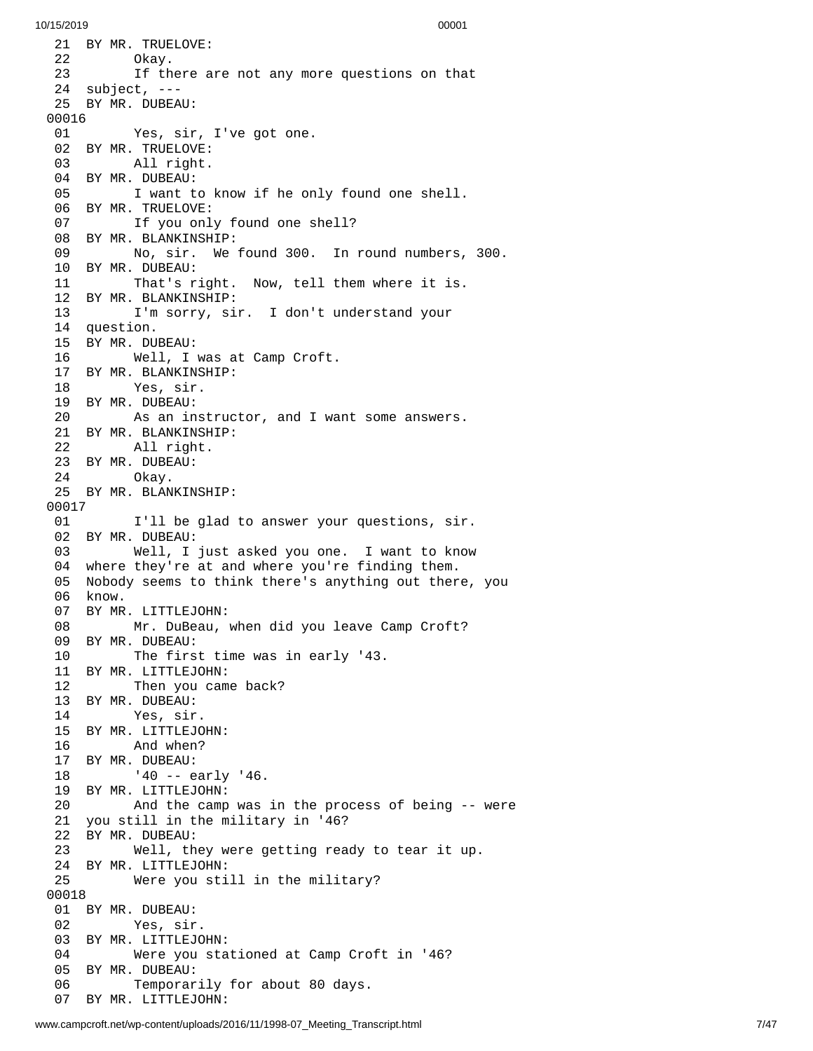21 BY MR. TRUELOVE: Okay. 23 If there are not any more questions on that 4 s u b j e c t , - - - 25 BY MR. DUBEAU: 01 Yes, sir, I've got one. BY MR. TRUELOVE: All right. BY MR. DUBEAU: 05 I want to know if he only found one shell. BY MR. TRUELOVE: If you only found one shell? BY MR. BLANKINSHIP: No, sir. We found 300. In round numbers, 3 0 0. BY MR. DUBEAU: That's right. Now, tell them where it is. BY MR. BLANKINSHIP: I'm sorry, sir. I don't understand your question. BY MR. DUBEAU: Well, I was at Camp Croft. BY MR. BLANKINSHIP: Yes, sir. BY MR. DUBEAU: As an instructor, and I want some answers. BY MR. BLANKINSHIP: All right. BY MR. DUBEAU: Okay. BY MR. BLANKINSHIP: I'll be glad to answer your questions, sir. BY MR. DUBEAU: Well, I just asked you one. I want to know where they're at and where you're finding them. Nobody seems to think there's anything out there, you know. BY MR. LITTLEJOHN: Mr. DuBeau, when did you leave Camp Croft? BY MR. DUBEAU: The first time was in early '43. BY MR. LITTLEJOHN: Then you came back? BY MR. DUBEAU: Yes, sir. BY MR. LITTLEJOHN: And when? BY MR. DUBEAU: '40 -- early '46. BY MR. LITTLEJOHN: And the camp was in the process of being -- wer e 1 you still in the military in '46? 22 BY MR. DUBEAU: Well, th e y w e r e g e t t i n g r e a d y t o t e a r i t u p. BY MR. LITTLEJOHN: Were you still in the military? 0 0 1 8 01 BY MR. DUBEAU: Yes, sir. BY MR. LITTLEJO H N: Were you sta t i o n e d a t C a m p C r o f t i n '4 6 ? 5 BY MR. DUBEAU: 06 Temporarily for about 80 days. BY MR. LITTLEJOHN: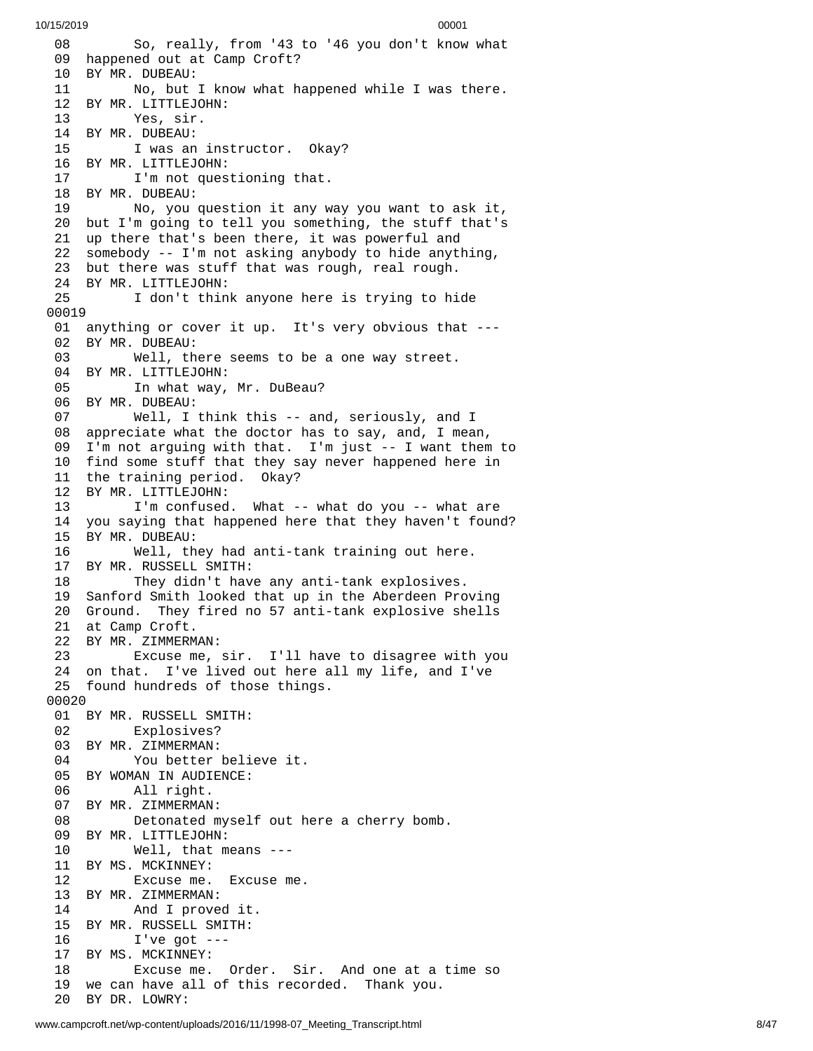8 So, really, from '43 to '46 you don't know what 09 happened out at Camp Croft? 10 BY MR. DUBEAU: No, but I k n o w w h a t h a p p e n e d w h i l e I w a s t h e r e. BY MR. LITTLEJOHN: Yes, sir. BY MR. DUBEAU: I was an instructor. Okay? BY MR. LITTLEJOHN: I'm not questioning that. BY MR. DUBEAU: No, you question it any way you want to ask it, but I'm going to tell you something, the stuff that's up there that's been there, it was powerful and somebody -- I'm not asking anybody to hide anything, but there was stuff that was rough, real rough. BY MR. LITTLEJOHN: I don't think anyone here is trying to hide 01 anything or cover it up. It's very obvious that ---02 BY MR. DUBEAU: Well, th e r e s e e m s t o b e a o n e w a y s t r e e t. 04 BY MR. LITTLEJOHN:<br>05 In what way, In what way, Mr. DuBeau? BY MR. DUBEAU: Well, I think this -- and, seriously, and I 08 appreciate what the doctor has to say, and, I mean, 9 I'm not arguing with that. I'm just -- I want them to 10 find some stuff that they say never happened here in 11 the training period. Okay? 12 BY MR. LITTLEJOHN: 13 I'm confused. What -- what do you -- what are 14 you saying that happened here that they haven't found? 15 BY MR. DUBEAU: Well, th e y h a d a n t i - t a n k t r a i n i n g o u t h e r e. BY MR. RUSSELL SMITH: They didn't have any anti-tank explosives. Sanford Smith looked that up in the Aberdeen Prov i n g 20 Ground. They fired no 57 anti-tank explosive shells 21 at Camp Croft. BY MR. ZIMMERM A N: 23 Excuse me, sir. I'll have to disagree with you 24 on that. I've lived out here all my life, and I've 25 found hundreds of those things. BY MR. RUSSELL SMITH: Explosives? BY MR. ZIMMERMAN: You better believe it. BY WOMAN IN AUDIENCE: All right. BY MR. ZIMMERMAN: Detonated myself out here a c h e r r y b o m b. BY MR. LITTLEJOHN: Well, that means --- BY MS. MCKINNEY: Excuse me. Excuse me. BY MR. ZIMMERMAN: And I proved it. BY MR. RUSSELL SMITH: I've got --- BY MS. MCKINNEY: 18 Excuse me. Order. Sir. And one at a time so 19 we can have all of this recorded. Thank you. BY DR. LOWRY: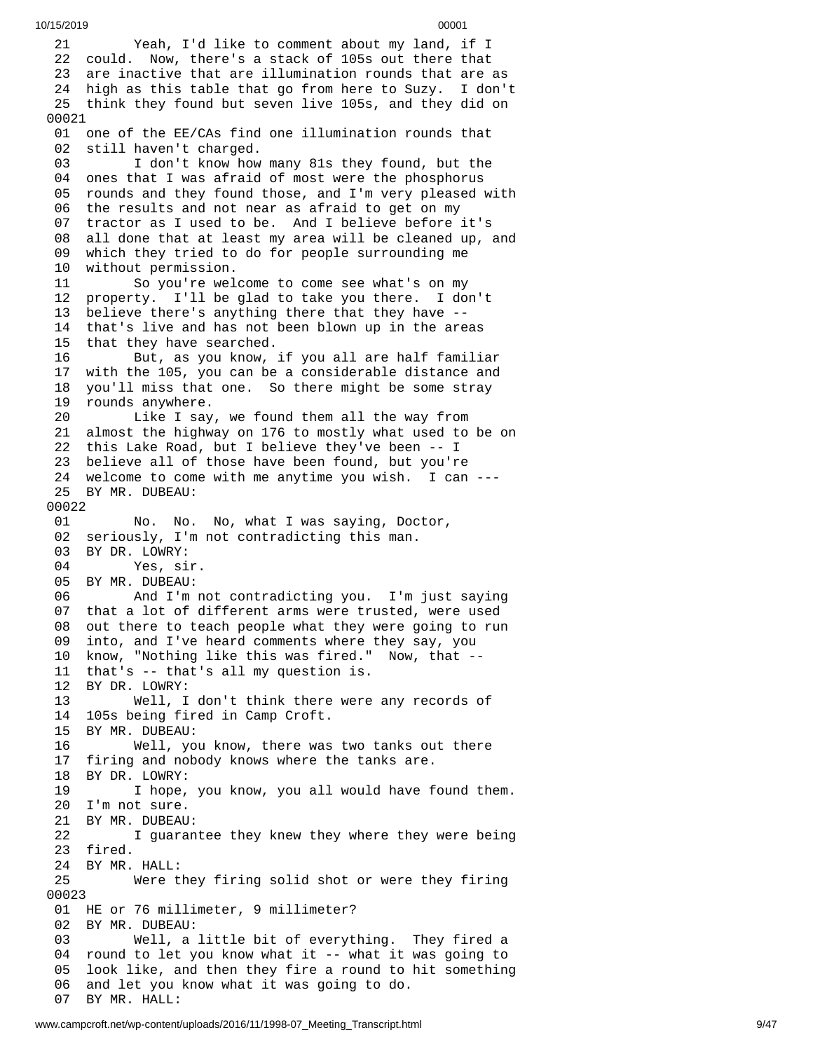2 1 Yeah, I'd like to comment about my land, if I 22 could. Now, there's a stack of 105s out there that 23 are inactive that are illumination rounds that are as 24 high as this table that go from here to Suzy. I don't 25 think they found but seven live 105s, and they did on 0 0 0 2 1 01 one of the EE/CAs find one illumination rounds that 02 still haven't charged. 03 I don't know how many 81s they found, but the 04 ones that I was afraid of most were the phosphorus 05 rounds and they found those, and I'm very pleased with 06 the results and not near as afraid to get on my 07 tractor as I used to be. And I believe before it's 08 all done that at least my area will be cleaned up, and 09 which they tried to do for people surrounding me 1 0 w i t h o u t p e r m i s s i o n. 11 So you're wel c o m e t o c o m e s e e w h a t's o n m y 12 property. I'll be glad to take you there. I don't 13 believe there's anything there that they have --14 that's live and has not been blown up in the areas 1 5 that they have searched. 16 But, as you know, if you all are half familiar 17 with the 105, you can be a considerable distance and 1 8 you'll miss that one. So there might be some stray 1 9 rounds anywhere. 20 Like I say, we found them all the way from 21 almost the highway on 176 to mostly what used to be on 22 this Lake Road, but I believe they've been -- I 23 believe all of those have been found, but you're 24 welcome to come with me anytime you wish. I can ---25 BY MR. DUBEAU: 00022 01 No. No. N o, what I was saying, Doctor, 02 seriously, I'm not contradicting this man. 03 BY DR. LOWRY: 04 Yes, sir. 05 BY MR. DUBEAU: 06 And I'm not contradicting you. I'm j u s t s a y i n g 07 that a lot of different arms were trusted, were used 0 8 out there to teach people what they were going to run 0 9 into, and I've heard comments where they say, you 10 know, "Nothing like this was fired." Now, that --11 that's -- that's all my question is. 12 BY DR. LOWRY: 13 Well, I don't think there were a n y r e c o r d s o f 14 105s being fired in Camp Croft. 15 BY MR. DUBEAU: 16 Well, you know, there was t w o t a n k s o u t t h e r e 1 7 firing and nobody knows where the tanks are. 18 BY DR. LOWRY: 19 I hope, you know, you all would have found them. 20 I'm not sure. 21 BY MR. DUBEAU: 22 I guarantee they knew they where they were being 23 fired. 24 BY MR. HALL: 25 Were they firing solid shot or were they firing 0 0 0 2 3 01 HE or 76 millimeter, 9 millimeter? 02 BY MR. DUBEAU: 03 Well, a little bit of everything. They fired a 04 round to let you know what it -- what it was going to 0 5 look like, and then they fire a round to hit something 0 6 and let you know what it was going to do. 07 BY MR. HALL: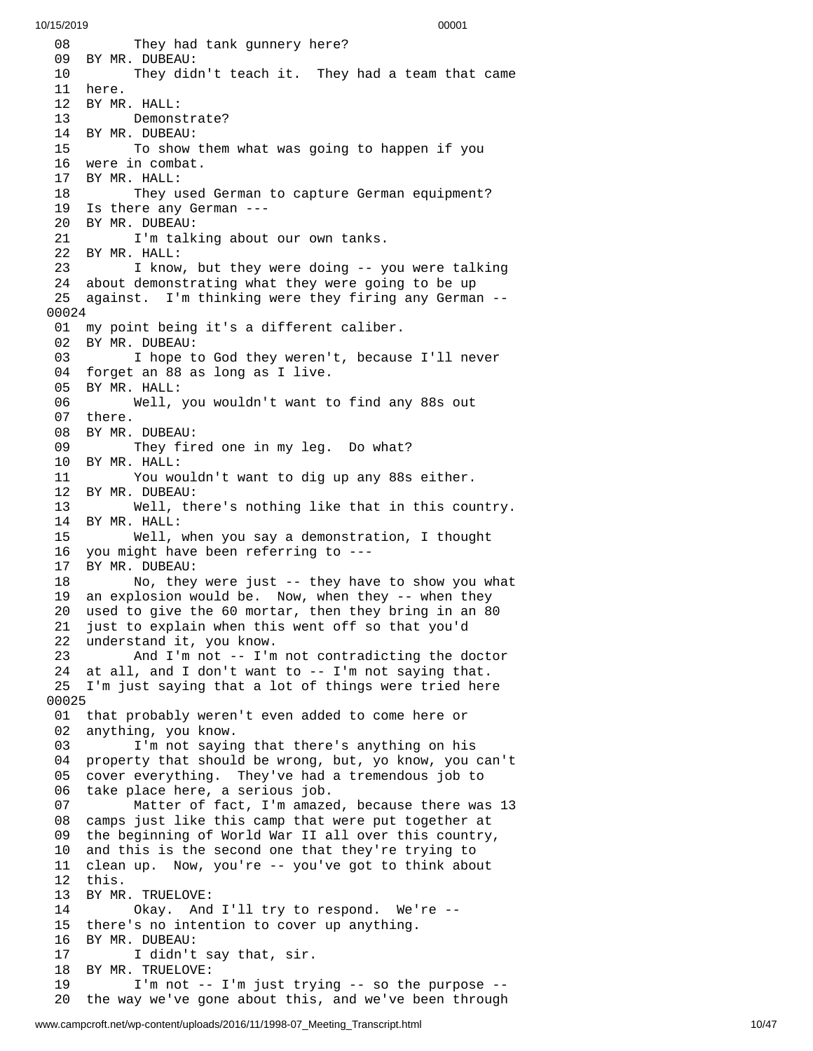0 8 They had tank gunnery here? 09 BY MR. DUBEAU: 10 They didn't teach it. They had a team that came 1 1 h e r e. 12 BY MR. H A L L: 13 Demonstrate? 14 BY MR. DUBEAU: 15 To show them what was going to happen if you 16 were in combat. 17 BY MR. HALL: 18 They used German to capture German equipment? 19 Is there any German ---20 BY MR. DUBEAU: 21 I'm talking about our own tanks. 22 BY MR. HALL: 23 I know, but they were doing -- you were talking 24 about demonstrating what they were going to be up 25 against. I'm thinking were they firing any German --0 0 0 2 4 01 my point being it's a different caliber. 02 BY MR. DUBEAU: 03 I hope to God they weren't, because I'll never 04 forget an 88 as long as I live. 05 BY MR. HALL: 06 Well, you wouldn't want t o f i n d a n y 8 8 s o u t 07 there. 08 BY MR. DUBEAU: 09 They fired one in my leg. Do what? 1 0 B Y M R. H A L L: 11 You wouldn't want to dig up any 88s either. 12 BY MR. DUBEAU: 13 Well, there's nothing like that in this cou n t r y. 14 BY MR. HALL: 15 Well, when you say a demonstration, I thought 16 you might have been referring to --- BY MR. DUBEAU: 18 No, they were just -- they have to show you what 19 an explosion would be. Now, when they -- when they used to give the 60 mortar, then they bring in an 80 21 just to explain when this went off so that you'd 22 understand it, you know. 23 And I'm not -- I'm not contradicting the doctor 24 at all, and I don't want to -- I'm not saying that. 25 I'm just saying that a lot of things were tried here 0 0 0 2 5 01 that probably weren't even added to come here or 02 anything, you know. 03 I'm not saying that there's anything on his 04 property that should be wrong, but, yo know, you can't 05 cover everything. They've had a tremendous job to 06 take place here, a serious job. 07 Matter of fact, I'm amaze d , b e c a u s e t h e r e w a s 1 3 08 camps just like this camp that were put together at 09 the beginning of World War II all over this country, 1 0 and this is the second one that they're trying to 11 clean up. Now, you're -- you've got to think about 1 2 t h i s. 13 BY MR. TRUELOVE: 14 Okay. And I'l l t r y t o r e s p o n d. W e'r e - - 15 there's no intention to cover up anything. 16 BY MR. DUBEAU: 17 I didn't say that, sir. 18 BY MR. TRUELOVE: 19 I'm not -- I'm just trying -- so the purpose --2 0 the way we've gone about this, and we've been through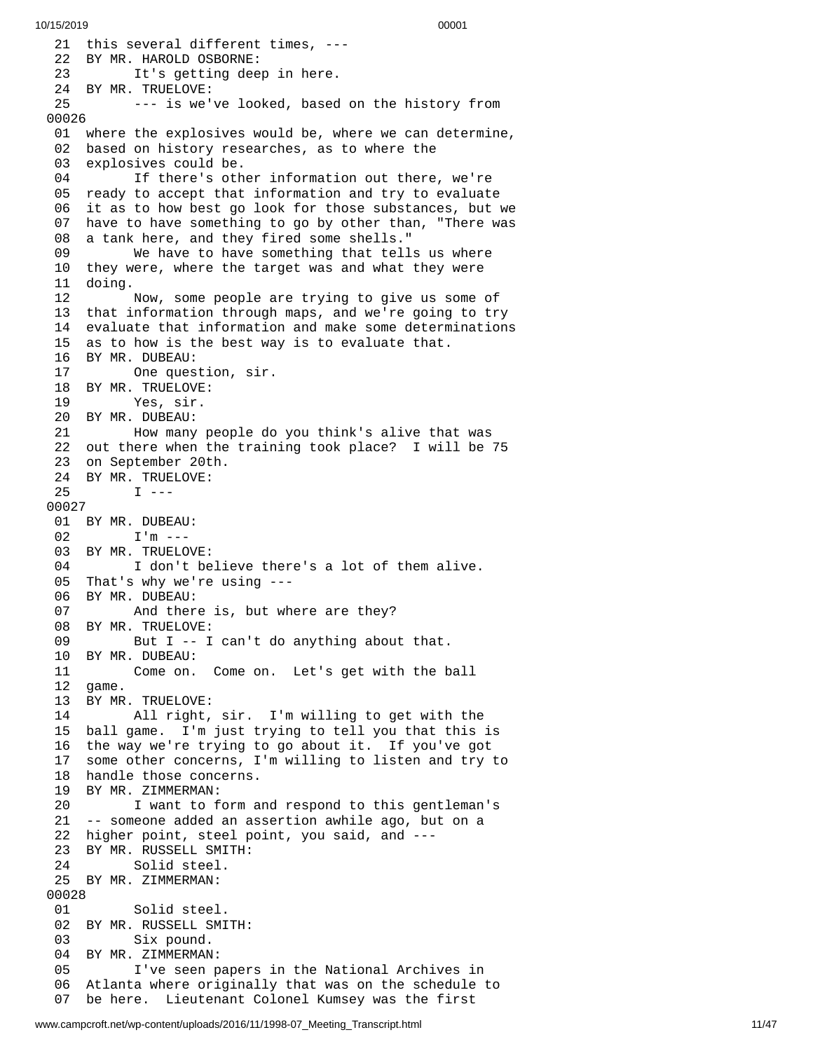21 this several different times, ---22 BY MR. HAROLD OSBORNE: 23 It's getting dee p i n h e r e. 24 BY MR. TRUELOVE: 25 --- is we've looked, based on the history from 0 0 0 2 6 01 where the explosives would be, where we can determine, 02 based on history researches, as to where the 03 explosives could be. 04 If there's other information out there, we're 05 ready to accept that information and try to evaluate 06 it as to how best go look for those substances, but we 07 have to have something to go by other than, "There was 08 a tank here, and they fired some shells." 0 9 We have to have something that tells us where 10 they were, where the target was and what they were 11 doing. 12 Now, some people are trying to give us some of 13 that information through maps, and we're going to try 14 evaluate that information and make some determinations 15 as to how is the best way is to evaluate that. 16 BY MR. DUBEAU: One question, sir. 18 BY MR. TRUELOVE: 19 Yes, sir. 20 BY MR. DUBEAU: 21 How many people do you think's alive tha t w a s 22 out there when the training took place? I will be 75 23 on September 20th. 24 BY MR. TRUELOVE:  $I - - -$ 0 0 0 2 7 01 BY MR. DUBEAU: 02 I'm --- 03 BY MR. TRUELOV E: 04 I don't believe there's a lot of them alive. 05 That's why we're using --- 06 BY MR. DUBEAU: And there is, but where are they? 08 BY MR. TRUELOVE: But  $I - - I$  can't do anything about that. 10 BY MR. DUBEAU: 11 Come on. Come on. Let's get with the ball 12 game. 13 BY MR. TRUELOVE: All right, sir. I'm willing to get with the 15 ball game. I'm just trying to tell you that this i s 16 the way we're trying to go about it. If you've got 17 some other concerns, I'm willing to listen and try to 18 handle those concerns. 19 BY MR. ZIMMERMAN: 20 I want to form and respond to this gentleman's 21 -- someone added an assertion awhile ago, but on a 22 higher point, steel point, you said, and ---23 BY MR. RUSSELL SMITH: 24 Solid steel. 25 BY MR. ZIMMERMAN: 00028 01 Solid steel. 02 BY MR. RUSSELL SMITH: Six pound. 04 BY MR. ZIMMERMAN: 05 I've seen papers in the National Archives in 06 Atlanta where originally that was on the schedule to 07 be here. Lieutenant Colonel Kumsey was the first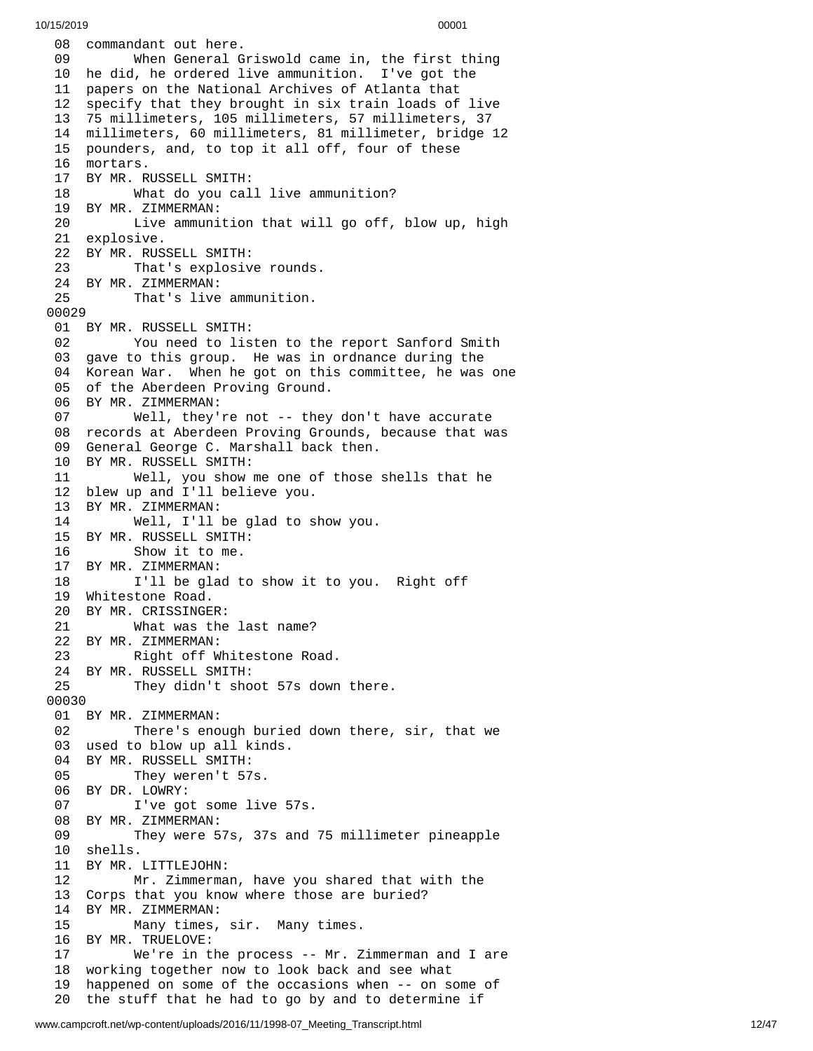08 commandant out here. 09 When General Griswold came in, the first thing 10 he did, he ordered live ammunition. I've got the 11 papers on the National Archives of Atlanta that 1 2 specify that they brought in six train loads of live 13 75 millimeters, 105 millimeters, 57 millimeters, 37 1 4 millimeters, 60 millimeters, 81 millimeter, bridge 12 1 5 pounders, and, to top it all off, four of these 16 mortars. 17 BY MR. RUSSELL SMITH: 18 What do you cal l l i v e a m m u n i t i o n ? 19 BY MR. ZIMMERMAN: 20 Live ammunition that will go off, blow up, high 21 explosive. 22 BY MR. RUSSELL SMITH: 23 That's explosive rounds. 24 BY MR. ZIMMERMAN:<br>25 That's live That's live ammunition. 00029 01 BY MR. RUSSELL SMITH: 02 You need to listen to the report Sanford Smith 03 gave to this group. He was in ordnance during the 04 Korean War. When he got on this committee, he was one 05 of the Aberdeen Proving Ground. 06 BY MR. ZIMMERMAN: 07 Well, they're not -- they d o n't h a v e a c c u r a t e 08 records at Aberdeen Proving Grounds, because that was 09 General George C. Marshall back then. 10 BY MR. RUSSELL SMITH: 11 Well, you show me one of those s h e l l s t h a t h e 12 blew up and I'll believe you. 13 BY MR. ZIMMERMAN: 14 Well, I'll be glad to s h o w y o u. 15 BY MR. RUSSELL SMITH: 16 Show it to me. 17 BY MR. ZIMMERMAN: 18 I'll be glad to show it to you. Right off 19 Whitestone Road. 20 BY MR. CRISSINGE R: 21 What was the last name? 22 BY MR. ZIMMERMAN: 23 Right off W h i t e s t o n e R o a d. 24 BY MR. RUSSELL SMITH: 25 They didn't shoot 57s down t h e r e. 00030 01 BY MR. ZIMMERMAN: 02 There's enough buried down there, sir, that we 03 used to blow up all kinds. 04 BY MR. RUSSELL SMITH: 05 They weren't 57s. 06 BY DR. LOWRY: 07 I've got some live 5 7 s. 08 BY MR. ZIMMERMAN: 09 They were 57s, 37s and 75 millimeter pineapple 1 0 s h e l l s. 11 BY MR. LITTLEJOHN: 12 Mr. Zimmerma n , h a v e y o u s h a r e d t h a t w i t h t h e 13 Corps that you know where those are buried? 14 BY MR. ZIMMERMAN: 15 Many times, sir. Many times. 16 BY MR. TRUELOVE: 17 We're in the process -- Mr. Z i m m e r m a n a n d I a r e 18 working together now to look back and see what 1 9 happened on some of the occasions when -- on some of 20 the stuff that he had to go by and to determine if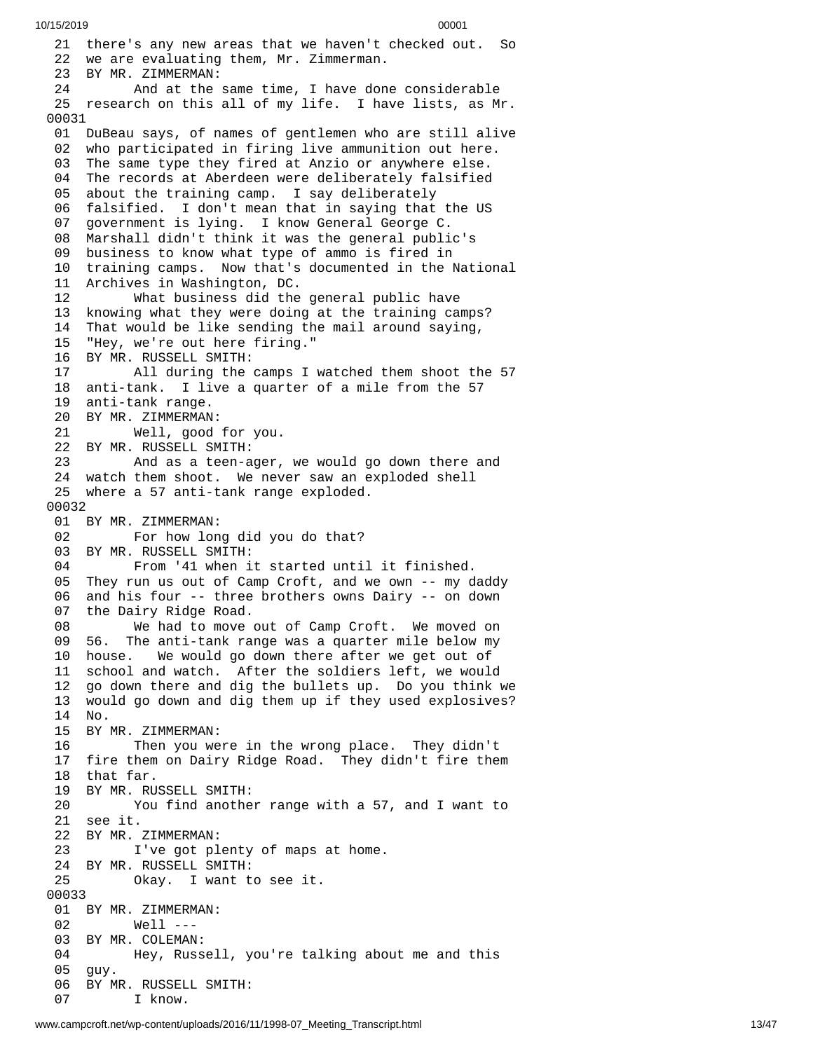21 there's any new areas that we haven't checked out. So 22 we are evaluating them, Mr. Zimmerman. BY MR. ZIMMERMAN: And at the same time, I have don e c o n s i d e r a b l e 25 research on this all of my life. I have lists, as Mr. DuBeau says, of names of gentlemen who are still alive who participated in firing live ammunition out here. The same type they fired at Anzio or anywhere else. The records at Aberdeen were deliberately falsified about the training camp. I say deliberately 06 falsified. I don't mean that in saying that the US<br>07 government is lying. I know General George C. government is lying. I know General George C. Marshall didn't think it was the general public's business to know what type of ammo is fired in training camps. Now that's documented in the National Archives in Washington, DC. What business did the general public have knowing what they were doing at the training camps? That would be like sending the mail around saying, "Hey, we're out here firing." BY MR. RUSSELL SMITH: All during the camps I watched them shoot the 57 anti-tank. I live a quarter of a mile from the 57 anti-tank range. BY MR. ZIMMERMAN: Well, good for you. BY MR. RUSSELL SMITH: And as a teen-ager, we would go down there and watch them shoot. We never saw an exploded shell where a 57 anti-tank range exploded. BY MR. ZIMMERMAN: For how long did you do that? BY MR. RUSSELL SMITH: From '41 when it started until it finished. 05 They run us out of Camp Croft, and we own -- my daddy<br>06 and his four -- three brothers owns Dairy -- on down and his four -- three brothers owns Dairy -- on down the Dairy Ridge Road. We had to move out of Camp Croft. We moved on The anti-tank range was a quarter mile below my house. We would go down there after we get out of school and watch. After the soldiers left, we would go down there and dig the bullets up. Do you think we would go down and dig them up if they used explosives? No. BY MR. ZIMMERMAN: Then you were in the wrong place. They didn't fire them on Dairy Ridge Road. They didn't fire them that far. BY MR. RUSSELL SMITH: You find another range with a 57, and I want to see it. BY MR. ZIMMERMAN: I've got plenty of maps at home. BY MR. RUSSELL SMITH: Okay. I want to see it. BY MR. ZIMMERMAN: Well --- BY MR. COLEMAN: Hey, Russell, you're talking about me and this guy. BY MR. RUSSELL SMITH: I know.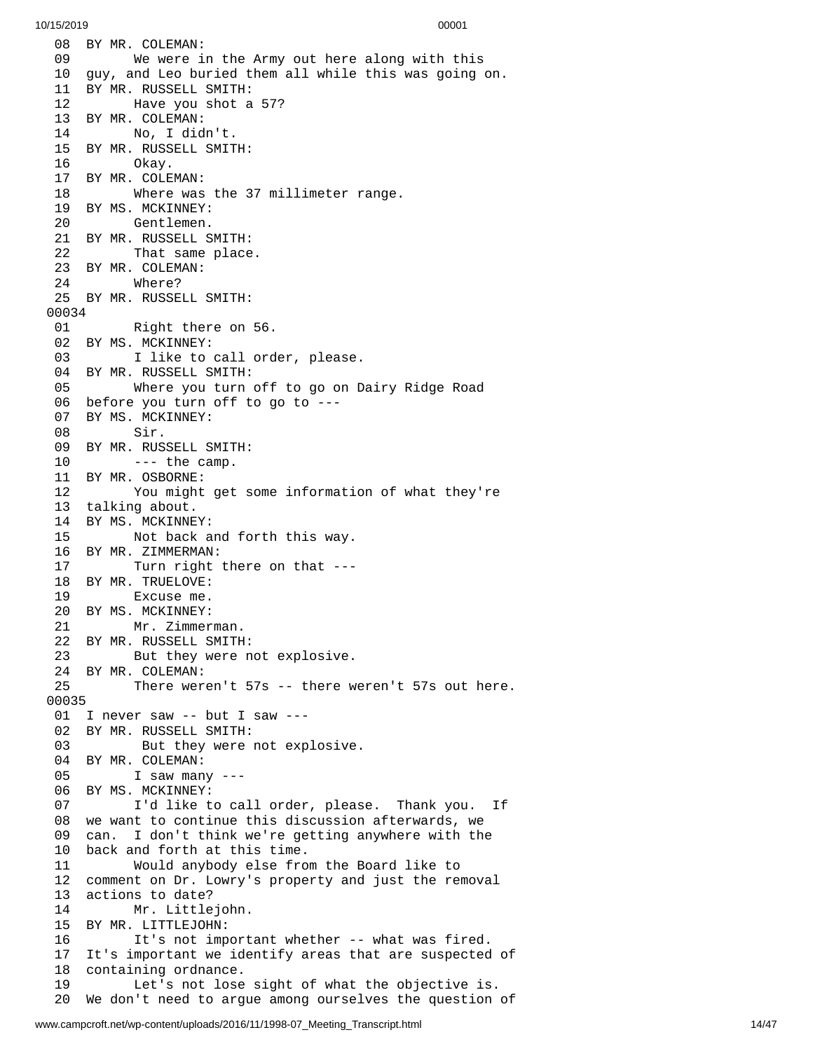08 BY MR. COLEMAN: 09 We were in the Army out here along with this 10 guy, and Leo buried them all while this was going on. BY MR. RUSSELL SMITH: Have you shot a 57? BY MR. COLEMAN: No, I didn't. BY MR. RUSSELL SMITH: Okay. BY MR. COLEMAN: Where was the 37 millimeter range. BY MS. MCKINNEY: Gentlemen. BY MR. RUSSELL SMITH: That same place. BY MR. COLEMAN: Where? BY MR. RUSSELL SMITH: Right there on 56. 02 BY MS. MCKINNEY:<br>03 I like to I like to call order, please. BY MR. RUSSELL SMITH: Where you turn off to go on Dairy Ridge Road before you turn off to go to --- BY MS. MCKINNEY: Sir. BY MR. RUSSELL SMITH: --- the camp. BY MR. OSBORNE: You might get some information of what they're talking about. BY MS. MCKINNEY: Not back and forth this way. BY MR. ZIMMERMAN: Turn right there on that --- BY MR. TRUELOVE: Excuse me. BY MS. MCKINNEY: Mr. Zimmerman. BY MR. RUSSELL SMITH: But they were not explosive. BY MR. COLEMAN: There weren't 57s -- there weren't 57s out here. I never saw -- but I saw --- BY MR. RUSSELL SMITH: But they were not explosive. BY MR. COLEMAN: I saw many --- BY MS. MCKINNEY: I'd like to call order, please. Thank you. If we want to continue this discussion afterwards, we can. I don't think we're getting anywhere with the back and forth at this time. Would anybody else from the Board like to comment on Dr. Lowry's property and just the removal actions to date? Mr. Littlejohn. BY MR. LITTLEJOHN: It's not important whether -- what was fired. It's important we identify areas that are suspected of containing ordnance. Let's not lose sight of what the objective is. We don't need to argue among ourselves the question of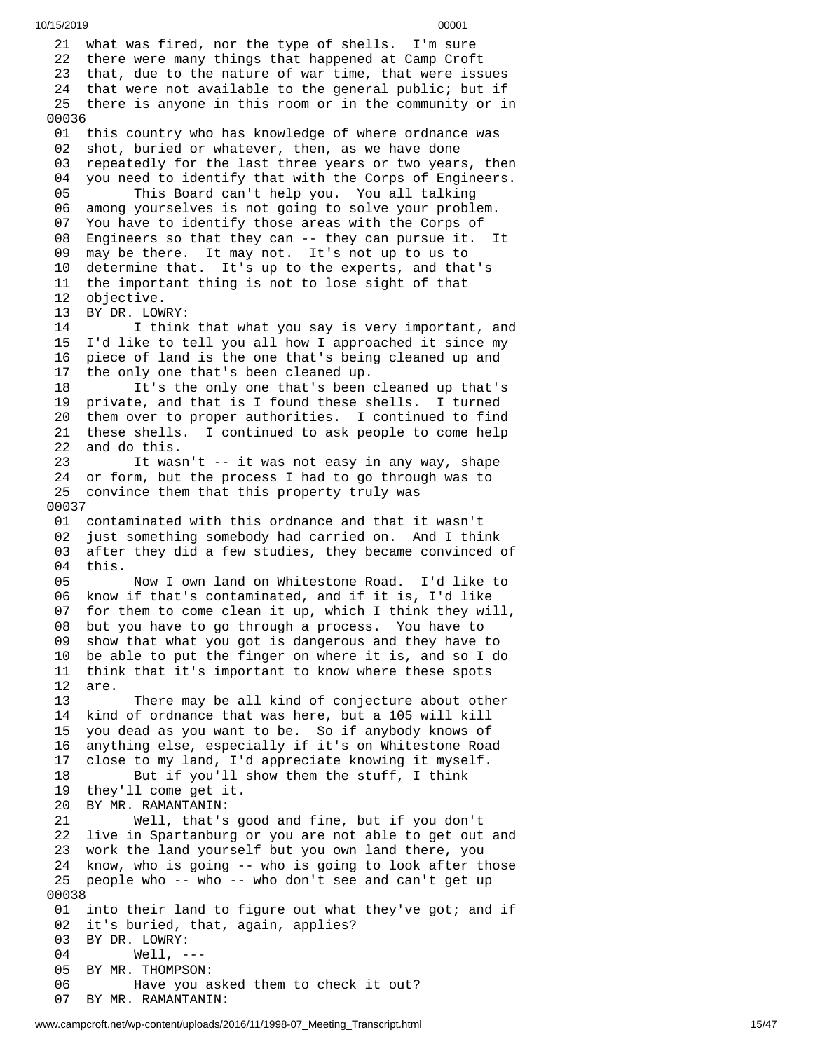21 what was fired, nor the type of shells. I'm sure 22 there were many things that happened at Camp Croft 23 that, due to the nature of war time, that were issues 24 that were not available to the general public; but if 25 there is anyone in this room or in the community or in 0 0 0 3 6 01 this country who has knowledge of where ordnance was 0 2 shot, buried or whatever, then, as we have done 0 3 repeatedly for the last three years or two years, then 0 4 you need to identify that with the Corps of Engineers. 05 This Board can't help you. You all talking 06 among yourselves is not going to solve your problem.<br>07 You have to identify those areas with the Corps of You have to identify those areas with the Corps of 08 Engineers so that they can -- they can pursue it. It<br>09 may be there. It may not. It's not up to us to may be there. It may not. It's not up to us to 10 determine that. It's up to the experts, and that's 11 the important thing is not to lose sight of that 12 objective.<br>13 BY DR. LOW BY DR. LOWRY: 14 I think that what you say is very important, and<br>15 I'd like to tell you all how I approached it since my I'd like to tell you all how I approached it since my 16 piece of land is the one that's being cleaned up and 17 the only one that's been cleaned up. 18 It's the only one that's been cleaned up that's 19 private, and that is I found these shells. I turned 20 them over to proper authorities. I continued to find 21 these shells. I continued to ask people to come help 22 and do this. 23 It wasn't -- it was not easy in any way, shape 24 or form, but the process I had to go through was to 25 convince them that this property truly was 0 0 0 3 7 01 contaminated with this ordnance and that it wasn't 02 just something somebody had carried on. And I think 03 after they did a few studies, they became convinced of 0 4 t h i s. 05 Now I own land on Whitestone Road. I'd like to 0 6 know if that's contaminated, and if it is, I'd like 0 7 for them to come clean it up, which I think they will, 0 8 but you have to go through a process. You have to 0 9 show that what you got is dangerous and they have to 1 0 be able to put the finger on where it is, and so I do 11 think that it's important to know where these spots 1 2 a r e. 13 There may be all kind of conjecture about other 14 kind of ordnance that was here, but a 105 will kill 1 5 you dead as you want to be. So if anybody knows of 16 anything else, especially if it's on Whitestone Road 1 7 close to my land, I'd appreciate knowing it myself. 18 But if you'll show them the stuff, I think 19 they'll come get it.<br>20 BY MR. RAMANTANIN: 20 BY MR. RAMANTANIN: 21 Well, that's good and fine, but if you don't 22 live in Spartanburg or you are not able to get out a n d 23 work the land yourself but you own land there, you 24 know, who is going -- who is going to look after those 25 people who -- who -- who don't see and can't get up 0 0 0 3 8 01 into their land to figure out what they've got; and if 02 it's buried, that, again, applies? 03 BY DR. LOWRY: 04 Well, - - - 05 BY MR. THOMPSON: 06 Have you asked them to check it out? 07 BY MR. RAMANTANIN: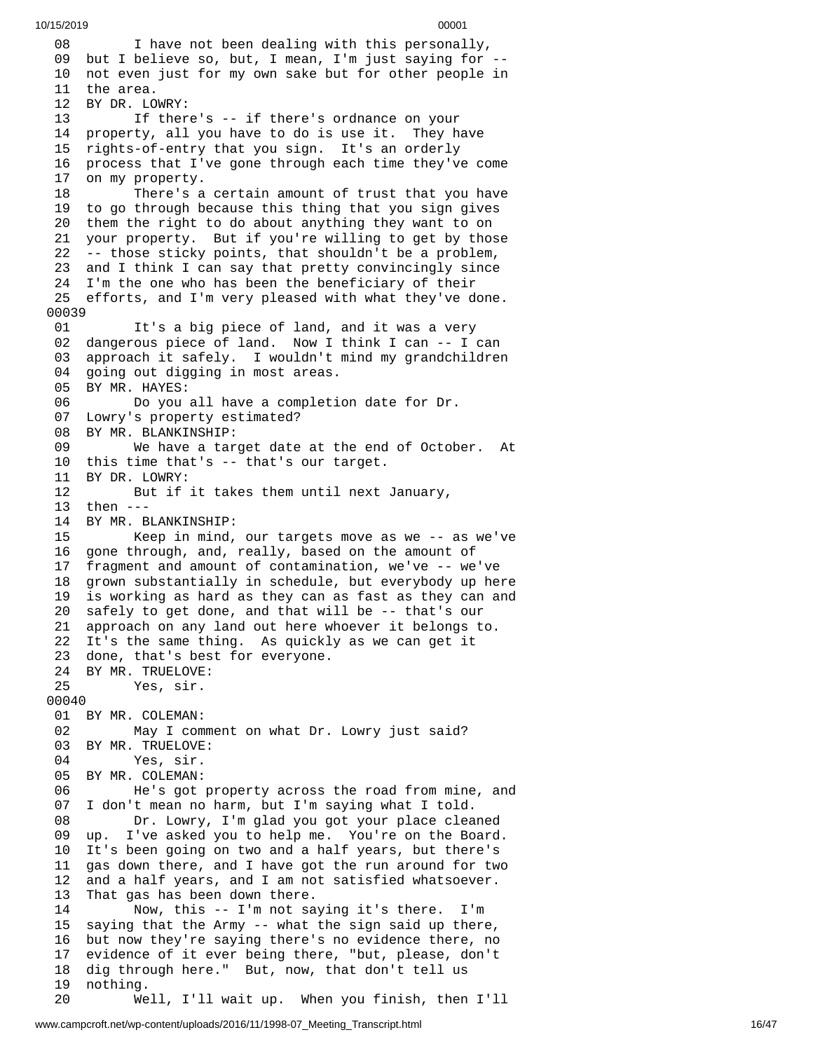0 8 I have not been dealing with this personally, 09 but I believe so, but, I mean, I'm just saying for --10 not even just for my own sake but for other people in 11 the area. 12 BY DR. LO W R Y: 13 If there's -- if there's ordnance on your 1 4 property, all you have to do is use it. They have 15 rights-of-entry that you sign. It's an orderly 1 6 process that I've gone through each time they've come 1 7 on my property. 18 There's a certain amount of trust that you have 19 to go through because this thing that you sign gives 20 them the right to do about anything they want to on 21 your property. But if you're willing to get by those 22 -- those sticky points, that shouldn't be a problem, 23 and I think I can say that pretty convincingly since 24 I'm the one who has been the beneficiary of their 25 efforts, and I'm very pleased with what they've done. 00039 01 It's a big piece of land, and it was a very 02 dangerous piece of land. Now I think I can -- I can 03 approach it safely. I wouldn't mind my grandchildren<br>04 going out digging in most areas. going out digging in most areas. 05 BY MR. HAYES: 06 Do you all have a completion date for Dr. 07 Lowry's property estimated? 08 BY MR. BLANKINSHIP: 09 We have a target date at the end of October. A t 10 this time that's -- that's our target. 11 BY DR. LOWRY: 12 But if it takes them until next January, 1 3 t h e n - - - 14 BY MR. BLANKINSHIP: 15 Keep in mind, o u r t a r g e t s m o v e a s w e - - a s w e'v e 16 gone through, and, really, based on the amount of 1 7 fragment and amount of contamination, we've -- we've 1 8 grown substantially in schedule, but everybody up here 1 9 is working as hard as they can as fast as they can and 20 safely to get done, and that will be -- that's our 2 1 approach on any land out here whoever it belongs to. 22 It's the same thing. As quickly as we can get it 23 done, that's best for everyone. 24 BY MR. TRUELOVE: 25 Yes, sir. 00040 01 BY MR. COLEMAN: 02 May I comment on what Dr. Lowry just said? 03 BY MR. TRUELOVE: 04 Yes, sir. 05 BY MR. COLEMAN: 06 He's got property across the road from mine, a n d 0 7 I don't mean no harm, but I'm saying what I told. 08 Dr. Lowry, I'm glad you got your place clea n e d 0 9 up. I've asked you to help me. You're on the Board. 10 It's been going on two and a half years, but there's 11 gas down there, and I have got the run around for two 12 and a half years, and I am not satisfied whatsoever. That gas has been down there. 14 Now, this -- I'm not saying it's there. I'm 15 saying that the Army -- what the sign said up there, 16 but now they're saying there's no evidence there, no 17 evidence of it ever being there, "but, please, don't 18 dig through here." But, now, that don't tell us 19 nothing. 20 Well, I'll wait up. When you finish, then I'll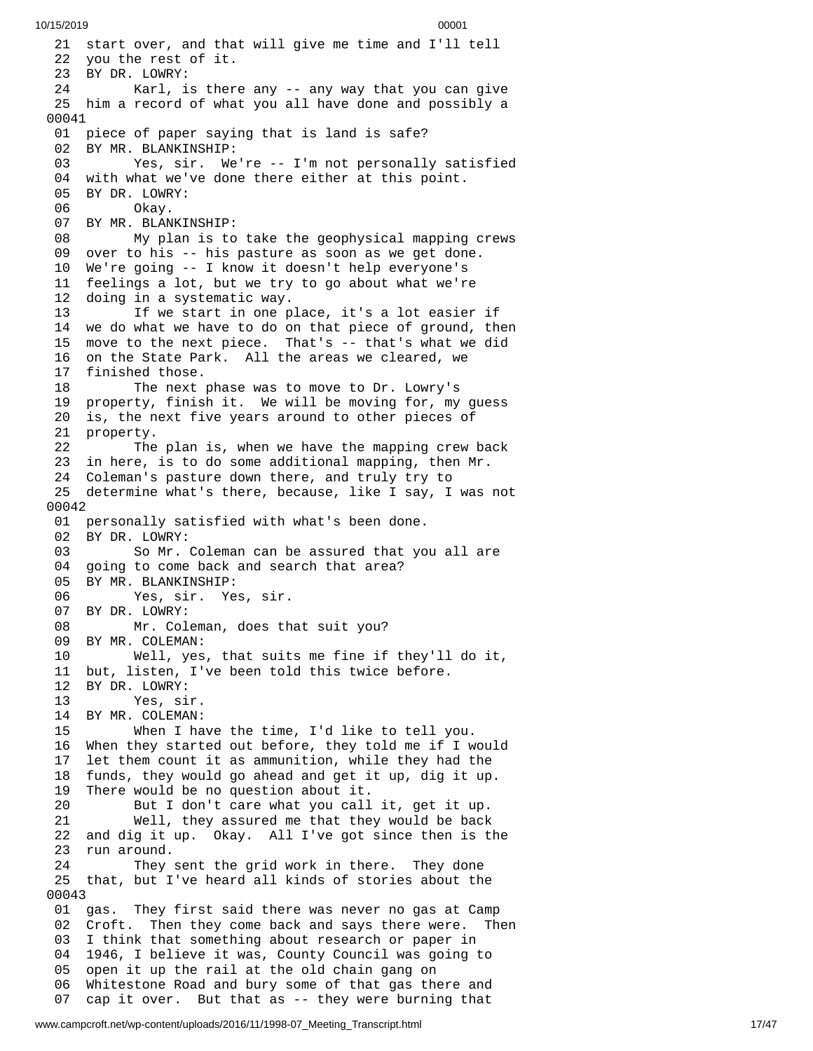21 start over, and that will give me time and I'll tell 22 you the rest of it. 23 BY DR. LOWRY: 24 Karl, is ther e a n y - - a n y w a y t h a t y o u c a n g i v e 25 him a record of what you all have done and possibly a 00041 01 piece of paper saying that is land is safe? 02 BY MR. BLANKINSHIP: 03 Yes, sir. We're -- I'm not personally satisfied 04 with what we've done there either at this point. 05 BY DR. LOWRY: 06 Okay. 07 BY MR. BLANKINSHIP: 08 My plan is to take the geophysical mapping crews 09 over to his -- his pasture as soon as we get done. 10 We're going -- I know it doesn't help everyone's 11 feelings a lot, but we try to go about what we're 12 doing in a systematic way. 13 If we start in one place, it's a lot easier i f 14 we do what we have to do on that piece of ground, then 1 5 move to the next piece. That's -- that's what we did 16 on the State Park. All the areas we cleared, we 17 finished those. 18 The next phase was to move to Dr. Lowry's 19 property, finish it. We will be moving for, my guess 20 is, the next five years around to other pieces of 21 property. 22 The plan is, when we have the mapping crew back 23 in here, is to do some additional mapping, then Mr. 24 Coleman's pasture down there, and truly try to 25 determine what's there, because, like I say, I was n o t 0 0 0 4 2 01 personally satisfied with what's been done. 02 BY DR. LOWRY: 03 So Mr. Coleman can be assured that you all are 04 going to come back and search that area? 05 BY MR. BLANKINSHIP: 06 Yes, sir. Yes, sir. 07 BY DR. LOWRY: 08 Mr. Coleman, does th a t s u i t y o u ? 09 BY MR. COLEMAN: 10 Well, yes , t h a t s u i t s m e f i n e i f t h e y'l l d o i t , 11 but, listen, I've been told this twice before. 12 BY DR. LOWRY: 13 Yes, sir. 14 BY MR. COLEMAN: 15 When I have the time, I'd like to tell y o u. 16 When they started out before, they told me if I w o u l d 1 7 let them count it as ammunition, while they had the 18 funds, they would go ahead and get it up, dig it up. 19 There would be no question about it. 20 But I don't care what you call it, get it up. 21 Well, they assured me that they would be back 22 and dig it up. Okay. All I've got since then is th e 23 run around. 24 They sent the grid work in there. They done 25 that, but I've heard all kinds of stories about the 0 0 0 4 3 01 gas. They first said there was never no gas at Camp 02 Croft. Then they come back and says there were. Then 03 I think that something about research or paper in 04 1946, I believe it was, County Council was going to 05 open it up the rail at the old chain gang on 06 Whitestone Road and bury some of that gas there and 07 cap it over. But that as -- they were burning that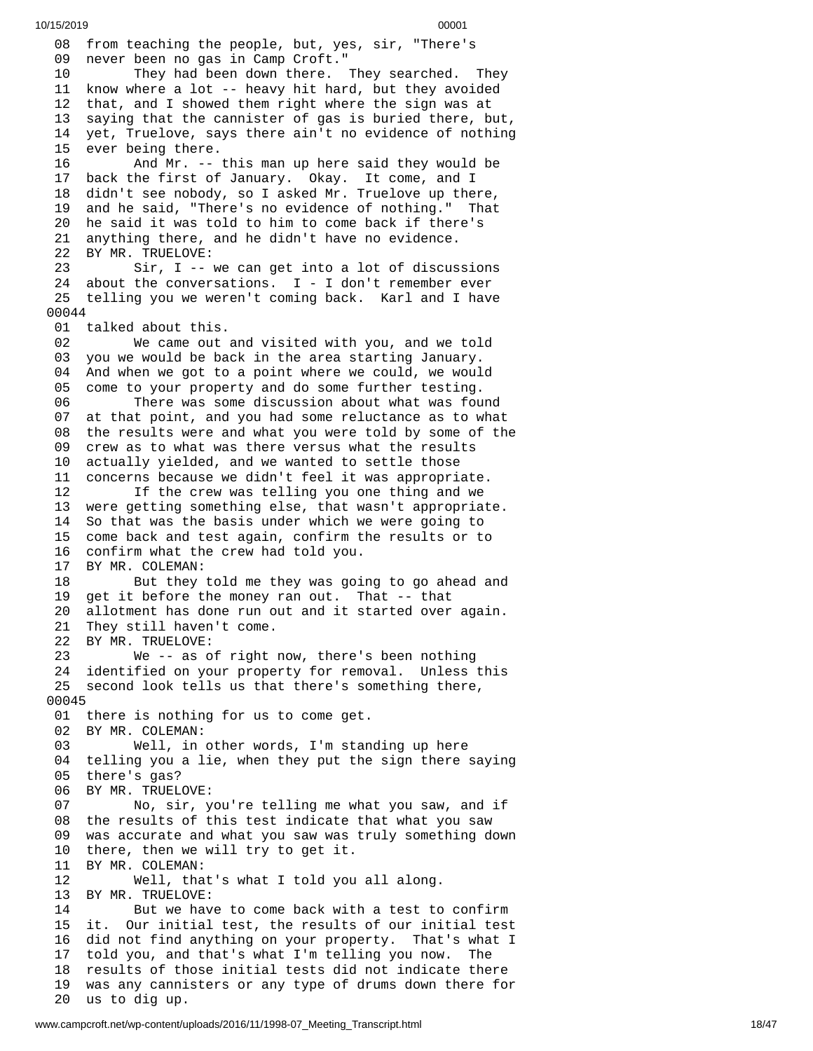08 from teaching the people, but, yes, sir, "There's 09 never been no gas in Camp Croft." 1 0 They had been down there. They searched. They 11 know where a lot -- heavy hit hard, but they avoided 1 2 that, and I showed them right where the sign was at 1 3 saying that the cannister of gas is buried there, but, 1 4 yet, Truelove, says there ain't no evidence of nothing 15 ever being there. 16 And Mr. -- t h i s m a n u p h e r e s a i d t h e y w o u l d b e 1 7 back the first of January. Okay. It come, and I 1 8 didn't see nobody, so I asked Mr. Truelove up there, 1 9 and he said, "There's no evidence of nothing." That 20 he said it was told to him to come back if there's 21 anything there, and he didn't have no evidence. 22 BY MR. TRUELOVE: 23 Sir, I -- we can get into a lot of discussions 24 about the conversations. I - I don't remember ever 25 telling you we weren't coming back. Karl and I have 0 0 0 4 4 01 talked about this. 02 We came out and visited with you, and we told 03 you we would be back in the area starting January. 04 And when we got to a point where we could, we woul d 0 5 come to your property and do some further testing. 06 There was some discussion about what was fou n d 0 7 at that point, and you had some reluctance as to what 08 the results were and what you were told by some of the 09 crew as to what was there versus what the results 10 actually yielded, and we wanted to settle those 11 concerns because we didn't feel it was appropriate. 12 If the crew was telling you one thing and we 13 were getting something else, that wasn't appropriat e. 14 So that was the basis under which we were going to 15 come back and test again, confirm the results or to 16 confirm what the crew had told you. BY MR. COLEMAN: 18 But they told me they was going to go ahead and 19 get it before the money ran out. That -- that 20 allotment has done run out and it started over again. 21 They still haven't come. 22 BY MR. TRUELOVE: 23 We -- as of right now, there's been nothing 24 identified on your property for removal. Unless this 25 second look tells us that there's something there, 0 0 0 4 5 01 there is nothing for us to come get. 02 BY MR. COLEMAN: 03 Well, in other words, I'm stan d i n g u p h e r e 04 telling you a lie, when they put the sign there saying 05 there's gas? 0 6 BY MR. TRUELOVE: 07 No, sir, you're telling me what you saw, and if 08 the results of this test indicate that what you saw 0 9 was accurate and what you saw was truly something down 1 0 there, then we will try to get it. 11 BY MR. COLEMAN: 12 Well, that's what I told you a l l a l o n g. 13 BY MR. TRUELOVE: 14 But we have to come back with a test to confirm 1 5 i t. O ur initial test, the results of our initial test 16 did not find anything on your property. That's what I 1 7 told you, and that's what I'm telling you now. The 18 results of those initial tests did not indicate there 1 9 was any cannisters or any type of drums down there for 20 us to dig up.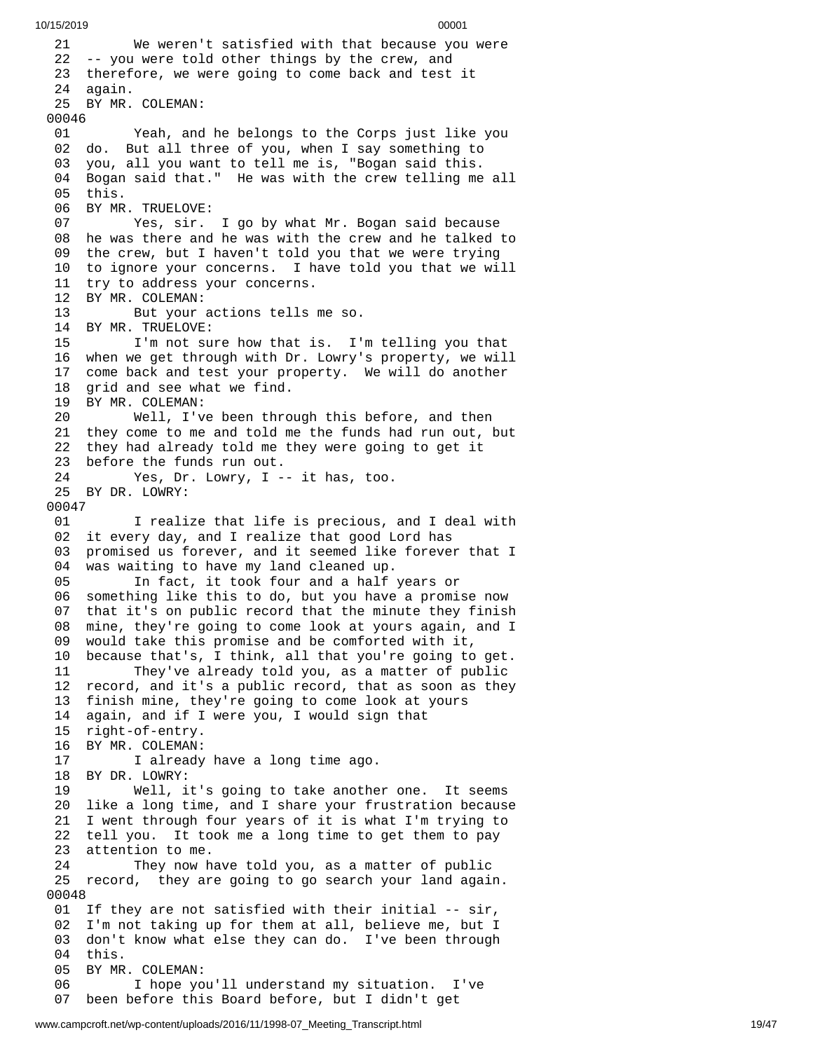2 1 We weren't satisfied with that because you were 22 -- you were told other things by the crew, and 23 therefore, we were going to come back and test it 24 again. 25 BY MR. COLEMAN: 00046 01 Yeah, and he belongs to the Corps just like you 0 2 d o. B ut all three of you, when I say something to 03 you, all you want to tell me is, "Bogan said this. 04 Bogan said that." He was with the crew telling me a l l 0 5 t h i s. 06 BY MR. TRUELOVE: 07 Yes, sir. I go by what Mr. Bogan said because 08 he was there and he was with the crew and he talked to 09 the crew, but I haven't told you that we were trying 10 to ignore your concerns. I have told you that we will 11 try to address your concerns. 12 BY MR. COLEMAN:<br>13 But your 13 But your actions tells m e s o. 14 BY MR. TRUELOVE: 15 I'm not sure how that is. I'm telling you that 16 when we get through with Dr. Lowry's property, we will 17 come back and test your property. We will do another 18 grid and see what we find. 19 BY MR. COLEMAN: 20 Well, I've been thro u g h t h i s b e f o r e , a n d t h e n 21 they come to me and told me the funds had run out, but 22 they had already told me they were going to get it 23 before the funds run out. 24 Yes, Dr. Lowry, I -- it has, too. 25 BY DR. LOWRY: 00047 01 I realize that life is precious, and I deal with 02 it every day, and I realize that good Lord has 03 promised us forever, and it seemed like forever that I 04 was waiting to have my land cleaned up. 05 In fact, it took four and a half years or 06 something like this to do, but you have a promise now 0 7 that it's on public record that the minute they finish 0 8 mine, they're going to come look at yours again, and I 0 9 would take this promise and be comforted with it, 10 because that's, I think, all that you're going to get. 11 They've already told you, as a matter of public 12 record, and it's a public record, that as soon as they 13 finish mine, they're going to come look at yours 14 again, and if I were you, I would sign that 15 right-of-entry. 16 BY MR. COLEMAN: 17 I already have a long time ago. 18 BY DR. LOWRY: 19 Well, it's going to take another one. It seems 20 like a long time, and I share your frustration because 21 I went through four years of it is what I'm trying to 22 tell you. It took me a long time to get them to pay 23 attention to me. 24 They now have told you, as a matter of public 25 record, they are going to go search your land again. 00048 01 If they are not satisfied with their initial -- sir, 02 I'm not taking up for them at all, believe me, but I 03 don't know what else they can do. I've been through 04 this. 05 BY MR. COLEMAN: 06 I hope you'll understand my situation. I've 07 been before this Board before, but I didn't get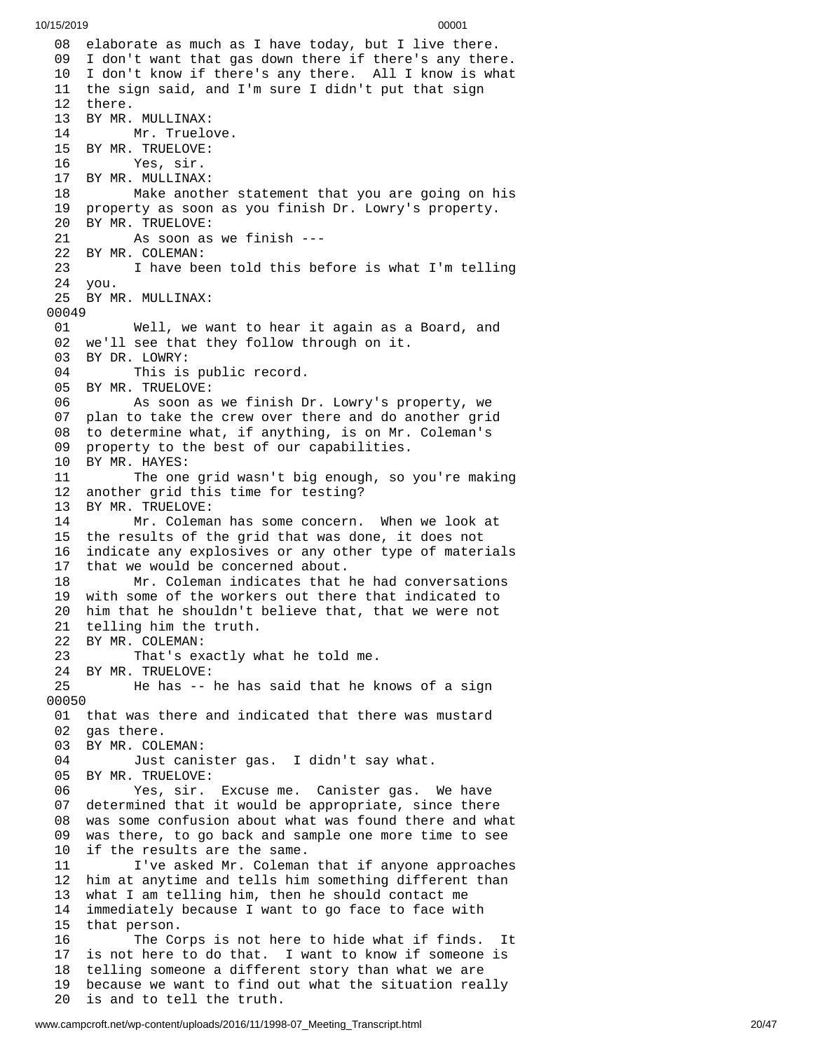08 elaborate as much as I have today, but I live there. I don't want that gas down there if there's any ther e. I don't know if there's any there. All I know is what the sign said, and I'm sure I didn't put that sign there. BY MR. MULLINAX: Mr. Truelove. BY MR. TRUELOVE: Yes, sir. BY MR. MULLINAX: Make another statement that you are going on his property as soon as you finish Dr. Lowry's property. BY MR. TRUELOVE: As soon as we finish --- BY MR. COLEMAN: I have been told this before is what I'm telling you. BY MR. MULLINAX: Well, we want to hear it again as a Board, and we'll see that they follow through on it. 03 BY DR. LOWRY:<br>04 This is This is public record. BY MR. TRUELOVE: As soon as we finish Dr. Lowry's property, we plan to take the crew over there and do another grid to determine what, if anything, is on Mr. Coleman's property to the best of our capabilities. BY MR. HAYES: The one grid wasn't big enough, so you're making another grid this time for testing? BY MR. TRUELOVE: Mr. Coleman has some concern. When we look at the results of the grid that was done, it does not indicate any explosives or any other type of materials that we would be concerned about. Mr. Coleman indicates that he had conversations with some of the workers out there that indicated to him that he shouldn't believe that, that we were not telling him the truth. 22 BY MR. COLEMAN:<br>23 That's ex That's exactly what he told me. BY MR. TRUELOVE: He has -- he has said that he knows of a sign that was there and indicated that there was mustard gas there. BY MR. COLEMAN: Just canister gas. I didn't say what. BY MR. TRUELOVE: Yes, sir. Excuse me. Canister gas. We have determined that it would be appropriate, since there was some confusion about what was found there and what was there, to go back and sample one more time to see if the results are the same. I've asked Mr. Coleman that if anyone approaches him at anytime and tells him something different than what I am telling him, then he should contact me immediately because I want to go face to face with 15 that person.<br>16 The Co The Corps is not here to hide what if finds. It is not here to do that. I want to know if someone is telling someone a different story than what we are because we want to find out what the situation really is and to tell the truth.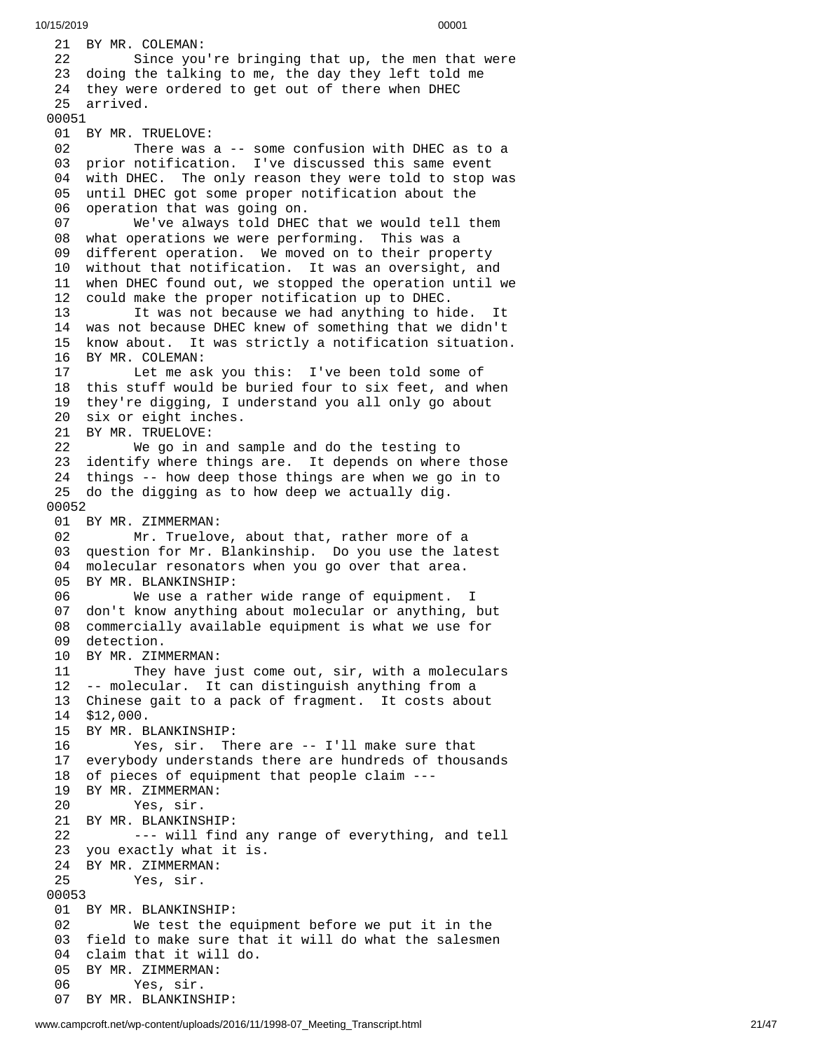21 BY MR. COLEMAN: 22 Since you're bringing that up, the men that were 23 doing the talking to me, the day they left told me 24 they were ordered to get out of there when DHEC 25 arrived. 01 BY MR. TRUELOVE: 02 There was a -- some confusion with DHEC as to a 03 prior notification. I've discussed this same event 04 with DHEC. The only reason they were told to stop was 05 until DHEC got some proper notification about the 06 operation that was going on. We've always told DHEC t h a t w e w o u l d t e l l t h e m 08 what operations we were performing. This was a 09 different operation. We moved on to their property 10 without that notification. It was an oversight, and 11 when DHEC found out, we stopped the operation until we 12 could make the proper notification up to DHEC. It was not because we had anything to hi d e. I t 14 was not because DHEC knew of something that we didn't 15 know about. It was strictly a notification situation. 16 BY MR. COLEMAN:<br>17 Let me as Let me ask you this: I've been told some of this stuff would be buried four to six feet, and when they're digging, I understand you all only go about six or eight inches. BY MR. TRUELOVE: We go in and sample and do the testing to identify where things are. It depends on where those things -- how deep those things are when we go in to do the digging as to how deep we actually dig. BY MR. ZIMMERMAN: Mr. Truelove, about that, rather more of a question for Mr. Blankinship. Do you use the latest molecular resonators when you go over that area. BY MR. BLANKINSHIP: We use a rather wide range of equipment. I don't know anything about molecular or anything, but commercially available equipment is what we use for detection. BY MR. ZIMMERMAN: They have just come out, sir, with a moleculars -- molecular. It can distinguish anything from a Chinese gait to a pack of fragment. It costs about \$12,000. BY MR. BLANKINSHIP: Yes, sir. There are -- I'll make sure that everybody understands there are hundreds of thousands of pieces of equipment that people claim --- BY MR. ZIMMERMAN: Yes, sir. BY MR. BLANKINSHIP: --- will find any range of everything, and tell you exactly what it is. BY MR. ZIMMERMAN: Yes, sir. BY MR. BLANKINSHIP: We test the equipment before we put it in the field to make sure that it will do what the salesmen claim that it will do. BY MR. ZIMMERMAN: Yes, sir. BY MR. BLANKINSHIP: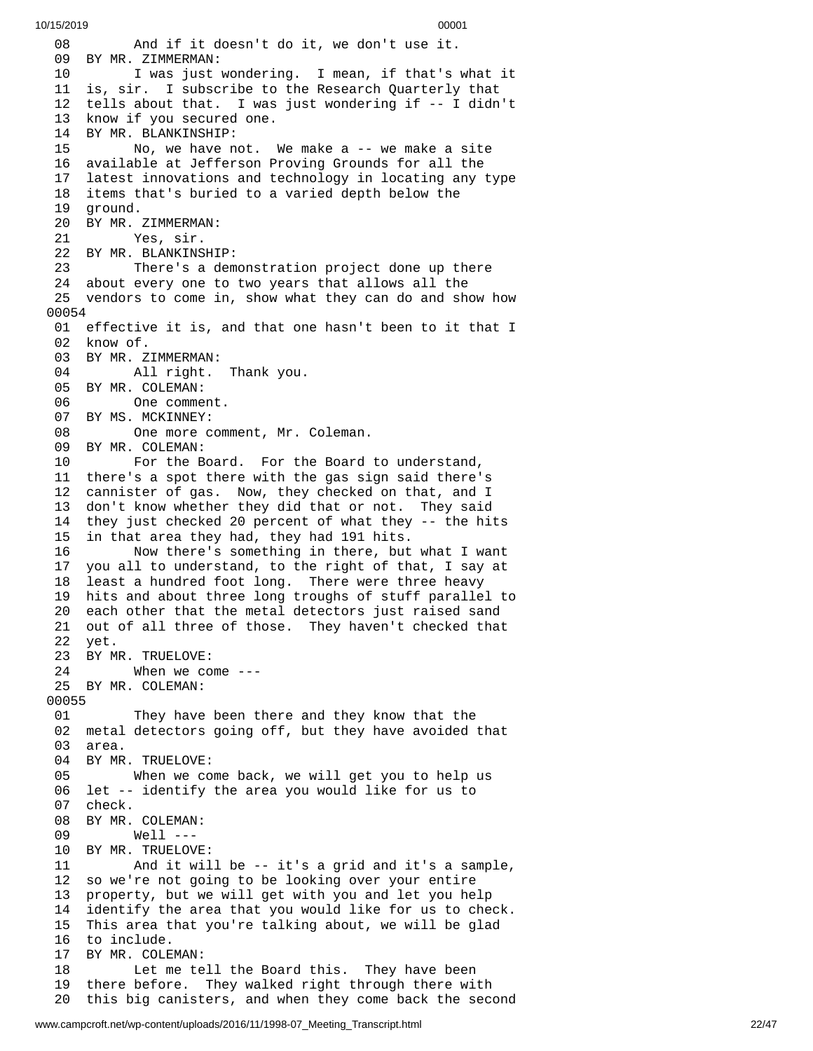0 8 And if it doesn't do it, we don't use it. 09 BY MR. ZIMMERMAN: 10 I was just wondering. I mean, if that's what it 11 is, sir. I subscribe to the Research Quarterly that 12 tells about that. I was just wondering if -- I didn't 13 know if you secured one. 14 BY MR. BLANKINSHIP:<br>15 No, we have n 15 No, we have not. W e m a k e a - - w e m a k e a s i t e 16 available at Jefferson Proving Grounds for all the 17 latest innovations and technology in locating any type 18 items that's buried to a varied depth below the 19 ground. 20 BY MR. ZIMMERMAN: 21 Yes, sir. 22 BY MR. BLANKINSHI P: 23 There's a demonstration project done up there 24 about every one to two years that allows all the 25 vendors to come in, show what they can do and show how 0 0 0 5 4 01 effective it is, and that one hasn't been to it that I 02 know of. 03 BY MR. ZIMMERMAN: 04 All right. Thank you. 05 BY MR. COLEMAN: 06 One comment. 07 BY MS. MCKINNEY: 08 One more comment, Mr. Coleman. 09 BY MR. COLEMAN: 10 For the Board. For the Board to understand, 11 there's a spot there with the gas sign said there's 12 cannister of gas. Now, they checked on that, and I 13 don't know whether they did that or not. They said 14 they just checked 20 percent of what they -- the hits 15 in that area they had, they had 191 hits. 16 Now there's something in there, but what I want 17 you all to understand, to the right of that, I say at 18 least a hundred foot long. There were three heavy 19 hits and about three long troughs of stuff parallel to 20 each other that the metal detectors just raised sand 21 out of all three of those. They haven't checked that 22 yet. 23 BY MR. TRUELOVE: 24 When we come ---25 BY MR. COLEMAN: 00055 01 They have been there and they know that the 02 metal detectors going off, but they have avoided that 03 area. 04 BY MR. TRUELOVE: 05 When we co m e b a c k , w e w i l l g e t y o u t o h e l p u s 06 let -- identify the area you would like for us to 07 check. 08 BY MR. COLEMAN: 09 Well --- 10 BY MR. TRUELOVE: 11 And it wil l b e - - i t's a g r i d a n d i t's a s a m p l e , 12 so we're not going to be looking over your entire 13 property, but we will get with you and let you help 1 4 identify the area that you would like for us to check. 15 This area that you're talking about, we will be glad 16 to include. 17 BY MR. COLEMAN: 18 Let me tell the Board this. They have been 19 there before. They walked right through there with 20 this big canisters, and when they come back the second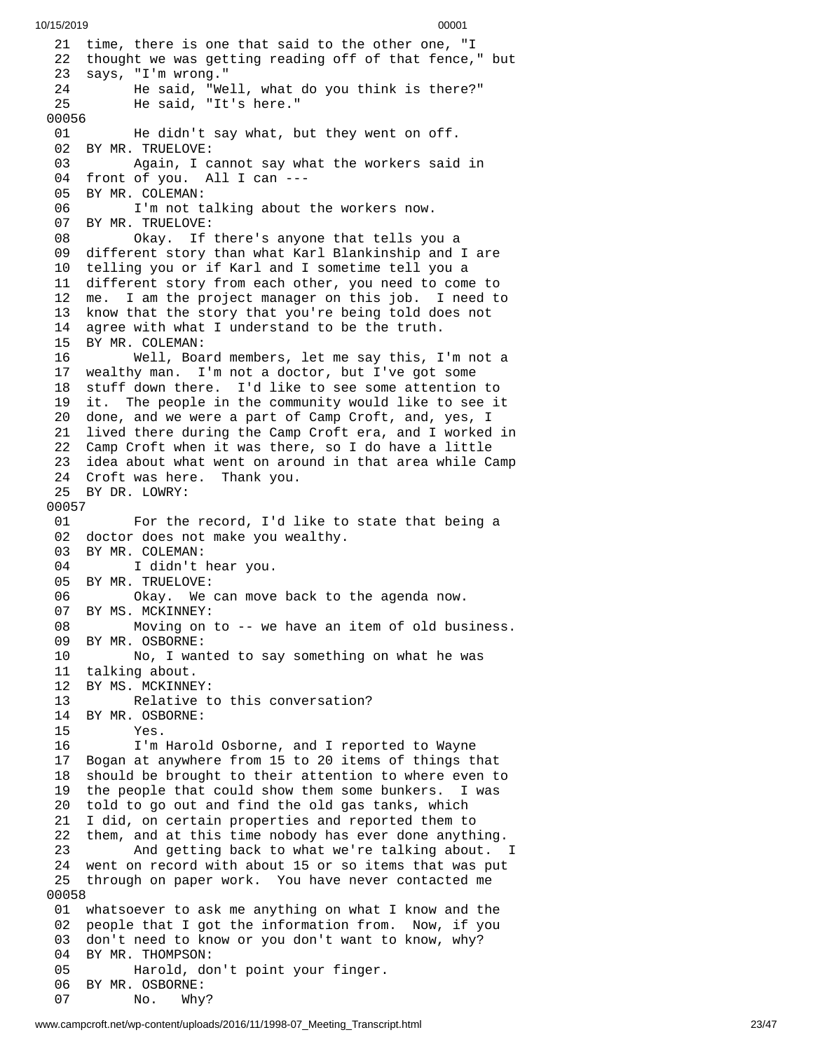```
10/15/2019 00001
```
21 time, there is one that said to the other one, "I 22 thought we was getting reading off of that fence," but 23 says, "I'm wrong." 2 4 He said, "Well, what do you think is there?" 2 5 He said, "It's here." 0 0 0 5 6 0 1 He didn't say what, but they went on off. 02 BY MR. TRUELOVE: 03 Again, I cannot say what the workers said i n 04 front of you. All I can ---0 5 BY MR. COLEMAN: 06 I'm not talking about the workers now. 07 BY MR. TRUELOVE: 08 Okay. If there's anyone that tells yo u a 09 different story than what Karl Blankinship and I are 10 telling you or if Karl and I sometime tell you a 11 different story from each other, you need to come to 1 2 me. I am the project manager on this job. I need to 1 3 know that the story that you're being told does not 14 agree with what I understand to be the truth. 15 BY MR. COLEMAN: 16 Well, Board members, let me say this, I'm n o t a 17 wealthy man. I'm not a doctor, but I've got some 18 stuff down there. I'd like to see some attention to 19 it. The people in the community would like to see it 20 done, and we were a part of Camp Croft, and, yes, I 21 lived there during the Camp Croft era, and I worked in 22 Camp Croft when it was there, so I do have a little 23 idea about what went on around in that area while Camp 24 Croft was here. Thank you. 25 BY DR. LOWRY: 00057 01 For the record, I'd like to state that being a 02 doctor does not make you wealthy. 03 BY MR. COLEMAN: 04 I didn't hear you. 05 BY MR. TRUELOVE: 06 Okay. We can move back to the agenda now. 07 BY MS. MCKINNEY: 08 Moving on to -- we have an item of old business. 09 BY MR. OSBORNE: 10 No, I wanted to say something on what he was 11 talking about. 12 BY MS. MCKINNEY: 13 Relative to this conversation? 14 BY MR. OSBORNE: 15 Yes. 16 I'm Harold Osborne, and I reported to Wayne 17 Bogan at anywhere from 15 to 20 items of things that 18 should be brought to their attention to where even to 19 the people that could show them some bunkers. I was 20 told to go out and find the old gas tanks, which 21 I did, on certain properties and reported them to 22 them, and at this time nobody has ever done anything. 23 And getting back to what we're talking about. I 24 went on record with about 15 or so items that was put 25 through on paper work. You have never contacted me 0 0 0 5 8 01 whatsoever to ask me anything on what I know and the 02 people that I got the information from. Now, if you 03 don't need to know or you don't want to know, why? 04 BY MR. THOMPSON: 05 Harold, don't point your finger. 06 BY MR. OSBORNE: 07 No. Why?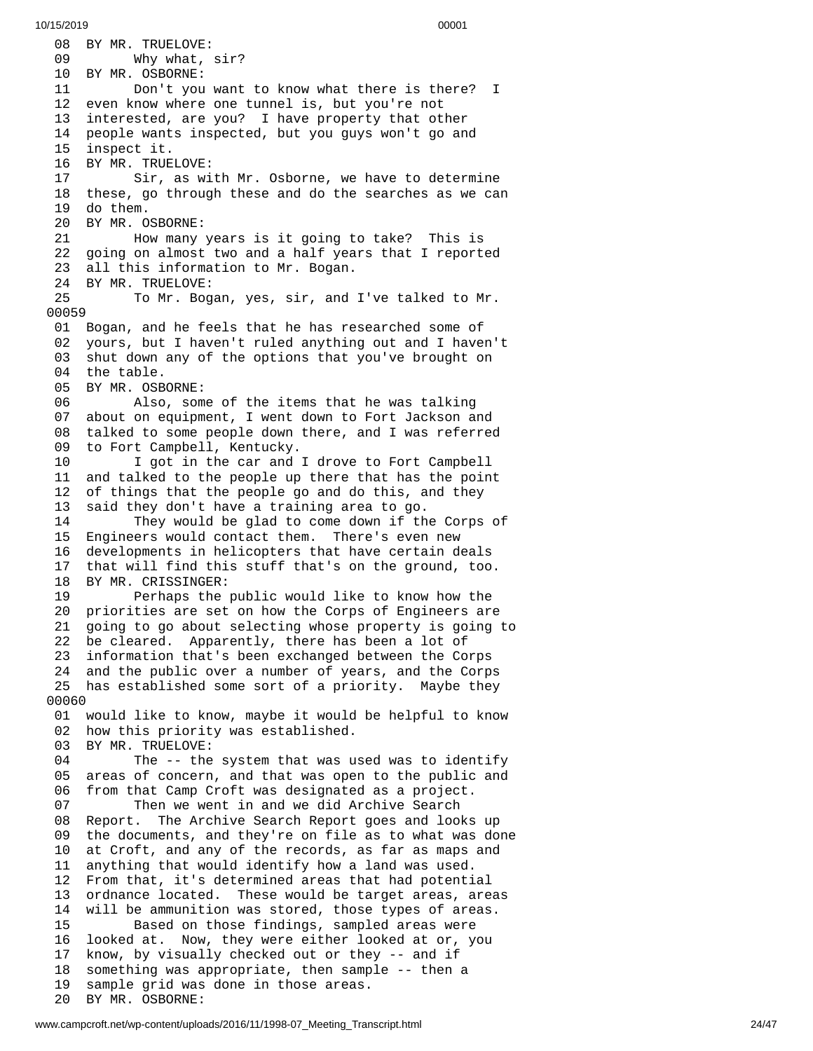08 BY MR. TRUELOVE: 09 Why what, s i r ? 10 BY MR. OSBORNE: 11 Don't you w a n t t o k n o w w h a t t h e r e i s t h e r e ? I 12 even know where one tunnel is, but you're not 13 interested, are you? I have property that other 1 4 people wants inspected, but you guys won't go and 15 inspect it. 16 BY MR. TRUELOVE: 17 Sir, as with Mr. Osborne, we have to determine 18 these, go through these and do the searches as we can 1 9 d o t h e m. 20 BY MR. OSBORNE: 21 How many years is it going to take? This is 22 going on almost two and a half years that I reported 23 all this information to Mr. Bogan. 24 BY MR. TRUELOVE:<br>25 To Mr. Bog 25 To Mr. Bogan, yes, sir, and I've talked to Mr. 00059 01 Bogan, and he feels that he has researched some of 02 yours, but I haven't ruled anything out and I haven't 03 shut down any of the options that you've brought on 04 the table. 05 BY MR. OSBORNE: 06 Also, some of the items that he was talking 07 about on equipment, I went down to Fort Jackson and 08 talked to some people down there, and I was referred 09 to Fort Campbell, Kentucky. 10 I got in the car and I drove to Fort Campbell 11 and talked to the people up there that has the point 12 of things that the people go and do this, and they 13 said they don't have a training area to go. 14 They would be glad to come down if the Corps of 15 Engineers would contact them. There's even new 16 developments in helicopters that have certain deals that will find this stuff that's on the ground, too. 18 BY MR. CRISSINGER: 19 Perhaps the public would like to know how the 20 priorities are set on how the Corps of Engineers are 21 going to go about selecting whose property is going t o 22 be cleared. Apparently, there has been a lot of 23 information that's been exchanged between the Corps 24 and the public over a number of years, and the Corps 25 has established some sort of a priority. Maybe they 0 0 0 6 0 01 would like to know, maybe it would be helpful to know 02 how this priority was established. 03 BY MR. TRUELOVE: 04 The -- the system that was used was to identify 05 areas of concern, and that was open to the public and 0 6 from that Camp Croft was designated as a project. 07 Then we went in and we did Archive Search 08 Report. The Archive Search Report goes and looks u p 0 9 the documents, and they're on file as to what was done 1 0 at Croft, and any of the records, as far as maps and 1 1 anything that would identify how a land was used. 12 From that, it's determined areas that had potenti a l 13 ordnance located. These would be target areas, areas 1 4 will be ammunition was stored, those types of areas. 15 Based on those findings, sampled areas were 16 looked at. Now, they were either looked at or, you 17 know, by visually checked out or they -- and if 18 something was appropriate, then sample -- then a 19 sample grid was done in those areas. 20 BY MR. OSBORNE: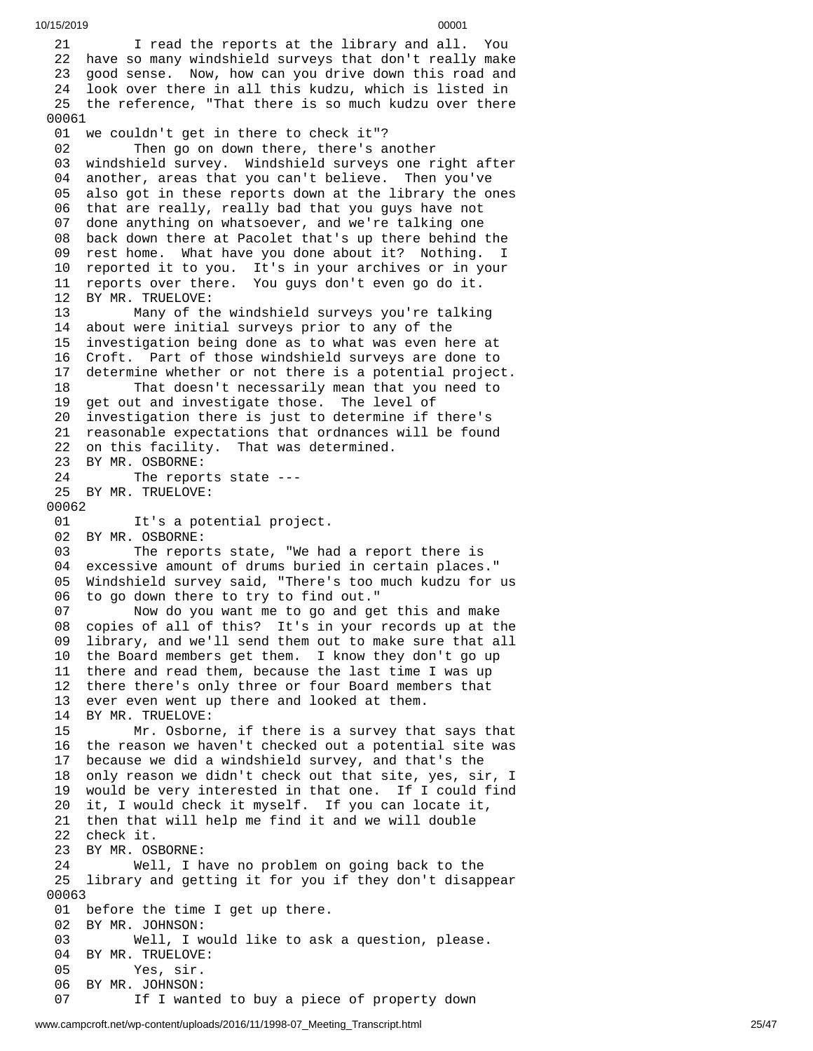10/15/2019 00001 1 I read the reports at the library and all. You 22 have so many windshield surveys that don't really make 23 good sense. Now, how can you drive down this road and 24 look over there in all this kudzu, which is listed in 25 the reference, "That there is so much kudzu over there 01 we couldn't get in there to check it"? 2 Then go on down there, there's another 03 windshield survey. Windshield surveys one right after 04 another, areas that you can't believe. Then you've 05 also got in these reports down at the library the ones 06 that are really, really bad that you guys have not 07 done anything on whatsoever, and we're talking one 08 back down there at Pacolet that's up there behind the 09 rest home. What have you done about it? Nothing. I 10 reported it to you. It's in your archives or in your 11 reports over there. You guys don't even go do it. BY MR. TRUELOVE: Many of the windshield surveys you're talkin g 14 about were initial surveys prior to any of the 5 investigation being done as to what was even here at 16 Croft. Part of those windshield surveys are done to 7 determine whether or not there is a potential project. That doesn't necessarily mean that you need to get out and investigate those. The level of investigation there is just to determine if there's reasonable expectations that ordnances will be found on this facility. That was determined. 23 BY MR. OSBORNE: The reports state --- BY MR. TRUELOVE: It's a potential project. BY MR. OSBORNE: The reports state, "We had a report there is excessive amount of drums buried in certain places." Windshield survey said, "There's too much kudzu for us to go down there to try to find out." Now do you want me to go and get this and make copies of all of this? It's in your records up at the library, and we'll send them out to make sure that all the Board members get them. I know they don't go up there and read them, because the last time I was up there there's only three or four Board members that ever even went up there and looked at them. BY MR. TRUELOVE: Mr. Osborne, if there is a survey that says that the reason we haven't checked out a potential site was because we did a windshield survey, and that's the only reason we didn't check out that site, yes, sir, I would be very interested in that one. If I could find it, I would check it myself. If you can locate it, then that will help me find it and we will double check it. BY MR. OSBORNE: Well, I have no problem on going back to the library and getting it for you if they don't disappear before the time I get up there. BY MR. JOHNSON: Well, I would like to ask a question, please. BY MR. TRUELOVE: Yes, sir. BY MR. JOHNSON: If I wanted to buy a piece of property down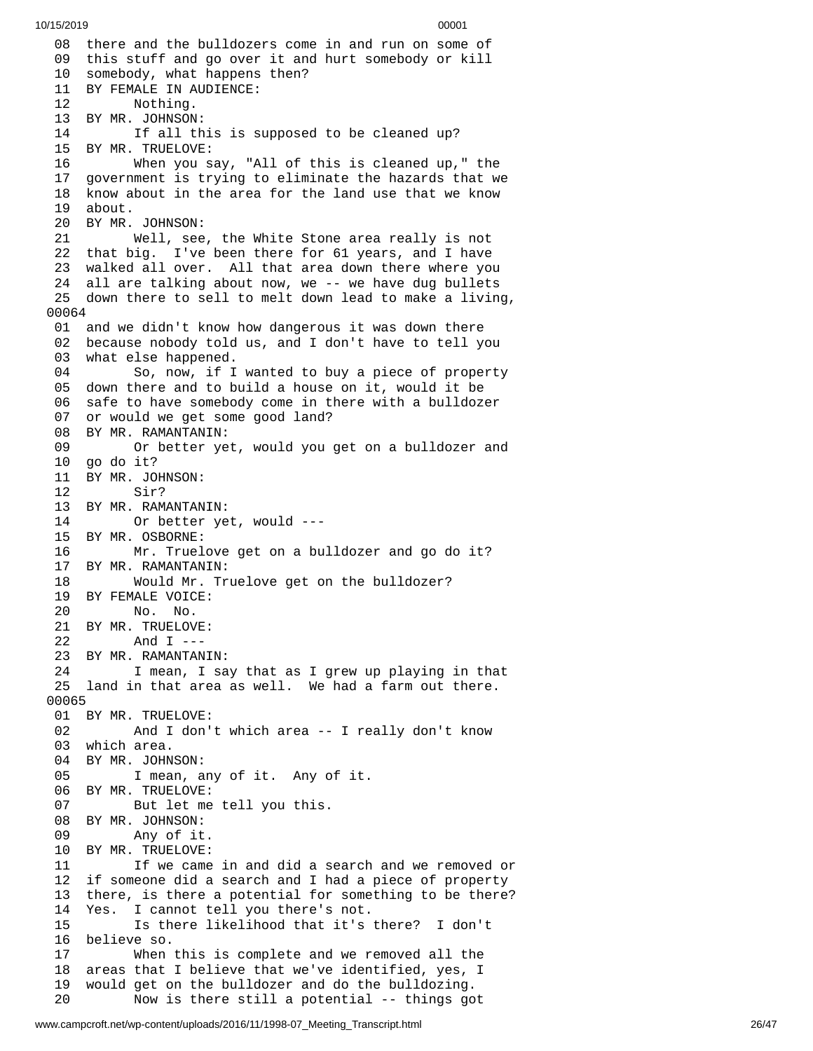08 there and the bulldozers come in and run on some of 09 this stuff and go over it and hurt somebody or kill 10 somebody, what happens then? 11 BY FEMALE IN AUDIENCE: 12 Nothing. 13 BY MR. JOHNSON: 14 If all this is supposed to be cleaned up? 15 BY MR. TRUELOVE: 16 When you s a y , " A l l o f t h i s i s c l e a n e d u p , " t h e 17 government is trying to eliminate the hazards that we 18 know about in the area for the land use that we know 19 about. 20 BY MR. JOHNSON: 21 Well, see , t h e W h i t e S t o n e a r e a r e a l l y i s n o t 22 that big. I've been there for 61 years, and I have 23 walked all over. All that area down there where you 24 all are talking about now, we -- we have dug bullets 25 down there to sell to melt down lead to make a living, 0 0 0 6 4 01 and we didn't know how dangerous it was down there 02 because nobody told us, and I don't have to tell you 0 3 what else happened. 04 So, now, if I wanted to buy a piece of property 05 down there and to build a house on it, would it be 06 safe to have somebody come in there with a bulldozer 07 or would we get some good land? 08 BY MR. RAMANTANIN: 09 Or better yet, would you get on a bulldozer and 10 go do it? 11 BY MR. JOHNSON: 12 Sir? 13 BY MR. RAMANTAN I N: 14 Or better ye t , w o u l d - - - 1 5 B Y M R. O S B O R N E: 16 Mr. Truelove get on a bulldozer and go do it? 17 BY MR. RAMANTANIN: 18 Would Mr. Truelove get on the bulldozer? 19 BY FEMALE VOICE: 20 No. No. 21 BY MR. TRUELOVE: 22 And I --- 23 BY MR. RAMANTANI N: 24 I mean, I say that as I grew up playing in that 25 land in that area as well. We had a farm out there. 00065 01 BY MR. TRUELOVE: 02 And I don't which area -- I really don't know 03 which area. 04 BY MR. JOHNSON: 05 I mean, any of it. Any of it. 06 BY MR. TRUELOVE: 07 But let me tell you this. 08 BY MR. JOHNSON: 09 Any of it. 10 BY MR. TRUELOVE: 11 If we came in and did a search and we removed o r 12 if someone did a search and I had a piece of property 13 there, is there a potential for something to be there? 14 Yes. I cannot tell you there's not. 15 Is there likelihood that it's there? I don't 16 believe so. 17 When this is complete and we removed all the 18 areas that I believe that we've identified, yes, I 1 9 would get on the bulldozer and do the bulldozing. 20 Now is there still a potential -- things go t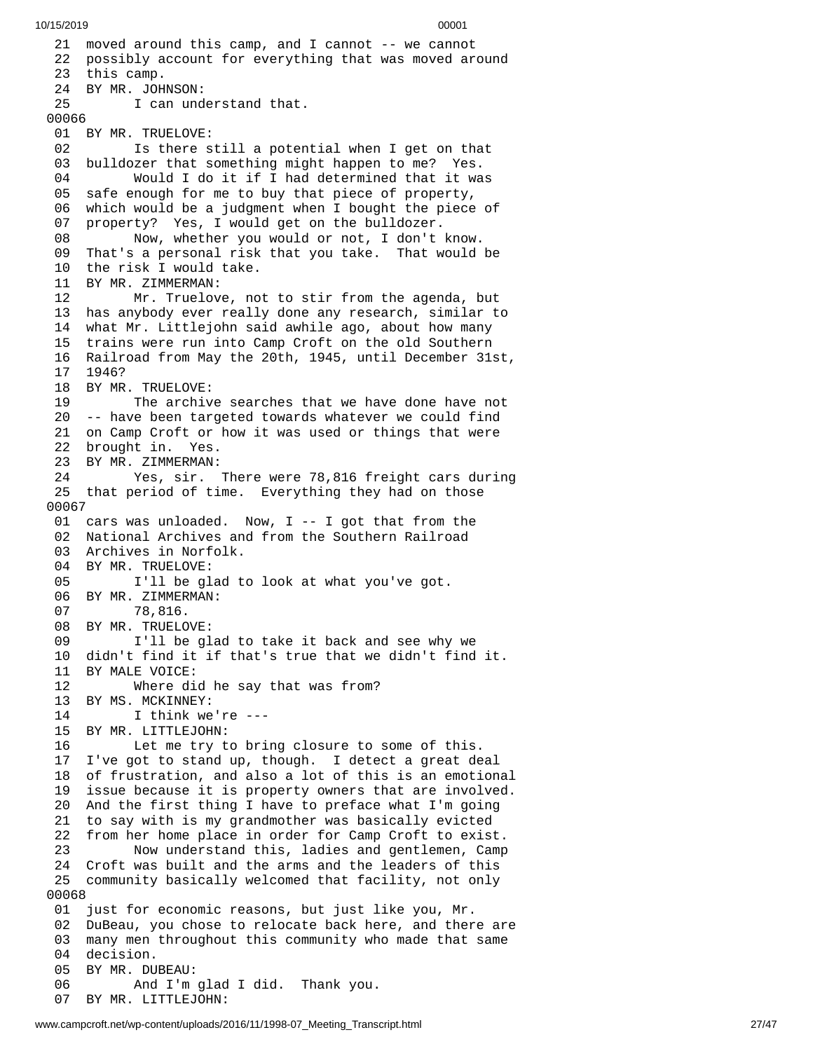10/15/2019 00001 21 moved around this camp, and I cannot -- we cannot 22 possibly account for everything that was moved around 2 3 t h i s c a m p. 24 BY MR. JOHNSON: 25 I can understand that. 00066 01 BY MR. TRUELOVE: 02 Is there still a potential when I get on that 03 bulldozer that something might happen to me? Yes. 04 Would I do it if I had determined that it wa s 05 safe enough for me to buy that piece of property, 06 which would be a judgment when I bought the piece of 0 7 property? Yes, I would get on the bulldozer. 08 Now, whether you would or not, I don't know. 09 That's a personal risk that you take. That would b e 10 the risk I would take. 11 BY MR. ZIMMERMAN: 12 Mr. Truelove, no t t o s t i r f r o m t h e a g e n d a , b u t 13 has anybody ever really done any research, similar to 14 what Mr. Littlejohn said awhile ago, about how many 15 trains were run into Camp Croft on the old Southern 16 Railroad from May the 20th, 1945, until December 31st, 1 7 1 9 4 6 ? 18 BY MR. TRUELOVE: 19 The archive searches that we have done have not 20 -- have been targeted towards whatever we could find 21 on Camp Croft or how it was used or things that were 22 brought in. Yes. 23 BY MR. ZIMMERMAN: 24 Yes, sir. There were 78,816 freight cars during 25 that period of time. Everything they had on those 0 0 0 6 7 01 cars was unloaded. Now, I -- I got that from the 02 National Archives and from the Southern Railroad 03 Archives in Norfolk. 04 BY MR. TRUELOVE: 05 I'll be glad to look at what you've got. 06 BY MR. ZIMMERMAN:<br>07 78,816. 78,816. 08 BY MR. TRUELOVE: 09 I'll be glad to take it back and see why w e 10 didn't find it if that's true that we didn't find it. 11 BY MALE VOICE: 12 Where did he say that was from? 13 BY MS. MCKINNEY:<br>14 I think we I think we're ---15 BY MR. LITTLEJOHN: 16 Let me try to bring closure to some of this. 17 I've got to stand up, though. I detect a great deal 18 of frustration, and also a lot of this is an emotiona l 19 issue because it is property owners that are involved. 20 And the first thing I have to preface what I'm going 21 to say with is my grandmother was basically evicted 22 from her home place in order for Camp Croft to exist. 23 Now understand this, ladies and gentlemen, Camp 24 Croft was built and the arms and the leaders of this 25 community basically welcomed that facility, not only 0 0 0 6 8 01 just for economic reasons, but just like you, Mr. 02 DuBeau, you chose to relocate back here, and there are 03 many men throughout this community who made that same 04 decision. 05 BY MR. DUBEAU: 06 And I'm g l a d I d i d. T h a n k y o u. 07 BY MR. LITTLEJOHN: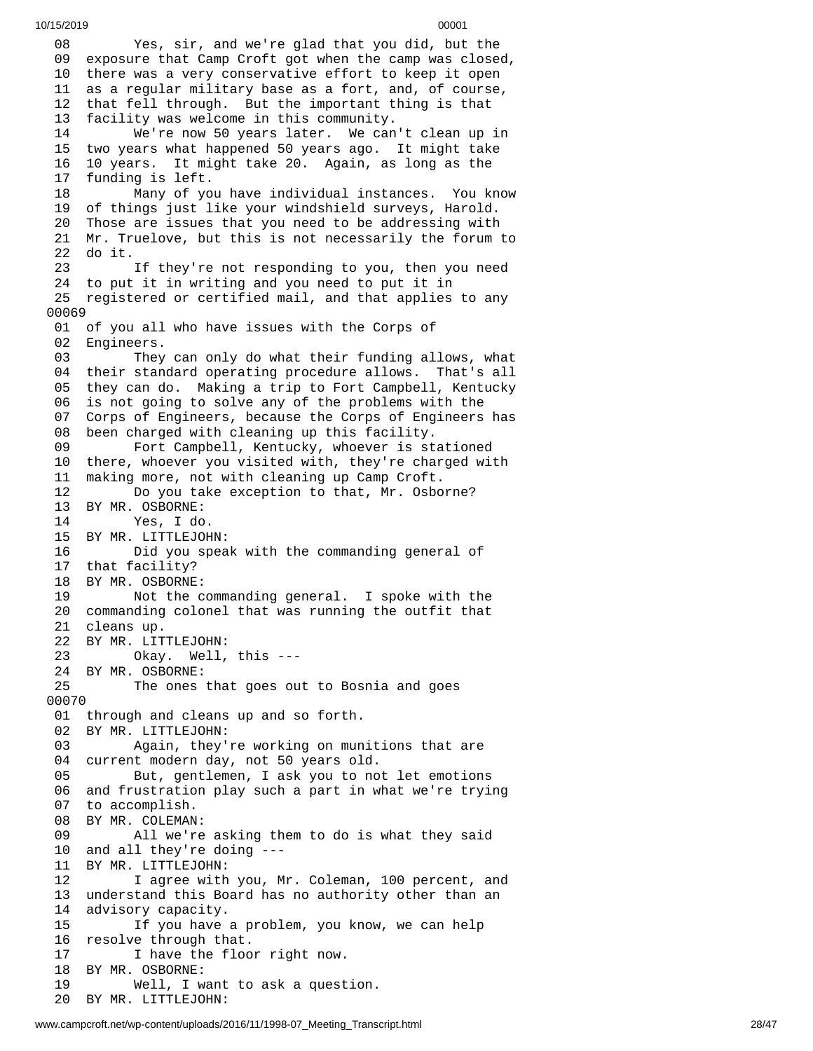0 8 Yes, sir, and we're glad that you did, but the 09 exposure that Camp Croft got when the camp was closed, 10 there was a very conservative effort to keep it open 11 as a regular military base as a fort, and, of course, 1 2 that fell through. But the important thing is that 1 3 facility was welcome in this community. 14 We're now 50 years later. We can't c l e a n u p i n 1 5 two years what happened 50 years ago. It might take 1 6 10 years. It might take 20. Again, as long as the 1 7 funding is left. 18 Many of yo u h a v e i n d i v i d u a l i n s t a n c e s. Y o u k n o w 1 9 of things just like your windshield surveys, Harold. 20 Those are issues that you need to be addressing with 21 Mr. Truelove, but this is not necessarily the forum t o 2 2 d o i t. 23 If they're not responding to you, then you need 24 to put it in writing and you need to put it in 25 registered or certified mail, and that applies to any 0 0 0 6 9 01 of you all who have issues with the Corps of 02 Engineers. 03 They can only do what their funding allows, what 0 4 their standard operating procedure allows. That's all 0 5 they can do. Making a trip to Fort Campbell, Kentucky 0 6 is not going to solve any of the problems with the 0 7 Corps of Engineers, because the Corps of Engineers has 0 8 been charged with cleaning up this facility. 09 Fort Campbell, Kentucky, whoever is stationed 1 0 there, whoever you visited with, they're charged with 1 1 making more, not with cleaning up Camp Croft. 12 Do you take exception to that, Mr. Osbo r n e ? 13 BY MR. OSBORNE: 14 Yes, I do. 15 BY MR. LITTLEJOH N: 16 Did you spea k w i t h t h e c o m m a n d i n g g e n e r a l o f 17 that facility? 1 8 BY MR. OSBORNE: 19 Not the c o m m a n d i n g g e n e r a l. I s p o k e w i t h t h e 20 commanding colonel that was running the outfit that 21 cleans up. 22 BY MR. LIT T L E J O H N: 23 Okay. Well, t h i s - - - 24 BY MR. OSBORNE: 25 The ones that goes out to Bosnia and goes 0 0 0 7 0 01 through and cleans up and so forth. 02 BY MR. LITTLEJOHN: 03 Again, they're working on munitions that are 04 current modern day, not 50 years old. 05 But, gentlemen, I ask you to no t l e t e m o t i o n s 0 6 and frustration play such a part in what we're trying 07 to accomplish. 08 BY MR. COLEMAN: 09 All we're asking them to do is what they said 1 0 and all they're doing ---1 1 BY MR. LITTLEJOHN: 12 I agree with you, Mr. Coleman, 100 percent, and 13 understand this Board has no authority other than an 1 4 advisory capacity. 15 If you have a problem, you know, we can help 16 resolve through that. 17 I have the floor right now. 18 BY MR. OSBORNE: 19 Well, I want to ask a quest i o n. 20 BY MR. LITTLEJOHN: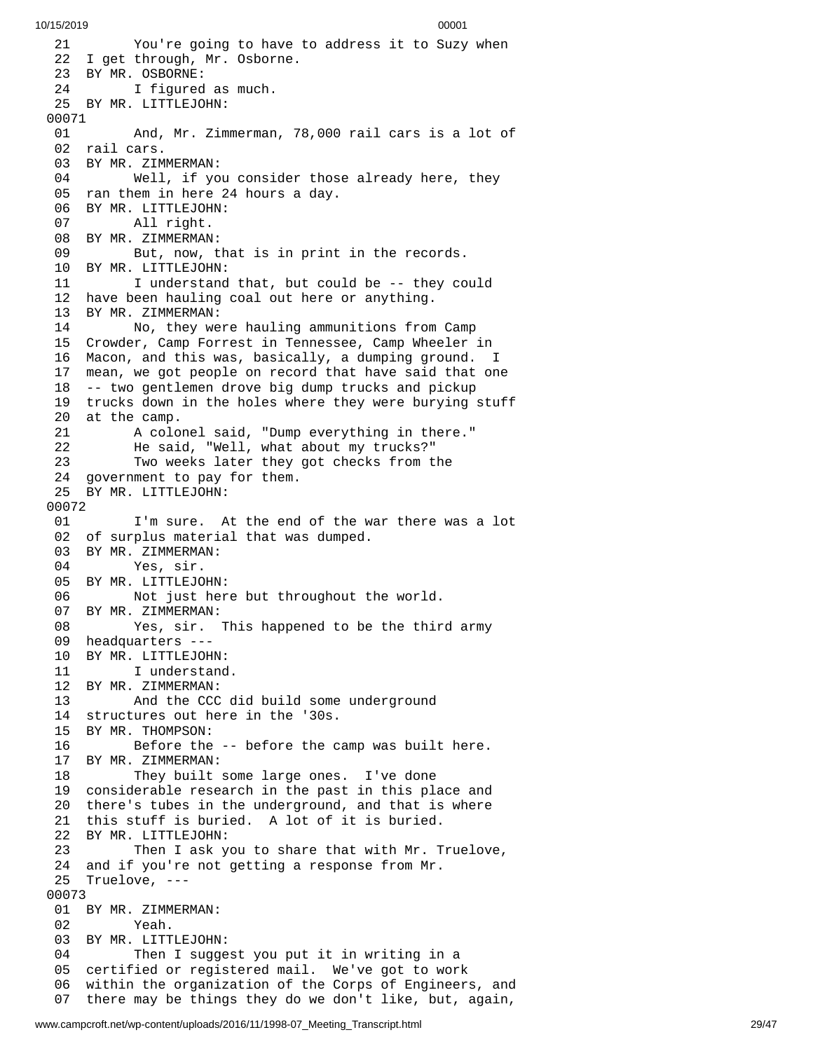2 1 You're going to have to address it to Suzy when 22 I get through, Mr. Osborne. 23 BY MR. OSBORNE: 24 I figured as much. 25 BY MR. LITTLEJOHN: 00071 01 And, Mr. Zimmerman, 78,000 rail cars is a lot of 02 rail cars. 03 BY MR. ZIMMERMAN: 04 Well, if yo u c o n s i d e r t h o s e a l r e a d y h e r e , t h e y 05 ran them in here 24 hours a day. 06 BY MR. LITTLEJOHN: 07 All right. 08 BY MR. ZIMMERMAN: 09 But, now, that is in print in the records. 10 BY MR. LITTLEJOHN: 11 I understand that, but could be -- they could 12 have been hauling coal out here or anything. 13 BY MR. ZIMMERMAN: 14 No, they were hauling ammunitions from C a m p 15 Crowder, Camp Forrest in Tennessee, Camp Wheeler in 1 6 Macon, and this was, basically, a dumping ground. I 1 7 mean, we got people on record that have said that one 18 -- two gentlemen drove big dump trucks and pickup 19 trucks down in the holes where they were burying stuff 20 at the camp. 21 A colonel said, "Dump everything in there." 2 2 He said, "Well, what about my trucks?" 2 3 Two weeks later they got checks from the 24 government to pay for them. 25 BY MR. LITTLEJOHN: 00072 01 I'm sure. At the end of the war there was a lot 02 of surplus material that was dumped. 03 BY MR. ZIMMERMAN: 04 Yes, sir. 05 BY MR. LITTLEJOHN: 06 Not just here but throughout the world. 07 BY MR. ZIMMERMAN: 08 Yes, sir. This happened to be the third army 09 headquarters ---10 BY MR. LITTLEJOHN: 11 I understand. 12 BY MR. ZIMMERMAN: 13 And the CCC d i d b u i l d s o m e u n d e r g r o u n d 14 structures out here in the '30s. 15 BY MR. THOMPSON: 16 Before the -- before the camp was built here. 17 BY MR. ZIMMERMAN: 18 They built some large ones. I've done 19 considerable research in the past in this place and 20 there's tubes in the underground, and that is where 21 this stuff is buried. A lot of it is buried. 22 BY MR. LITTLEJOHN: 23 Then I ask you to share that with Mr. Truelov e , 24 and if you're not getting a response from Mr. 25 Truelove, --- 0 0 0 7 3 01 BY MR. ZIMMERMAN: 02 Yeah. 03 BY MR. LITTLEJOHN: 04 Then I suggest you put it in writing in a 05 certified or registered mail. We've got to work 06 within the organization of the Corps of Engineers, and 07 there may be things they do we don't like, but, again,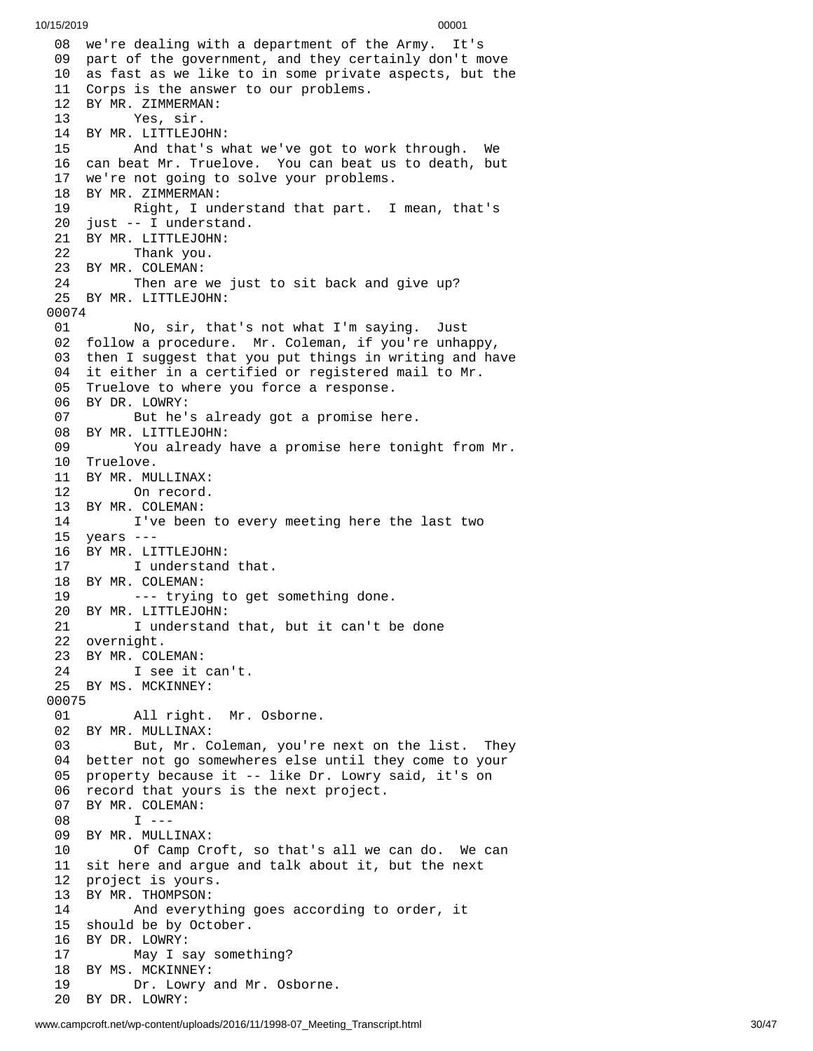08 we're dealing with a department of the Army. I t's 09 part of the government, and they certainly don't move 10 as fast as we like to in some private aspects, but the 11 Corps is the answer to our problems. BY MR. ZIMMERMAN: Yes, sir. BY MR. LITTLEJOHN: And that's what we've got to w o r k t h r o u g h. W e 16 can beat Mr. Truelove. You can beat us to death, but 17 we're not going to solve your problems. BY MR. ZIMMERMAN: 19 Right, I understand that part. I mean, that's 20 just -- I understand. BY MR. LITTLEJOHN: Thank you. BY MR. COLEMAN: 24 Then are we just to sit back and give up? 25 BY MR. LITTLEJOHN: 01 No, sir, that's not what I'm saying. J $\,$ u s t 02 follow a procedure. Mr. Coleman, if you're unhappy, 03 then I suggest that you put things in writing and have 4 it either in a certified or registered mail to Mr. Truelove to where you force a response. BY DR. LOWRY: But he's already got a promise here. BY MR. LITTLEJOHN: You already have a promise here tonight from M r. Truelove. BY MR. MULLINAX: On record. BY MR. COLEMAN: I've been to every meeting here the last two years --- BY MR. LITTLEJOHN: I understand that. BY MR. COLEMAN: --- trying to get something done. BY MR. LITTLEJOHN: I understand that, but it can't be done overnight. BY MR. COLEMAN: I see it can't. BY MS. MCKINNEY: All right. Mr. Osborne. BY MR. MULLINAX: But, Mr. Coleman, you're next on the list. They better not go somewheres else until they come to your property because it -- like Dr. Lowry said, it's on record that yours is the next project. BY MR. COLEMAN: I --- BY MR. MULLINAX: Of Camp Croft, so that's all we can do. We can sit here and argue and talk about it, but the next project is yours. BY MR. THOMPSON: And everything goes according to order, it should be by October. BY DR. LOWRY: May I say something? BY MS. MCKINNEY: Dr. Lowry and Mr. Osborne. BY DR. LOWRY: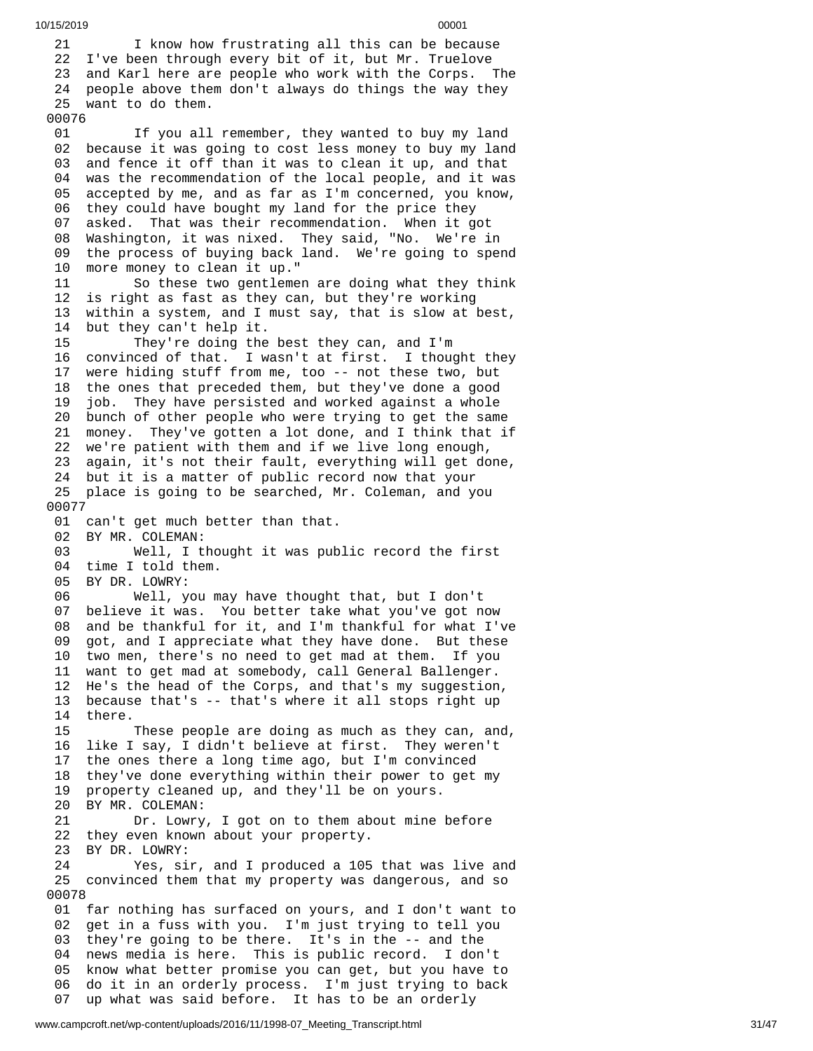2 1 I know how frustrating all this can be because 22 I've been through every bit of it, but Mr. Truelove 23 and Karl here are people who work with the Corps. The 24 people above them don't always do things the way they 25 want to do them. 00076 01 If you all remember, they wanted to buy my land 02 because it was going to cost less money to buy my land 0 3 and fence it off than it was to clean it up, and that 0 4 was the recommendation of the local people, and it was 05 accepted by me, and as far as I'm concerned, you know, 06 they could have bought my land for the price they 0 7 asked. That was their recommendation. When it got 08 Washington, it was nixed. They said, "No. We're in 09 the process of buying back land. We're going to spend 1 0 more money to clean it up." 1 1 So these two gentlemen are doing what they think 12 is right as fast as they can, but they're working 13 within a system, and I must say, that is slow at best, 14 but they can't help it. 15 They're doing the best they can, and I'm 16 convinced of that. I wasn't at first. I thought they 1 7 were hiding stuff from me, too -- not these two, but 18 the ones that preceded them, but they've done a good 1 9 job. They have persisted and worked against a whole 20 bunch of other people who were trying to get the same 21 money. They've gotten a lot done, and I think that if 22 we're patient with them and if we live long enough, 23 again, it's not their fault, everything will get done, 24 but it is a matter of public record now that your 25 place is going to be searched, Mr. Coleman, and you 0 0 0 7 7 01 can't get much better than that. 02 BY MR. COLEMAN: 03 Well, I thought it was pub l i c r e c o r d t h e f i r s t 04 time I told them. 05 BY DR. LOWRY: 06 Well, you m a y h a v e t h o u g h t t h a t , b u t I d o n't 0 7 believe it was. You better take what you've got now 0 8 and be thankful for it, and I'm thankful for what I've 0 9 got, and I appreciate what they have done. But these 10 two men, there's no need to get mad at them. If you 11 want to get mad at somebody, call General Ballenger. 12 He's the head of the Corps, and that's my suggestion , 13 because that's -- that's where it all stops right up 1 4 t h e r e. 15 These people are doing as much as they can, and, 16 like I say, I didn't believe at first. They weren't 17 the ones there a long time ago, but I'm convinced 18 they've done everything within their power to get my 1 9 property cleaned up, and they'll be on yours. 20 BY MR. COLEMAN: 21 Dr. Lowry, I got on to them about mine b e f o r e 22 they even known about your property. 23 BY DR. LOWRY: 24 Yes, sir, and I produced a 105 that was live and 25 convinced them that my property was dangerous, and so 0 0 0 7 8 01 far nothing has surfaced on yours, and I don't want to 02 get in a fuss with you. I'm just trying to tell you 03 they're going to be there. It's in the -- and the 04 news media is here. This is public record. I don't 05 know what better promise you can get, but you have to 0 6 do it in an orderly process. I'm just trying to back

www.campcroft.net/wp-content/uploads/2016/11/1998-07 Meeting Transcript.html

10/15/2019 00001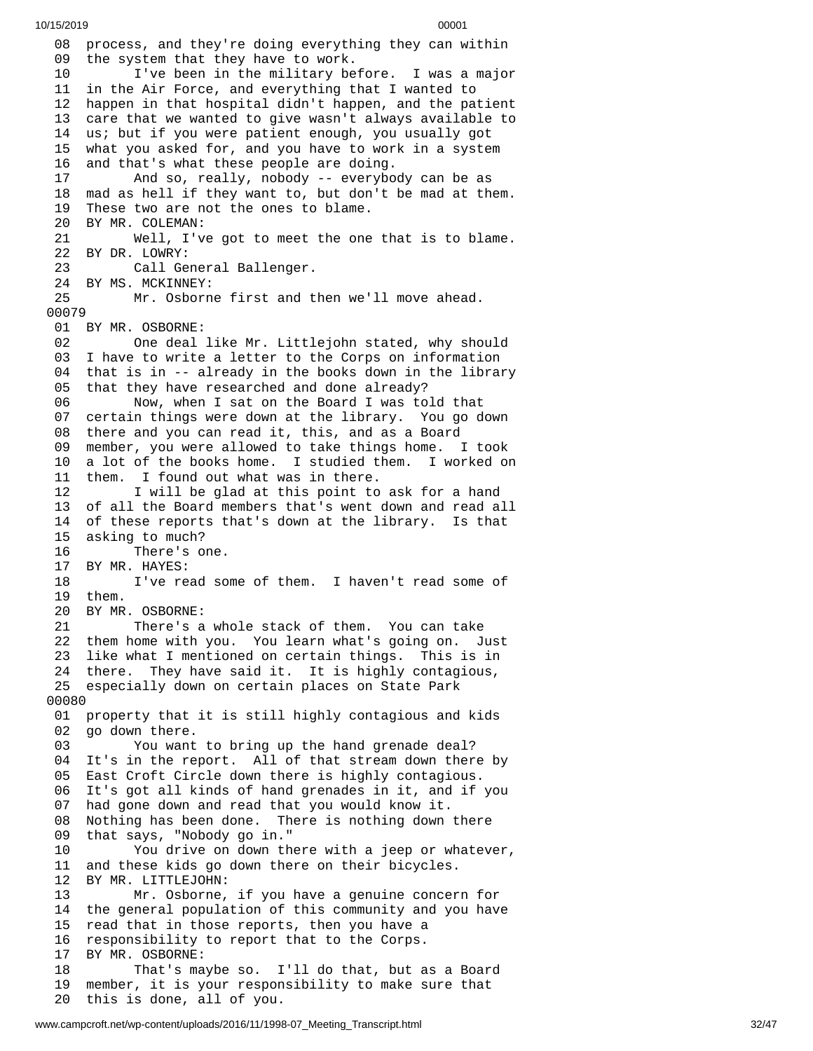08 process, and they're doing everything they can within 09 the system that they have to work. 10 I've been in the military before. I was a major 11 in the Air Force, and everything that I wanted to 12 happen in that hospital didn't happen, and the patient 3 care that we wanted to give wasn't always available to 14 us; but if you were patient enough, you usually got 5 what you asked for, and you have to work in a system 6 and that's what these people are doing. And so, really, nobody -- everybo d y c a n b e a s 18 mad as hell if they want to, but don't be mad at them. These two are not the ones to blame. BY MR. COLEMAN: Well, I've got to meet the one that is to blame. BY DR. LOWRY: Call General Ballenger. 24 BY MS. MCKINNEY:<br>25 Mr. Osborn Mr. Osborne first and then we'll move ahead. BY MR. OSBORNE: One deal like Mr. Littlejohn stated, why should I have to write a letter to the Corps on information that is in -- already in the books down in the library that they have researched and done already? Now, when I sat on the Board I was told that certain things were down at the library. You go down there and you can read it, this, and as a Board member, you were allowed to take things home. I took a lot of the books home. I studied them. I worked on them. I found out what was in there. I will be glad at this point to ask for a hand of all the Board members that's went down and read all of these reports that's down at the library. Is that asking to much? 16 There's one.<br>17 BY MR. HAYES: BY MR. HAYES: I've read some of them. I haven't read some of them. BY MR. OSBORNE: There's a whole stack of them. You can take them home with you. You learn what's going on. Just like what I mentioned on certain things. This is in there. They have said it. It is highly contagious, especially down on certain places on State Park property that it is still highly contagious and kids go down there. You want to bring up the hand grenade deal? It's in the report. All of that stream down there by East Croft Circle down there is highly contagious. 06 It's got all kinds of hand grenades in it, and if you<br>07 had gone down and read that you would know it. had gone down and read that you would know it. Nothing has been done. There is nothing down there that says, "Nobody go in." You drive on down there with a jeep or whatever, and these kids go down there on their bicycles. BY MR. LITTLEJOHN: Mr. Osborne, if you have a genuine concern for the general population of this community and you have read that in those reports, then you have a responsibility to report that to the Corps. BY MR. OSBORNE: That's maybe so. I'll do that, but as a Board member, it is your responsibility to make sure that this is done, all of you.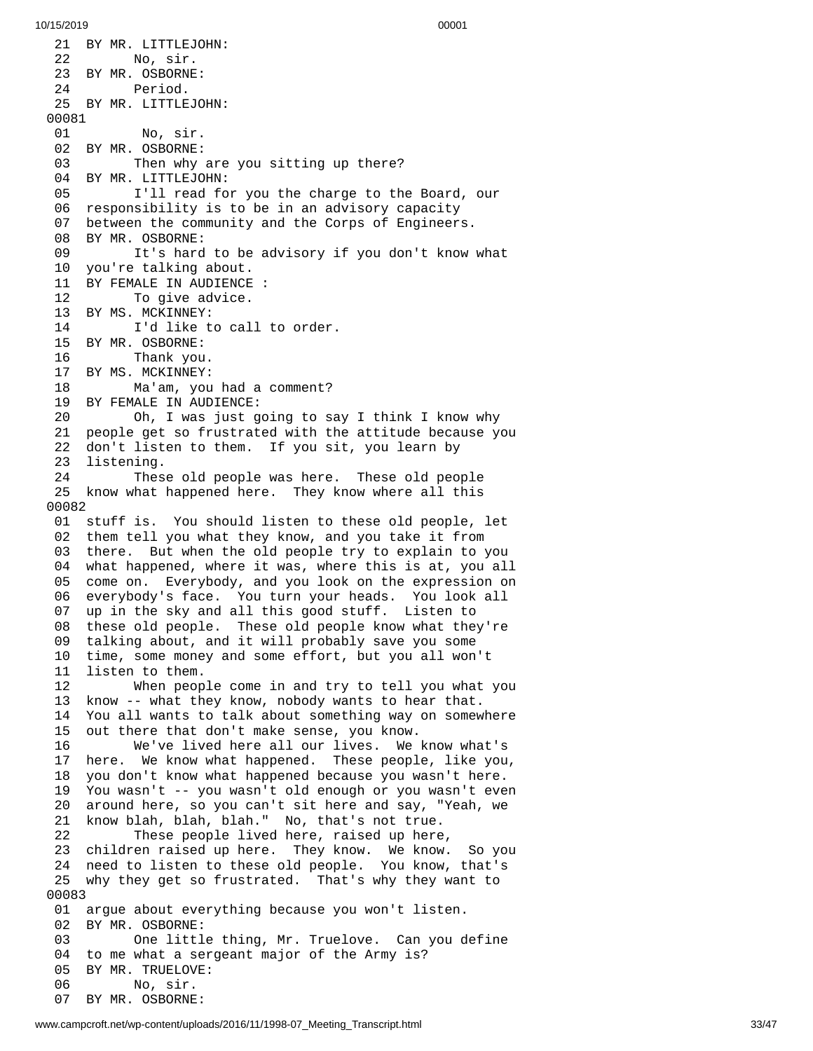21 BY MR. LITTLEJOHN: 22 No, sir. 23 BY MR. OSBORNE: 24 Period. 25 BY MR. LITTLEJOHN: 00081 01 No, sir. 02 BY MR. OSBORNE: 03 Then why are you sitting up there? 04 BY MR. LITTLEJOHN: 05 I'll read for you the charge to the Board, our 06 responsibility is to be in an advisory capacity 0 7 between the community and the Corps of Engineers. 08 BY MR. OSBORNE: 09 It's hard to be advisory if you don't know what 1 0 y o u'r e t a l k i n g a b o u t. 11 BY FEMALE IN AUDIENCE : 12 To give advice. 13 BY MS. MCKINNEY: 14 I'd like to call to order. 15 BY MR. OSBORNE: 16 Thank you. 17 BY MS. MCKINNEY: 18 Ma'am, you had a comment? 19 BY FEMALE IN AUDIENCE: 20 Oh, I was just going to sa y I t h i n k I k n o w w h y 21 people get so frustrated with the attitude because you 2 2 don't listen to them. If you sit, you learn by 23 listening. 24 These old people was here. These old people 25 know what happened here. They know where all this 0 0 0 8 2 01 stuff is. You should listen to these old people, let 02 them tell you what they know, and you take it from 03 there. But when the old people try to explain to you 04 what happened, where it was, where this is at, you all 0 5 come on. Everybody, and you look on the expression on 0 6 everybody's face. You turn your heads. You look all 0 7 up in the sky and all this good stuff. Listen to 08 these old people. These old people know what they're 09 talking about, and it will probably save you some 10 time, some money and some effort, but you all won't 1 1 listen to them. 12 When peop l e c o m e i n a n d t r y t o t e l l y o u w h a t y o u 13 know -- what they know, nobody wants to hear that. 14 You all wants to talk about something way on somew h e r e 1 5 out there that don't make sense, you know. 16 We've lived here all our lives. We k n o w w h a t's 1 7 here. We know what happened. These people, like you, 18 you don't know what happened because you wasn't here. 19 You wasn't -- you wasn't old enough or you wasn't eve n 2 0 around here, so you can't sit here and say, "Yeah, we 2 1 know blah, blah, blah." No, that's not true. 22 These people lived here, raised up here , 23 children raised up here. They know. We know. So you 24 need to listen to these old people. You know, that's 25 why they get so frustrated. That's why they want to 0 0 0 8 3 01 argue about everything because you won't listen. 02 BY MR. OSBORNE:<br>03 One littl 03 One little thing, Mr. Truelove. Can you define 04 to me what a sergeant major of the Army is? 0 5 BY MR. TRUELOVE: 06 No, sir. 07 BY MR. OSBORNE: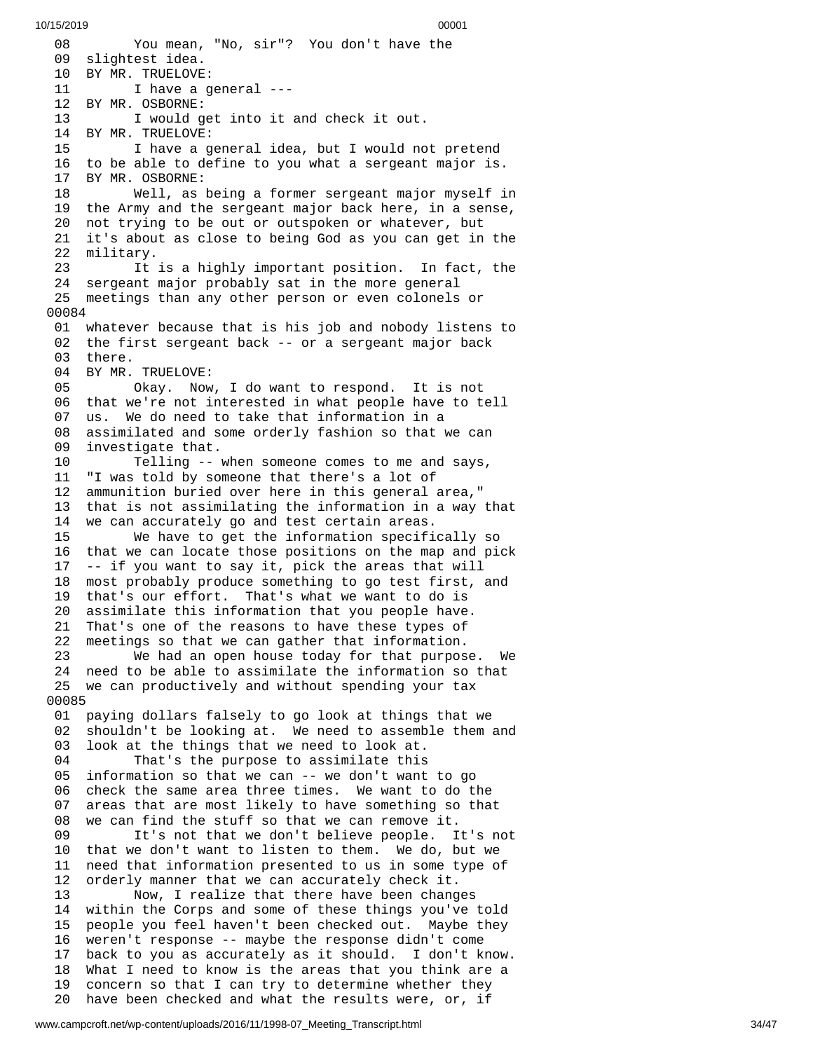0 8 You mean, "No, sir"? You don't have the 09 slightest idea. 10 BY MR. TRUELOVE: 11 I have a general ---12 BY MR. OSBORNE: 13 I would get into it and check it out. 14 BY MR. TRUELOVE:<br>15 1 have a q 15 I have a general idea, but I would not pretend 16 to be able to define to you what a sergeant major is. 17 BY MR. OSBORNE: 18 Well, as being a former sergeant major myself i n 19 the Army and the sergeant major back here, in a sense, 20 not trying to be out or outspoken or whatever, but 21 it's about as close to being God as you can get in the 2 2 military. 23 It is a highly important position. In fact, the 24 sergeant major probably sat in the more general 25 meetings than any other person or even colonels or 0 0 0 8 4 01 whatever because that is his job and nobody listens to 02 the first sergeant back -- or a sergeant major back 03 there. 04 BY MR. TRUELOVE: 05 Okay. Now , I d o w a n t t o r e s p o n d. I t i s n o t 06 that we're not interested in what people have to tell 0 7 us. We do need to take that information in a 0 8 assimilated and some orderly fashion so that we can 0 9 investigate that. 10 Telling -- when someone comes to me and says, 11 "I was told by someone that there's a lot of 12 ammunition buried over here in this general area," 1 3 that is not assimilating the information in a way that 14 we can accurately go and test certain areas. 15 We have to get the information specifi c a l l y s o 1 6 that we can locate those positions on the map and pick 17 -- if you want to say it, pick the areas that will 1 8 most probably produce something to go test first, and 1 9 that's our effort. That's what we want to do is 2 0 assimilate this information that you people have. 21 That's one of the reasons to have these types of 22 meetings so that we can gather that information. We had an open house today for that purpose. We 24 need to be able to assimilate the information so that 25 we can productively and without spending your tax 0 0 0 8 5 01 paying dollars falsely to go look at things that we 02 shouldn't be looking at. We need to assemble them and 03 look at the things that we need to look at. 04 That's the purpose to assimilate this 05 information so that we can -- we don't want to go 0 6 check the same area three times. We want to do the 0 7 areas that are most likely to have something so that 0 8 we can find the stuff so that we can remove it. 09 It's not that we don't believe people. It's not 1 0 that we don't want to listen to them. We do, but we 1 1 need that information presented to us in some type of 1 2 orderly manner that we can accurately check it. 13 Now, I realize that there have been chang e s 14 within the Corps and some of these things you've told 15 people you feel haven't been checked out. Maybe they 16 weren't response -- maybe the response didn't come 17 back to you as accurately as it should. I don't know. 18 What I need to know is the areas that you think are a 19 concern so that I can try to determine whether they 20 have been checked and what the results were, or, if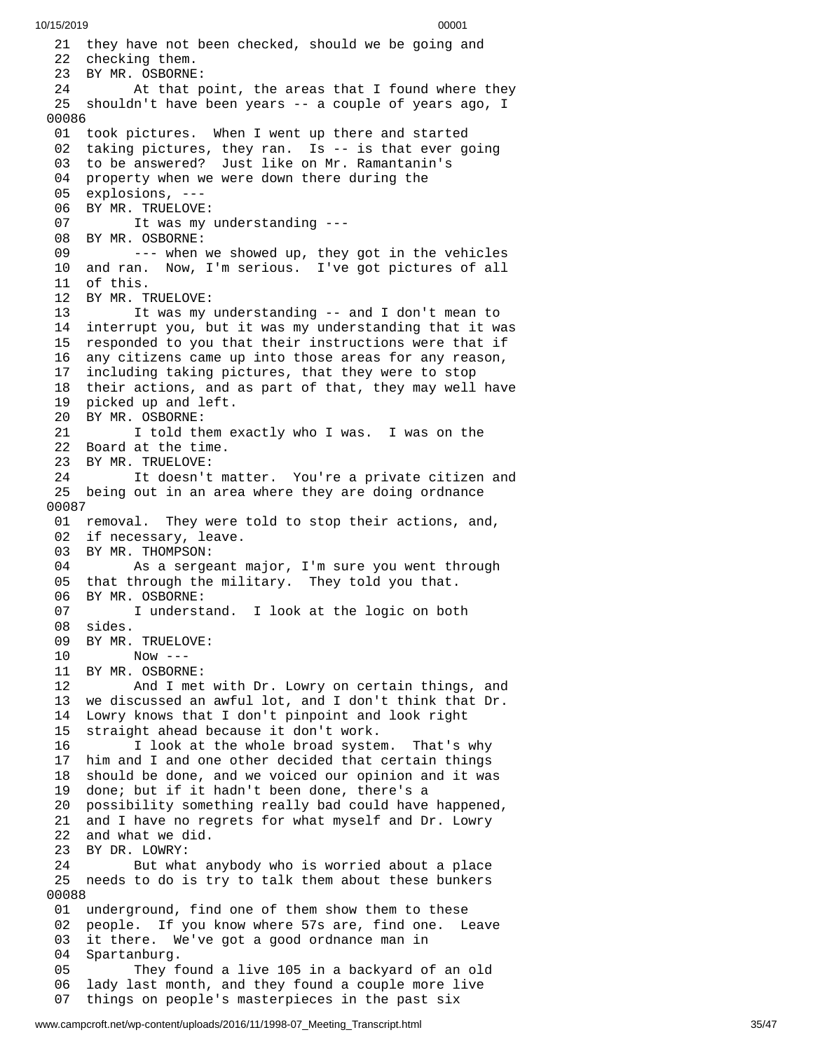21 they have not been checked, should we be going and 22 checking them. 23 BY MR. OSBORNE: 24 At that p o i n t , t h e a r e a s t h a t I f o u n d w h e r e t h e y 25 shouldn't have been years -- a couple of years ago, I 0 0 0 8 6 01 took pictures. When I went up there and started 02 taking pictures, they ran. Is -- is that ever going 03 to be answered? Just like on Mr. Ramantanin's 04 property when we were down there during the 05 explosions, ---06 BY MR. TRUELOVE: 07 It was my understanding ---08 BY MR. OSBORNE: 09 --- when we showed up, they got in the vehicles 10 and ran. Now, I'm serious. I've got pictures of all 1 1 o f t h i s. 12 BY MR. TRUELOVE: 13 It was my understanding -- and I don't mean to 14 interrupt you, but it was my understanding that it was 1 5 responded to you that their instructions were that if 1 6 any citizens came up into those areas for any reason, 1 7 including taking pictures, that they were to stop 18 their actions, and as part of that, they may well have 19 picked up and left. 20 BY MR. OSBORNE: 21 I told them exactly who I was. I was on the 22 Board at the time. 23 BY MR. TRUELOVE: 24 It doesn't matter. You're a private citizen and 25 being out in an area where they are doing ordnance 0 0 0 8 7 01 removal. They were told to stop their actions, and, 02 if necessary, leave. 03 BY MR. THOMPSON: 04 As a sergeant m a j o r , I'm s u r e y o u w e n t t h r o u g h 05 that through the military. They told you that. 06 BY MR. OSBORNE: 07 I understand. I look at the logic on bot h 08 sides. 09 BY MR. TRUELOVE: 10 Now --- 11 BY MR. OSBORNE: 12 And I met with Dr. Lowry on certain things, and 13 we discussed an awful lot, and I don't think that Dr. 14 Lowry knows that I don't pinpoint and look right 15 straight ahead because it don't work. 16 I look at the whole broad system. That's why 17 him and I and one other decided that certain things 18 should be done, and we voiced our opinion and it was<br>19 done; but if it hadn't been done, there's a done; but if it hadn't been done, there's a 20 possibility something really bad could have happened, 21 and I have no regrets for what myself and Dr. Lowry 22 and what we did. 23 BY DR. LOWRY: 24 But what anybody who is worried about a place 25 needs to do is try to talk them about these bunkers 0 0 0 8 8 01 underground, find one of them show them to these 0 2 people. If you know where 57s are, find one. Leave 0 3 it there. We've got a good ordnance man in 0 4 Spartanburg. 05 They found a live 105 in a backyard of an old 0 6 lady last month, and they found a couple more live 07 things on people's masterpieces in the past six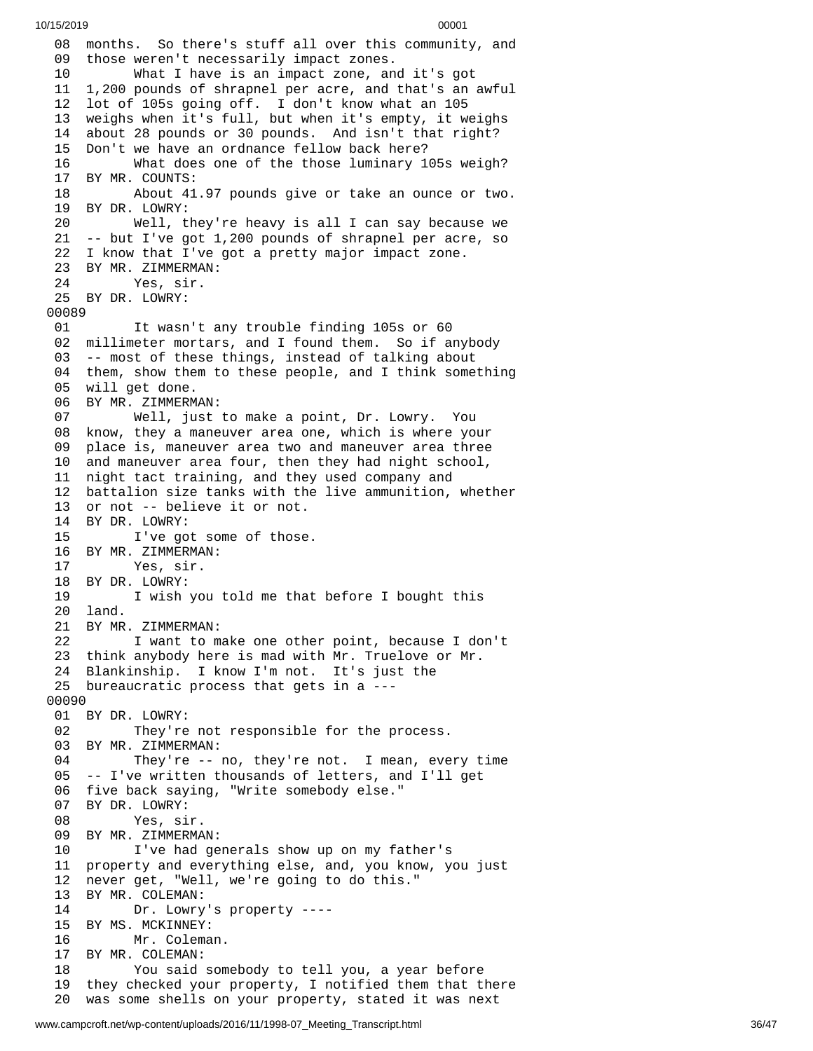08 months. So there's stuff all over this community, and 09 those weren't necessarily impact zones. What I have is an impact zone, an d i t's g o t 11 1,200 pounds of shrapnel per acre, and that's an awful 12 lot of 105s going off. I don't know what an 105 3 weighs when it's full, but when it's empty, it weighs 14 about 28 pounds or 30 pounds. And isn't that right? 15 Don't we have an ordnance fellow back here? 6 What does one of the those luminary 105s weigh? 17 BY MR. COUNTS: About 41.9 7 p o u n d s g i v e o r t a k e a n o u n c e o r t w o. BY DR. LOWRY: Well, they're heavy is all I can say because we -- but I've got 1,200 pounds of shrapnel per acre, so I know that I've got a pretty major impact zone. BY MR. ZIMMERMAN: Yes, sir. BY DR. LOWRY: It wasn't any trouble finding 105s or 60 02 millimeter mortars, and I found them. So if anybody<br>03 -- most of these things, instead of talking about -- most of these things, instead of talking about them, show them to these people, and I think something will get done. BY MR. ZIMMERMAN: Well, just to make a point, Dr. Lowry. You know, they a maneuver area one, which is where your place is, maneuver area two and maneuver area three and maneuver area four, then they had night school, night tact training, and they used company and battalion size tanks with the live ammunition, whether or not -- believe it or not. BY DR. LOWRY: I've got some of those. BY MR. ZIMMERMAN: Yes, sir. BY DR. LOWRY: I wish you told me that before I bought this land. BY MR. ZIMMERMAN: I want to make one other point, because I don't think anybody here is mad with Mr. Truelove or Mr. Blankinship. I know I'm not. It's just the bureaucratic process that gets in a --- BY DR. LOWRY: They're not responsible for the process. BY MR. ZIMMERMAN: They're -- no, they're not. I mean, every time -- I've written thousands of letters, and I'll get five back saying, "Write somebody else." BY DR. LOWRY: Yes, sir. BY MR. ZIMMERMAN: I've had generals show up on my father's property and everything else, and, you know, you just never get, "Well, we're going to do this." BY MR. COLEMAN: Dr. Lowry's property ---- BY MS. MCKINNEY: Mr. Coleman. BY MR. COLEMAN: You said somebody to tell you, a year before they checked your property, I notified them that there was some shells on your property, stated it was next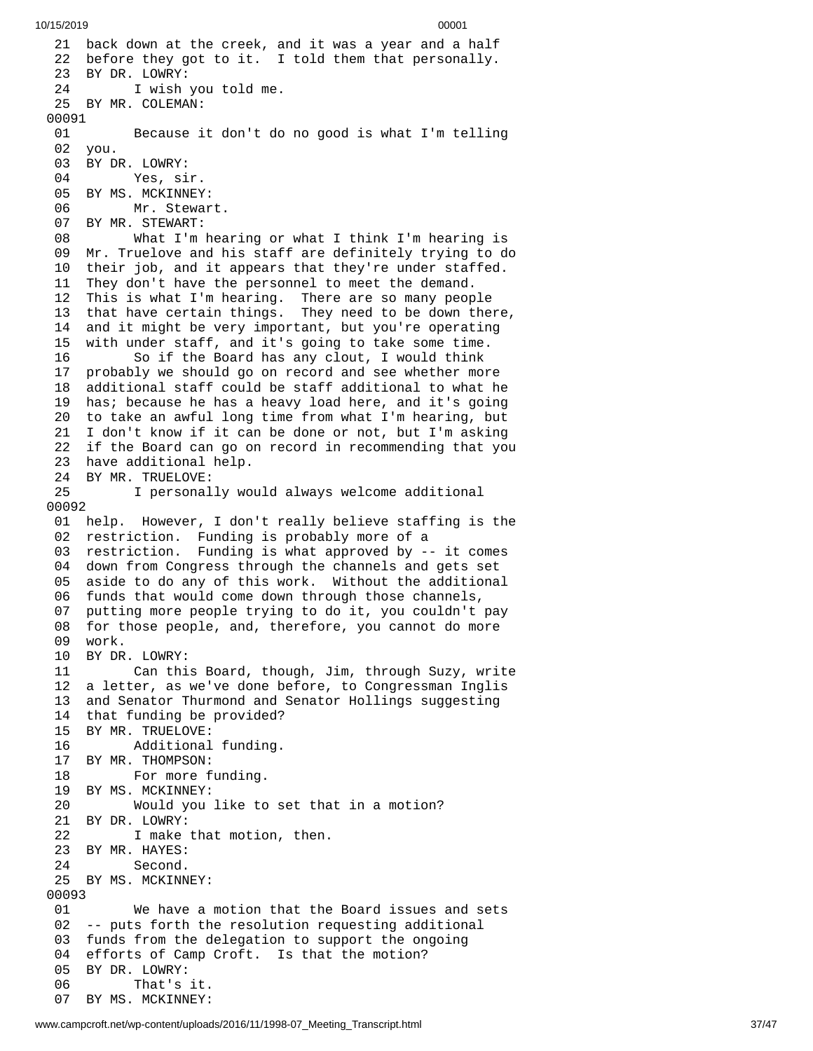21 back down at the creek, and it was a year and a half 22 before they got to it. I told them that personally. 23 BY DR. LOWRY:<br>24 I wish I wish you told me. 25 BY MR. COLEMAN: 00091 01 Because it don't do no good is what I'm tellin g 02 you. 03 BY DR. LOWRY: 04 Yes, si r. 05 BY MS. MCKINNEY: 06 Mr. Stewar t. 07 BY MR. STEWART: 08 What I'm hea r i n g o r w h a t I t h i n k I'm h e a r i n g i s 09 Mr. Truelove and his staff are definitely trying to do 10 their job, and it appears that they're under staffed. 11 They don't have the personnel to meet the demand. 12 This is what I'm hearing. There are so many people 13 that have certain things. They need to be down there , 14 and it might be very important, but you're operating 1 5 with under staff, and it's going to take some time. 16 So if the Board has any clout, I would think 17 probably we should go on record and see whether mor e 18 additional staff could be staff additional to what he 19 has; because he has a heavy load here, and it's going 20 to take an awful long time from what I'm hearing, but 21 I don't know if it can be done or not, but I'm asking 22 if the Board can go on record in recommending that you 23 have additional help. 24 BY MR. TRUELOVE:<br>25 1 personal 25 I personally would always welcome additional 0 0 0 9 2 01 help. However, I don't really believe staffing is the 02 restriction. Funding is probably more of a 03 restriction. Funding is what approved by -- it comes 04 down from Congress through the channels and gets set 0 5 aside to do any of this work. Without the additional 06 funds that would come down through those channels, 0 7 putting more people trying to do it, you couldn't pay 08 for those people, and, therefore, you cannot do more 09 work. 10 BY DR. L O W R Y: 11 Can this Board, though, Jim, through Suzy, write 12 a letter, as we've done before, to Congressman Inglis 1 3 and Senator Thurmond and Senator Hollings suggesting 14 that funding be provided? 15 BY MR. TRUELOVE: 16 Additional f u n d i n g. 17 BY MR. THOMPSON: 18 For more funding. 19 BY MS. MCKINNEY: 20 Would you like to set that in a motion? 21 BY DR. LOWRY: 22 I make that motion, then. 23 BY MR. HAYES: 24 Second. 25 BY MS. MCKINNEY: 00093 01 We have a motion that the Board issues and sets 02 -- puts forth the resolution requesting additional 03 funds from the delegation to support the ongoing 04 efforts of Camp Croft. Is that the motion? 0 5 BY DR. LOWRY: 06 That's it. 07 BY MS. MCKINNEY: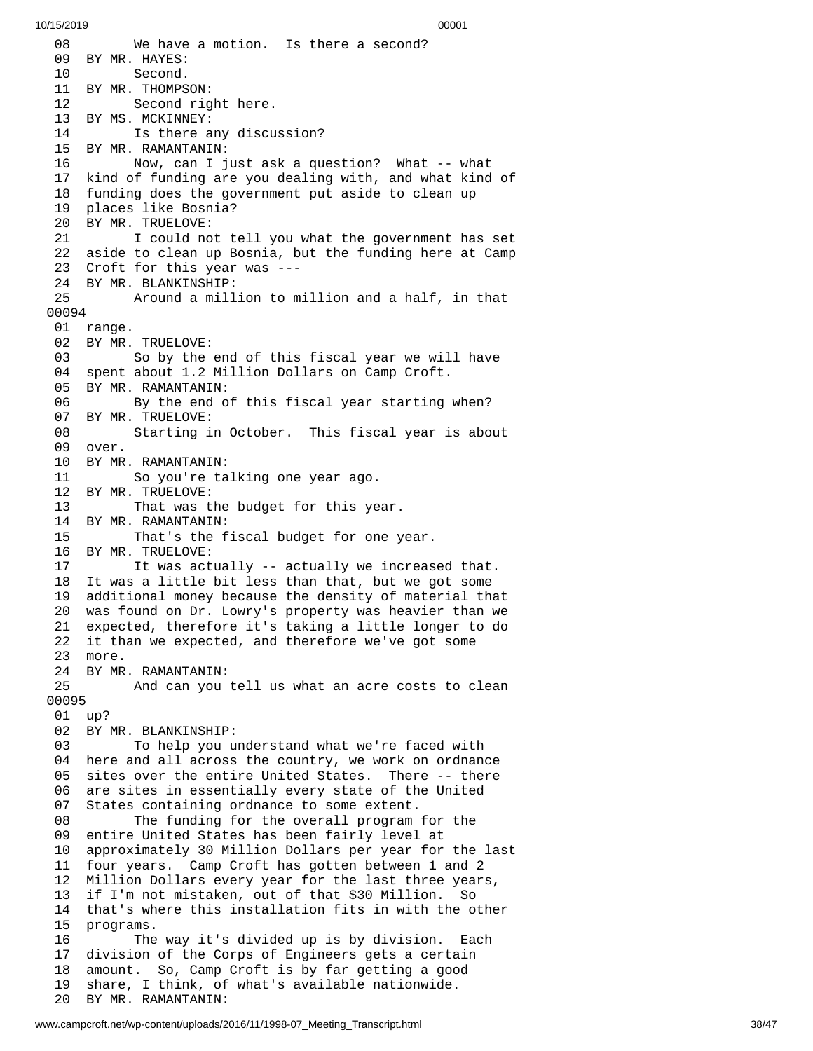0 8 We have a motion. Is there a second? 09 BY MR. HAYES: 10 Second. 11 BY MR. THOMPS O N: 12 Second rig h t h e r e. 13 BY MS. MCKINNEY: 14 Is there any discussion? 15 BY MR. RAMANTANIN: 16 Now, can I just ask a question? What -- what 17 kind of funding are you dealing with, and what kind of 18 funding does the government put aside to clean up 19 places like Bosnia? 20 BY MR. TRUELOVE: 21 I could not tell you what the government has set 22 aside to clean up Bosnia, but the funding here at Camp 23 Croft for this year was ---24 BY MR. BLANKINSHIP: 25 Around a mill i o n t o m i l l i o n a n d a h a l f , i n t h a t 0 0 0 9 4 01 range. 02 BY MR. TRUELOVE: 03 So by the e n d o f t h i s f i s c a l y e a r w e w i l l h a v e 04 spent about 1.2 Million Dollars on Camp Croft. 05 BY MR. RAMANTANIN: 06 By the end of this fiscal year starting when? 0 7 BY MR. TRUELOVE: 08 Starting in October. This fiscal year is about 09 over. 10 BY MR. RAMANTANIN: 11 So you're ta l k i n g o n e y e a r a g o. 12 BY MR. TRUELOVE: 13 That was the budget for this ye a r. 14 BY MR. RAMANTANIN: 15 That's the fiscal budget for one y e a r. 16 BY MR. TRUELOVE: 17 It was actually -- actually we increased that. 18 It was a little bit less than that, but we got some 19 additional money because the density of material tha t 20 was found on Dr. Lowry's property was heavier than we 21 expected, therefore it's taking a little longer to do 22 it than we expected, and therefore we've got some 2 3 m o r e. 24 BY MR. RAMANTANIN: 25 And can you t e l l u s w h a t a n a c r e c o s t s t o c l e a n 0 0 0 9 5 01 up? 02 BY MR. BLANKINSHIP: 03 To help you understand what we're faced with 04 here and all across the country, we work on ordnance 05 sites over the entire United States. There -- there 0 6 are sites in essentially every state of the United 0 7 States containing ordnance to some extent. 08 The funding for the overall program for the 0 9 entire United States has been fairly level at 1 0 approximately 30 Million Dollars per year for the last 11 four years. Camp Croft has gotten between 1 and 2 12 Million Dollars every year for the last three years, 13 if I'm not mistaken, out of that \$30 Million. So 14 that's where this installation fits in with the other 1 5 programs. 16 The way it's divided up is by division. Each 17 division of the Corps of Engineers gets a certain 1 8 amount. So, Camp Croft is by far getting a good 1 9 share, I think, of what's available nationwide. 20 BY MR. RAMANTANIN: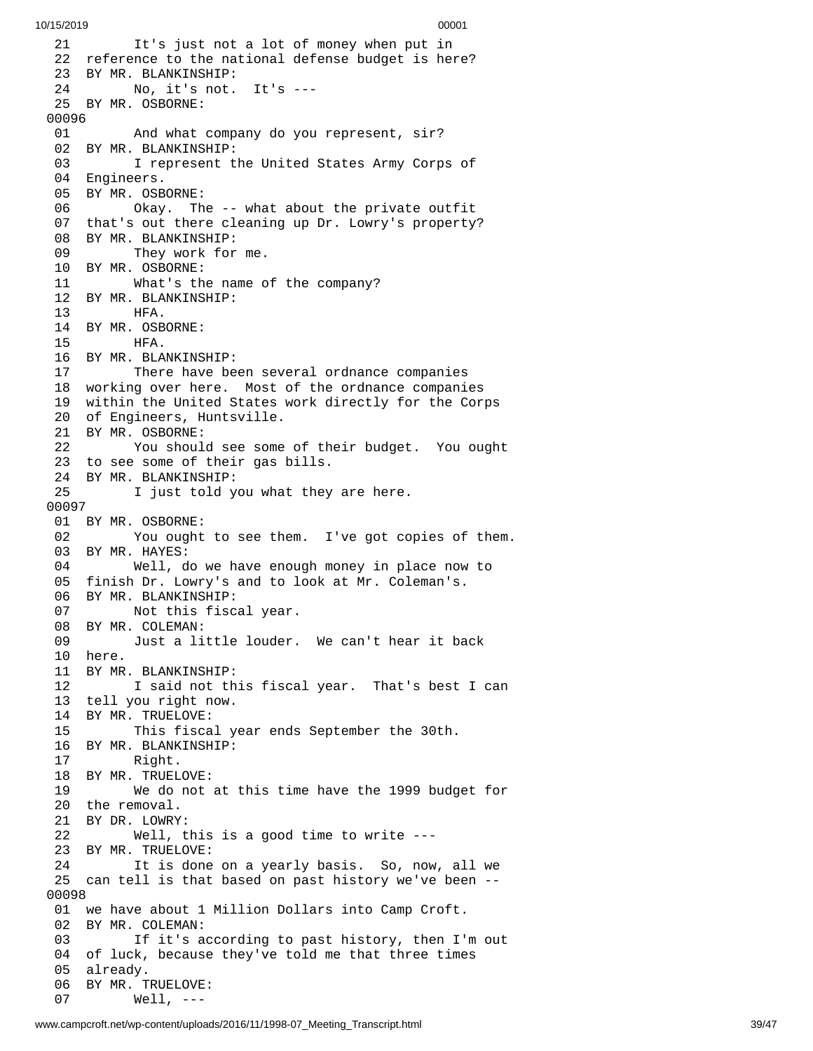2 1 It's just not a lot of money when put in 22 reference to the national defense budget is here? 23 BY MR. BLANKINSHIP: 24 No, it's not. I t's - - - 25 BY MR. OSBORNE: 00096 01 And what c o m p a n y d o y o u r e p r e s e n t , s i r ? 02 BY MR. BLANKINSHIP: 03 I represent the United States Army Corps of 04 Engineers. 05 BY MR. OSBORNE: 06 Okay. Th e - - w h a t a b o u t t h e p r i v a t e o u t f i t 07 that's out there cleaning up Dr. Lowry's property? 08 BY MR. BLANKINSHIP: 09 They work for m e. 10 BY MR. OSBORNE: 11 What's the name o f t h e c o m p a n y ? 12 BY MR. BLANKINSHIP: 13 HFA. 14 BY MR. OSBORNE: 15 HFA. 16 BY MR. BLANKINSHIP:<br>17 There have be 17 There have been several ordnance companies 18 working over here. Most of the ordnance companies 19 within the United States work directly for the Corps 20 of Engineers, Huntsville. 21 BY MR. OSBORNE: 22 You should see some of their budget. You ought 23 to see some of their gas bills. 24 BY MR. BLANKINSHIP: 25 I just told you what they are here. 00097 01 BY MR. OSBORNE: 02 You ought to see them. I've got copies of them. 03 BY MR. HAYES: 04 Well, do we have enough money in place now to 05 finish Dr. Lowry's and to look at Mr. Coleman's. 06 BY MR. BLANKINSHIP: 07 Not this fiscal year. 08 BY MR. COLEMAN: 09 Just a little louder. We can't hear it back 10 here. 11 BY MR. BLANKINSHIP: 12 I said not this fiscal year. That's best I can 13 tell you right now. 14 BY MR. TRUELOVE: 15 This fiscal year ends September the 30th. 16 BY MR. BLANKINSHIP: 17 Right. 18 BY MR. TRUELOVE: 19 We do not at this time have the 1999 budget for 20 the removal. 21 BY DR. LOWRY: 22 Well, this is a good time to write --- 23 BY MR. TRUELOVE: 24 It is done on a yearly basis. So, now, all we 25 can tell is that based on past history we've been -- 0 0 0 9 8 01 we have about 1 Million Dollars into Camp Croft. 02 BY MR. COLEMAN: 03 If it's according to past history, then I'm out 04 of luck, because they've told me that three times 05 already. 06 BY MR. TRUELOVE: 07 Well, ---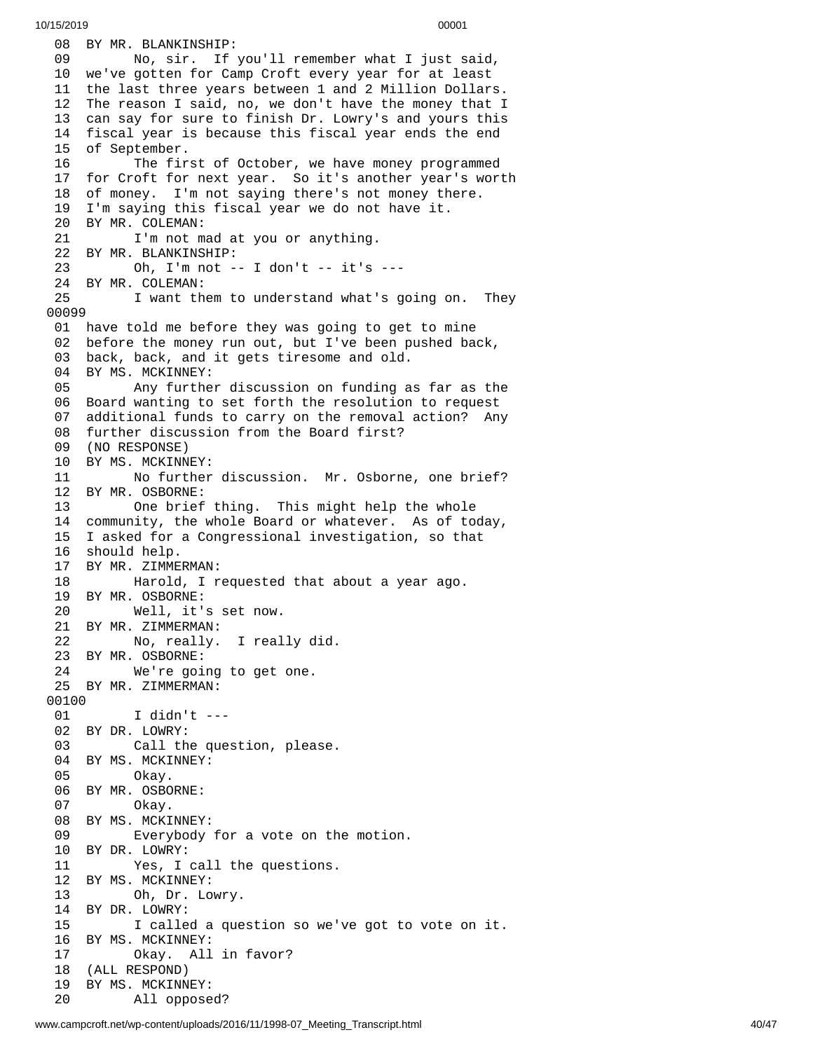08 BY MR. BLANKINSHIP: 09 No, sir. If you'll remember what I just said, 10 we've gotten for Camp Croft every year for at least 11 the last three years between 1 and 2 Million Dollars. The reason I said, no, we don't have the money that I can say for sure to finish Dr. Lowry's and yours this fiscal year is because this fiscal year ends the end of September. The first of October, we have money programmed for Croft for next year. So it's another year's wort h 18 of money. I'm not saying there's not money there. I'm saying this fiscal year we do not have it. BY MR. COLEMAN: I'm not mad at you or anything. BY MR. BLANKINSHIP: Oh, I'm not -- I don't -- it's --- 24 BY MR. COLEMAN:<br>25 I want th 25 I want them to understand what's going on. They 01 have told me before they was going to get to mine 2 before the money run out, but I've been pushed back, 3 back, back, and it gets tiresome and old. BY MS. MCKINNEY: Any further discussion on funding a s f a r a s t h e 06 Board wanting to set forth the resolution to request 7 additional funds to carry on the removal action? Any 08 further discussion from the Board first? 09 (NO RESPONSE) 10 BY MS. MCKINNEY: 11 No further discussion. Mr. Osborne, one brief? 12 BY MR. OSBORNE: One brief t h i n g. T h i s m i g h t h e l p t h e w h o l e 14 community, the whole Board or whatever. As of today, 15 I asked for a Congressional investigation, so that 6 s h o u l d h e l p. 17 BY MR. ZIMMERMAN: 18 Harold, I requested that about a year ago. BY MR. OSBORNE: Well, it's set now. BY MR. ZIMMERMAN: No, really. I really did. BY MR. OSBORNE: We're going to get one. BY MR. ZIMMERMAN: I didn't --- BY DR. LOWRY: Call the question, please. BY MS. MCKINNEY: Okay. BY MR. OSBORNE: Okay. BY MS. MCKINNEY: Everybody for a vote on the motion. BY DR. LOWRY: Yes, I call the questions. BY MS. MCKINNEY: Oh, Dr. Lowry. BY DR. LOWRY: I called a question so we've got to vote o n i t. BY MS. MCKINNEY: Okay. All in favor? (ALL RESPOND) BY MS. MCKINNEY: All opposed?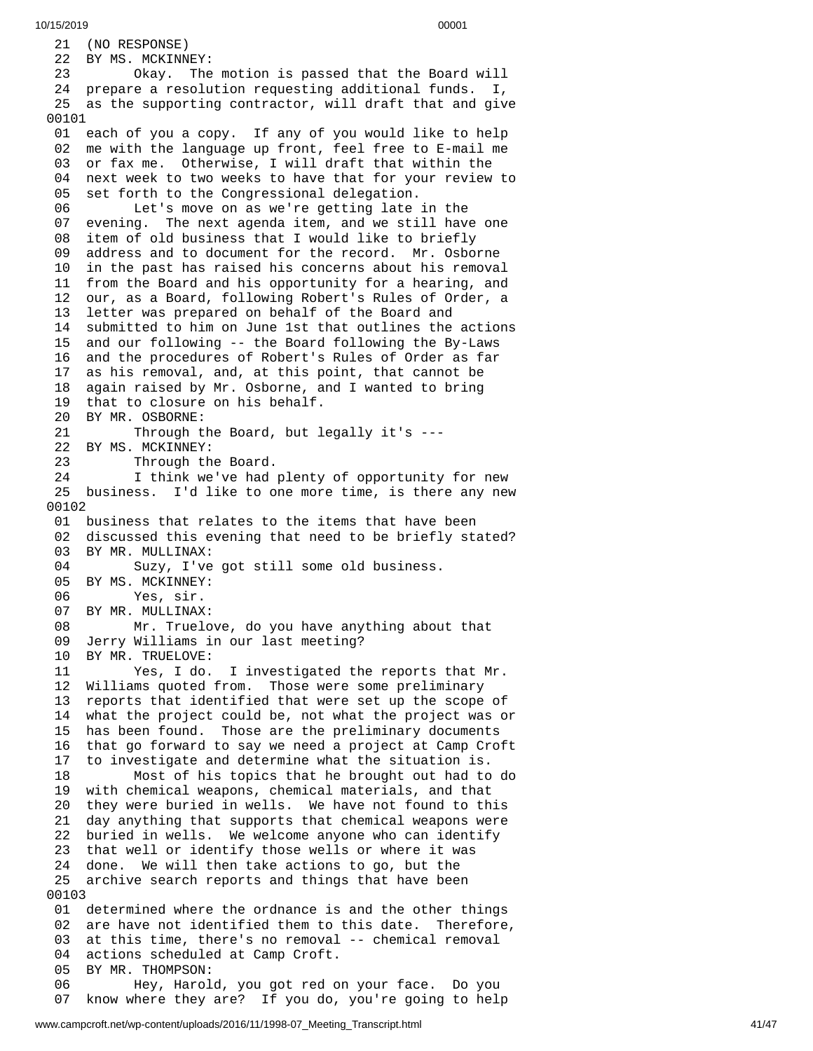21 (NO RESPONSE) 22 BY MS. MCKINNEY: 23 Okay. The m o t i o n i s p a s s e d t h a t t h e B o a r d w i l l 24 prepare a resolution requesting additional funds. I, 25 as the supporting contractor, will draft that and give 0 0 1 0 1 01 each of you a copy. If any of you would like to help 02 me with the language up front, feel free to E-mail me 03 or fax me. Otherwise, I will draft that within the 0 4 next week to two weeks to have that for your review to 0 5 set forth to the Congressional delegation. 06 Let's move on as we're getting late in the 0 7 evening. The next agenda item, and we still have one 08 item of old business that I would like to briefly 0 9 address and to document for the record. Mr. Osborne 10 in the past has raised his concerns about his removal 11 from the Board and his opportunity for a hearing, and 12 our, as a Board, following Robert's Rules of Order, a 1 3 letter was prepared on behalf of the Board and 14 submitted to him on June 1st that outlines the actions 1 5 and our following -- the Board following the By-Laws 1 6 and the procedures of Robert's Rules of Order as far 1 7 as his removal, and, at this point, that cannot be 18 again raised by Mr. Osborne, and I wanted to bring 19 that to closure on his behalf. 20 BY MR. OSBORNE: 21 Through the Board, but legally it's ---22 BY MS. MCKINNEY: 23 Through the Board. 24 I think we've had plenty of opportunity for new 25 business. I'd like to one more time, is there any new 0 0 1 0 2 01 business that relates to the items that have been 02 discussed this evening that need to be briefly stated? 03 BY MR. MULLINAX: 04 Suzy, I've got still some old business. 05 BY MS. MCKINNEY: 06 Yes, sir.<br>07 BY MR. MULLINAX 07 BY MR. MULLINAX: 08 Mr. Truelove, do you have anything abou t t h a t 09 Jerry Williams in our last meeting? 10 BY MR. TRUELOVE: 11 Yes, I do. I i n v e s t i g a t e d t h e r e p o r t s t h a t M r. 12 Williams quoted from. Those were some preliminary 13 reports that identified that were set up the scope of 14 what the project could be, not what the project was o r 15 has been found. Those are the preliminary documents 16 that go forward to say we need a project at Camp Croft 1 7 to investigate and determine what the situation is. 18 Most of his topics that he brought out had to d o 1 9 with chemical weapons, chemical materials, and that 2 0 they were buried in wells. We have not found to this 2 1 day anything that supports that chemical weapons were 2 2 buried in wells. We welcome anyone who can identify 23 that well or identify those wells or where it was 24 done. We will then take actions to go, but the 25 archive search reports and things that have been 00103 01 determined where the ordnance is and the other things 02 are have not identified them to this date. Therefore, 03 at this time, there's no removal -- chemical removal 0 4 actions scheduled at Camp Croft. 05 BY MR. THOMPSON: 06 Hey, Harold, you got red on your face. Do you 0 7 know where they are? If you do, you're going to help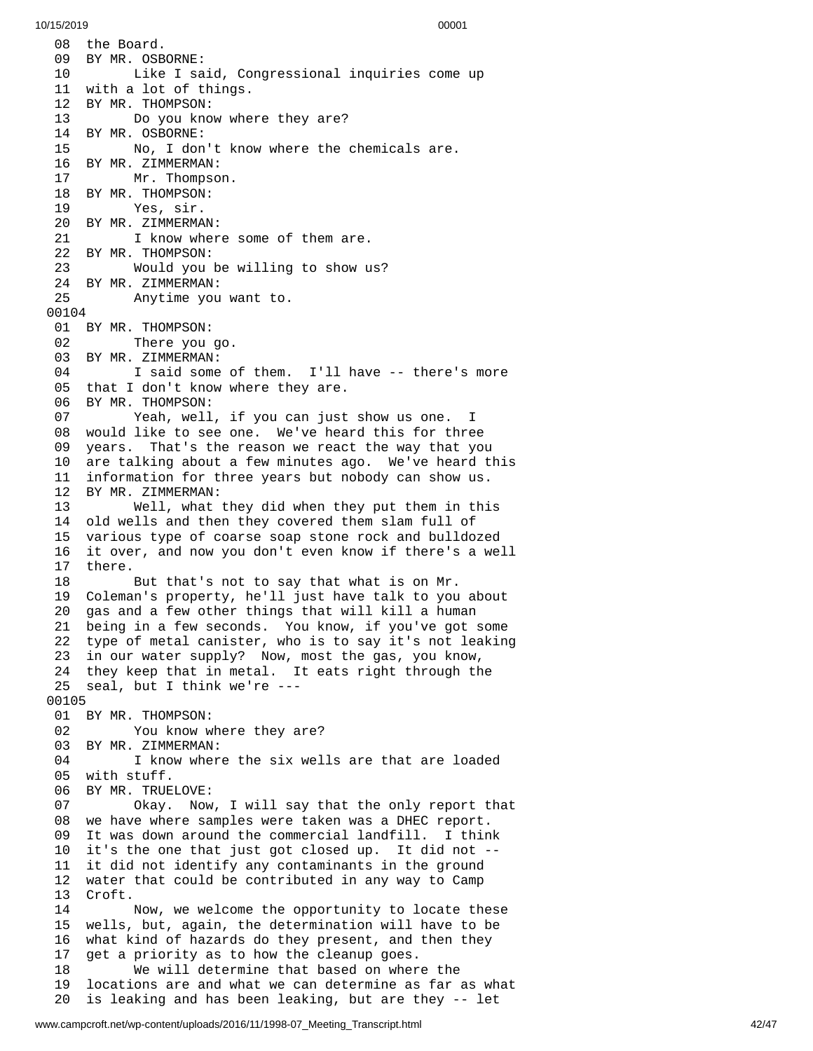08 the Board. 09 BY MR. OSBORNE: 10 Like I said, Congressional inquiries come up 11 with a lot of things. 12 BY MR. THOMPSON: 13 Do you know whe r e t h e y a r e ? 1 4 B Y M R. O S B O R N E: 15 No, I don't k n o w w h e r e t h e c h e m i c a l s a r e. 16 BY MR. ZIMMERMAN: 17 Mr. Thompson. 18 BY MR. THOMPSON: 19 Yes, sir. 20 BY MR. ZIMMERMAN: 21 I know where some of them are. 22 BY MR. THOMPSON: 23 Would you be willing to show us? 24 BY MR. ZIMMERMAN:<br>25 Anytime you Anytime you want to. 00104 01 BY MR. THOMPSON: 02 There you go. 03 BY MR. ZIMMERMAN:<br>04 I said some 04 I said some of them. I'll have -- there's more 05 that I don't know where they are. 06 BY MR. THOMPSON: 07 Yeah, well, if you can just show us one. I 08 would like to see one. We've heard this for three 09 years. That's the reason we react the way that you 10 are talking about a few minutes ago. We've heard this 11 information for three years but nobody can show us. 12 BY MR. ZIMMERMAN: 13 Well, what they did when they put them in thi s 14 old wells and then they covered them slam full of 15 various type of coarse soap stone rock and bulldozed 16 it over, and now you don't even know if there's a well 1 7 t h e r e. 18 But that's not to say that what is on Mr. 19 Coleman's property, he'll just have talk to you about 2 0 gas and a few other things that will kill a human 21 being in a few seconds. You know, if you've got some 22 type of metal canister, who is to say it's not leaking 23 in our water supply? Now, most the gas, you know, 24 they keep that in metal. It eats right through the 25 seal, but I think we're ---0 0 1 0 5 01 BY MR. THOMPSON: 02 You know where they are? 03 BY MR. ZIMMERMAN: 04 I know where the six wells are that are loaded 05 with stuff. 06 BY MR. TRUELOVE: 07 Okay. Now , I w i l l s a y t h a t t h e o n l y r e p o r t t h a t 08 we have where samples were taken was a DHEC report. 09 It was down around the commercial landfill. I thin k 1 0 it's the one that just got closed up. It did not --11 it did not identify any contaminants in the ground 12 water that could be contributed in any way to Camp 13 Croft. 14 Now, we welcome the opportunity to locate these 15 wells, but, again, the determination will have to be 16 what kind of hazards do they present, and then they 1 7 get a priority as to how the cleanup goes. 18 We will determine that based on wher e t h e 1 9 locations are and what we can determine as far as what 2 0 is leaking and has been leaking, but are they -- let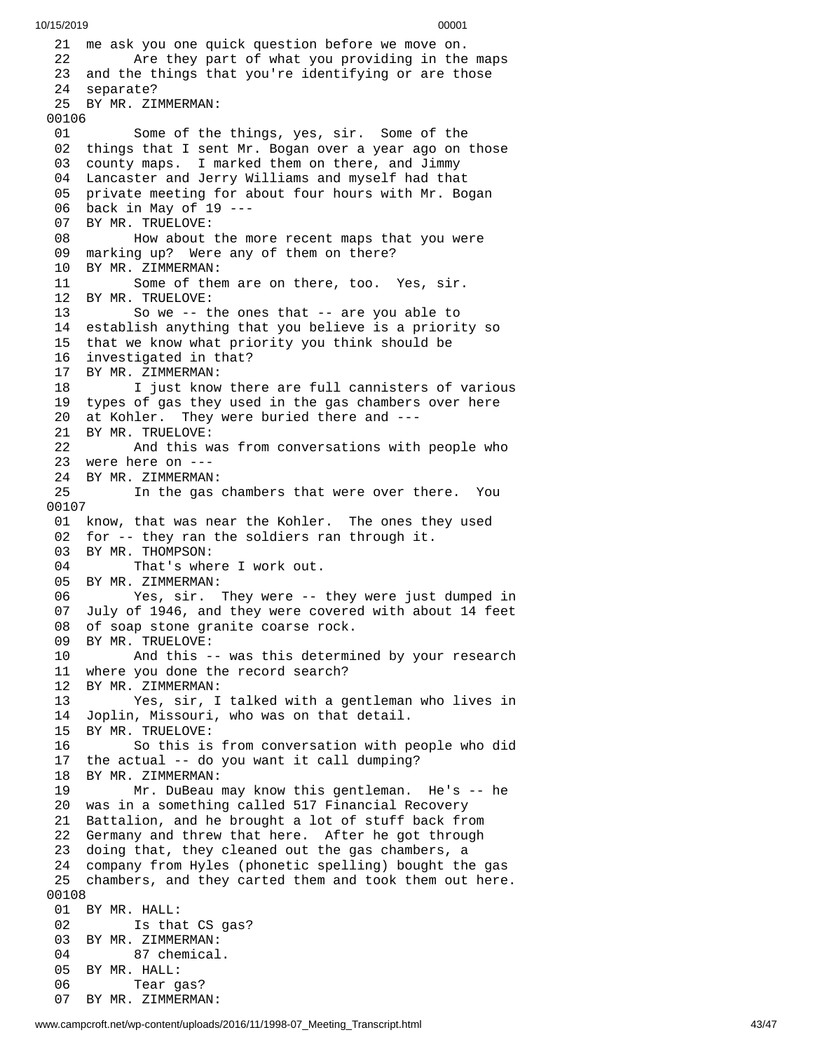21 me ask you one quick question before we move on. 22 Are they part of what you providing in the m a p s 23 and the things that you're identifying or are those 24 separate? 25 BY MR. ZIMMERMAN: 00106 01 Some of the things, yes, sir. Some of the 02 things that I sent Mr. Bogan over a year ago on those 03 county maps. I marked them on there, and Jimmy 04 Lancaster and Jerry Williams and myself had that 05 private meeting for about four hours with Mr. Bogan 06 back in May of 19 ---07 BY MR. TRUELOVE: 08 How about the more recent maps that you were 09 marking up? Were any of them on there? 10 BY MR. ZIMMERMAN: 11 Some of them are on there, too. Yes, sir. 12 BY MR. TRUELOVE:<br>13 So we -- t So we -- the ones that -- are you able to 14 establish anything that you believe is a priorit y s o 15 that we know what priority you think should be 16 investigated in that? 17 BY MR. ZIMMERMAN: 18 I just know there are full cannisters of various 19 types of gas they used in the gas chambers over here 20 at Kohler. They were buried there and ---21 BY MR. TRUELOVE: 22 And this w a s f r o m c o n v e r s a t i o n s w i t h p e o p l e w h o 23 were here on ---24 BY MR. ZIMMERMAN: 25 In the gas chambers that were over there. Y $\,$ o u 0 0 1 0 7 01 know, that was near the Kohler. The ones they used 02 for -- they ran the soldiers ran through it. 03 BY MR. THOMPSON: 04 That's where I work out. 05 BY MR. ZIMMERMAN: 06 Yes, sir. They were -- they were just dumped in 07 July of 1946, and they were covered with about 14 feet 08 of soap stone granite coarse rock. 09 BY MR. TRUELOVE: 10 And this -- was this determi n e d b y y o u r r e s e a r c h 11 where you done the record search? 1 2 BY MR. ZIMMERMAN: 13 Yes, sir, I talked with a gentleman who lives in 14 Joplin, Missouri, who was on that detail. 15 BY MR. TRUELOVE: 16 So this is from conversation with people who did 17 the actual -- do you want it call dumping? 18 BY MR. ZIMMERMAN: 19 Mr. DuBeau m a y k n o w t h i s g e n t l e m a n. H e's - - h e 20 was in a something called 517 Financial Recovery 21 Battalion, and he brought a lot of stuff back from 22 Germany and threw that here. After he got through 23 doing that, they cleaned out the gas chambers, a 24 company from Hyles (phonetic spelling) bought the gas 25 chambers, and they carted them and took them out here. 00108 01 BY MR. HALL: 02 Is that CS gas? 03 BY MR. ZIMMERMAN: 04 87 chemical. 05 BY MR. HALL: 06 Tear gas? 07 BY MR. ZIMMERMAN: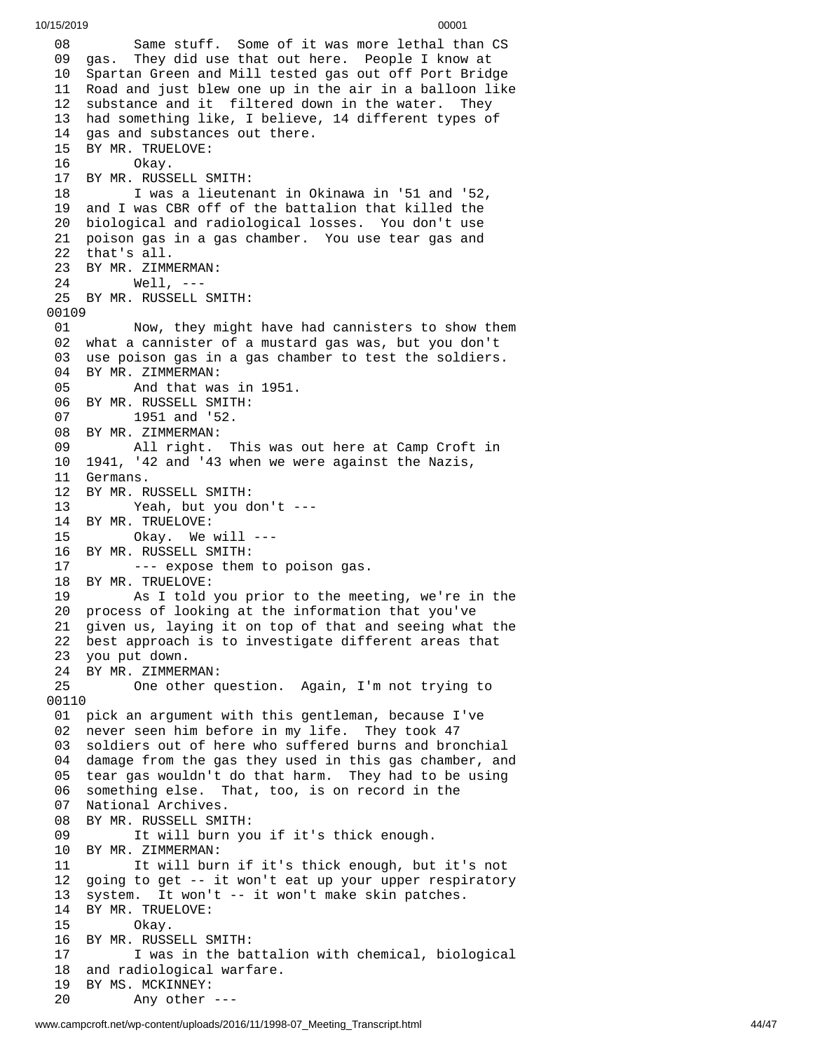0 8 Same stuff. Some of it was more lethal than CS 09 gas. They did use that out here. People I know at 10 Spartan Green and Mill tested gas out off Port Bridge 11 Road and just blew one up in the air in a balloon like 12 substance and it filtered down in the water. They 13 had something like, I believe, 14 different types of 14 gas and substances out there. 15 BY MR. TRUELOVE: 16 Okay. 17 BY MR. RUSSELL SMITH: 18 I was a lieutenant in Okinawa in '51 and '52, 19 and I was CBR off of the battalion that killed the 20 biological and radiological losses. You don't use 21 poison gas in a gas chamber. You use tear gas and 22 that's all. 23 BY MR. ZIMMERMAN: 24 Well, --- 25 BY MR. RUSSELL SMITH: 00109 01 Now, they might have had cannisters to show them 02 what a cannister of a mustard gas was, but you don't 03 use poison gas in a gas chamber to test the soldiers. 04 BY MR. ZIMMERMAN: 05 And that was in 1951. 06 BY MR. RUSSELL SMITH: 07 1951 and '52. 08 BY MR. ZIMMERMAN: 09 All right. This was out here at Camp Croft in 10 1941, '42 and '43 when we were against the Nazis, 11 Germans. 12 BY MR. RUSSELL SMITH: 13 Yeah, but you don't --- 14 BY MR. TRUELOVE: 15 Okay. We will --- 16 BY MR. RUSSELL SMITH: 17 --- expose them to poison gas. 18 BY MR. TRUELOVE: 19 As I told you prior to the meeting, we're in th e 20 process of looking at the information that you've 21 given us, laying it on top of that and seeing what the 22 best approach is to investigate different areas that 23 you put down. 24 BY MR. ZIMMERMAN: 25 One other q u e s t i o n. A g a i n , I'm n o t t r y i n g t o 00110 01 pick an argument with this gentleman, because I've 02 never seen him before in my life. They took 47 03 soldiers out of here who suffered burns and bronchial 04 damage from the gas they used in this gas chamber, and 05 tear gas wouldn't do that harm. They had to be using 06 something else. That, too, is on record in the 07 National Archives. 08 BY MR. RUSSELL SMI T H: 09 It will burn you if it's thick enough. 10 BY MR. ZIMMERMAN: 11 It will burn if it's thick enough, but it's not 12 going to get -- it won't eat up your upper respiratory 13 system. It won't -- it won't make skin patches. 14 BY MR. TRUELOVE: 15 Okay. 16 BY MR. RUSSELL SMITH: 17 I was in the battalion with chemical, biological 18 and radiological warfare. 19 BY MS. MCKINNEY: 20 Any other ---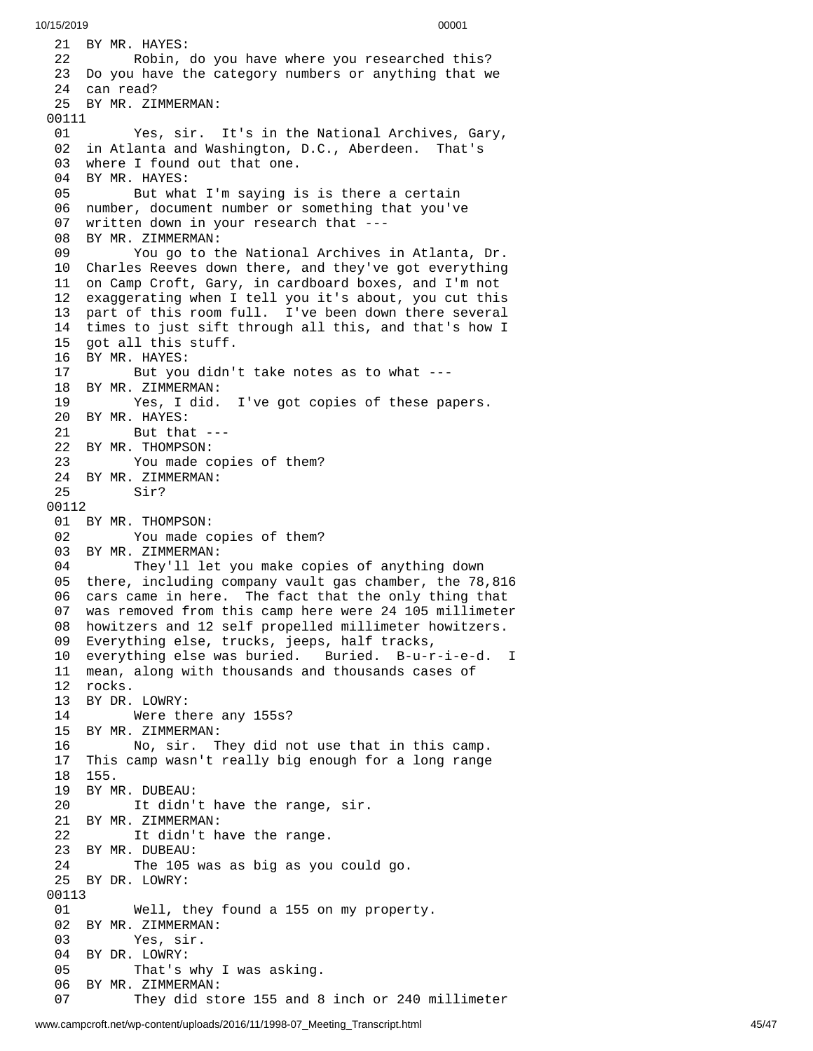```
10/15/2019 00001
```

```
21 BY MR. HAYES:
 22        Robin, do you have where you researched this?
 23  Do you have the category numbers or anything that we
 24 can read?
 25 BY MR. ZIMMERMAN:
00111 01              Yes, sir.  It's in the National Archives, Gary,
 02 in Atlanta and Washington, D.C., Aberdeen. That's
 03   where I found out that one.
04 BY MR. HAYES: 05           But what I'm saying is is there a certain
 06  number, document number or something that you've
 07  written down in your research that ---
 08 BY MR. ZIMMERMAN:
 09       You go to the National Archives in Atlanta, Dr.
10 Charles Reeves down there, and they've got everything 11 on Camp Croft, Gary, in cardboard boxes, and I'm not 12 exaggerating when I tell you it's about, you cut this 13 part of this room full. I've been down there several 14 times to just sift through all this, and that's how I 15 got all this stuff. 16 BY MR. HAYES:<br>17 But you
          But you didn't take notes as to what ---
18 BY MR. ZIMMERMAN: 19 Yes, I did. I've got copies of these papers. 20 BY MR. HAYES: 21 But that --- 22 BY MR. THOMPSON: 23 You made copies of them? 24 BY MR. ZIMMERMAN: Sir?
0
0
1
1
2
 01 BY MR. THOMPSON:
 02              You made copies of them?
 03 BY MR. ZIMMERMAN:
 04        They'll let you make copies of anything down
 05 there, including company vault gas chamber, the 78,816
 0
6
     cars came in here.  The fact that the only thing that
 07  was removed from this camp here were 24 105 millimeter
 08   howitzers and 12 self propelled millimeter howitzers.
09 Everything else, trucks, jeeps, half tracks, 10 everything else was buried. Buried. B-u-r-i-e-d. I 11 mean, along with thousands and thousands cases of 12 rocks. 13 BY DR. LOWRY: Were there any 155s?
15 BY MR. ZIMMERMAN: 16 No, sir. They did not use that in this camp. 17 This camp wasn't really big enough for a long range 18 155. 19 BY MR. DUBEAU: 20 It didn't have the range, sir. 21 BY MR. ZIMMERMAN: 22 It didn't have the range. 23 BY MR. DUBEAU: 24 The 105 was as big as you could go. 25 BY DR. LOWRY: 00113 01 Well, they found a 155 on my property. 02 BY MR. ZIMMERMAN: Yes, sir.
04 BY DR. LOWRY: 05 That's why I was asking. 06 BY MR. ZIMMERMAN: 07 They did store 155 and 8 inch or 240 millimeter
```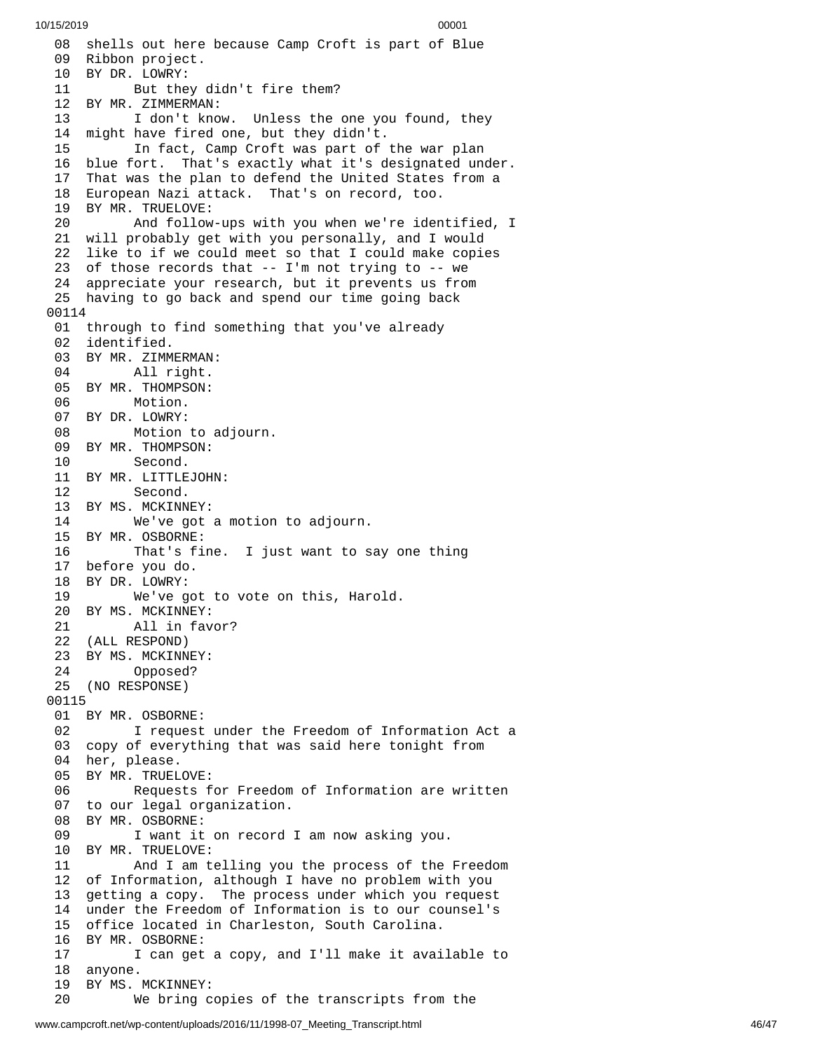08 shells out here because Camp Croft is part of Blue 09 Ribbon project. 10 BY DR. LOWRY: 11 But they didn't fire them? 12 BY MR. ZIMMERMAN: 13 I don't know. Unless the one you found, they 1 4 might have fired one, but they didn't. 15 In fact, Camp Croft was part of the war plan 16 blue <code>fort. That's exactly what it's designated under.</code> 17 That was the plan to defend the United States from a 18 European Nazi attack. That's on record, too. 19 BY MR. TRUELOVE: 20 And follow-ups with you when we're identified, I 21 will probably get with you personally, and I would 22 like to if we could meet so that I could make copies 23 of those records that -- I'm not trying to -- we 24 appreciate your research, but it prevents us from 25 having to go back and spend our time going back 00114 01 through to find something that you've already 0 2 identified. 03 BY MR. ZIMMERMAN: 04 All right. 05 BY MR. THOMPSON: 06 Motion. 07 BY DR. LOWRY: 08 Motion to a d j o u r n. 09 BY MR. THOMPSON: 10 Second. 11 BY MR. LITTLEJOHN: 12 Second. 13 BY MS. MCKINNEY: 14 We've got a motion t o a d j o u r n. 15 BY MR. OSBORNE: 16 That's fine. I just want to say one thing 17 before you do. 18 BY DR. LOWRY: 19 We've go t t o v o t e o n t h i s , H a r o l d. 20 BY MS. MCKINNEY: 21 All in favor? 22 (ALL RESPOND) 23 BY MS. MCKINNEY: 24 Opposed? 25 (NO RESPONSE) 00115 01 BY MR. OSBORNE: 02 I request under the Freedom of Information Act a 03 copy of everything that was said here tonight from 04 her, please. 05 BY MR. TRUELOVE: 06 Requests for Freedom of Information are written 07 to our legal organization. 08 BY MR. OSBORNE: 09 I want it on record I am now asking you. 10 BY MR. TRUELOVE: 11 And I am telling you the process of the F r e e d o m 12 of Information, although I have no problem with you 1 3 getting a copy. The process under which you request 1 4 under the Freedom of Information is to our counsel's 15 office located in Charleston, South Carolina. 16 BY MR. OSBORNE: 17 I can get a copy, and I'll make it available to 1 8 a n y o n e. 19 BY MS. MCKINNEY: 20 We bring copies of the transcripts from the